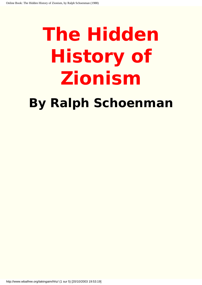# <span id="page-0-0"></span>**By Ralph Schoenman**

http://www.wbaifree.org/takingaim/hhz/ (1 sur 5) [20/10/2003 19:53:19]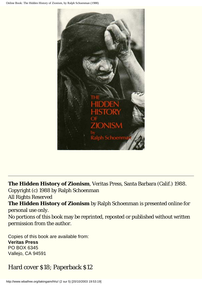

**The Hidden History of Zionism**, Veritas Press, Santa Barbara (Calif.) 1988. Copyright (c) 1988 by Ralph Schoenman All Rights Reserved **The Hidden History of Zionism** by Ralph Schoenman is presented online for personal use only. No portions of this book may be reprinted, reposted or published without written permission from the author.

Copies of this book are available from: **Veritas Press**  PO BOX 6345 Vallejo, CA 94591

#### Hard cover \$18; Paperback \$12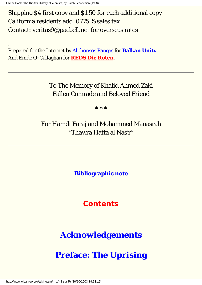Online Book: The Hidden History of Zionism, by Ralph Schoenman (1988)

.

.

#### Shipping \$4 first copy and \$1.50 for each additional copy California residents add .0775 % sales tax Contact: veritas9@pacbell.net for overseas rates

Prepared for the Internet by [Alphonsos Pangas](mailto:alfon@balkanunity.org) for **[Balkan Unity](http://www.balkanunity.org/)** And Einde O<sup>1</sup>Callaghan for **[REDS Die Roten](http://www.marxists.de/inhalt.htm)**.

#### To The Memory of Khalid Ahmed Zaki Fallen Comrade and Beloved Friend

**\* \* \***

#### For Hamdi Faraj and Mohammed Manasrah "Thawra Hatta al Nas'r"

**[Bibliographic note](#page-5-0)**

**Contents**

### **[Acknowledgements](#page-245-0)**

### **[Preface: The Uprising](#page-221-0)**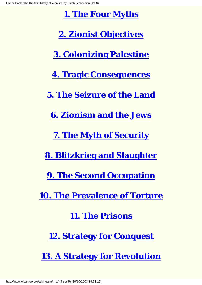**[1. The Four Myths](#page-217-0)**

### **[2. Zionist Objectives](#page-199-0)**

### **[3. Colonizing Palestine](#page-191-0)**

### **[4. Tragic Consequences](#page-173-0)**

### **[5. The Seizure of the Land](#page-161-0)**

### **[6. Zionism and the Jews](#page-141-0)**

### **[7. The Myth of Security](#page-133-0)**

### **[8. Blitzkrieg and Slaughter](#page-119-0)**

### **[9. The Second Occupation](#page-109-0)**

### **[10. The Prevalence of Torture](#page-80-0)**

### **[11. The Prisons](#page-68-0)**

### **[12. Strategy for Conquest](#page-38-0)**

### **[13. A Strategy for Revolution](#page-16-0)**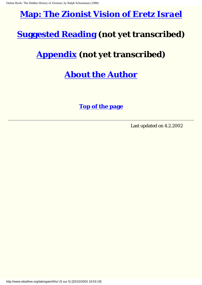**[Map: The Zionist Vision of](#page-13-0)** *Eretz Israel*

### **[Suggested Reading](#page-12-0) (not yet transcribed)**

### **[Appendix](#page-11-0) (not yet transcribed)**

### **[About the Author](#page-8-0)**

**[Top of the page](#page-0-0)**

Last updated on 4.2.2002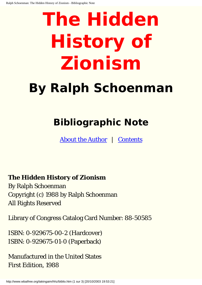# <span id="page-5-0"></span>**By Ralph Schoenman**

# **Bibliographic Note**

[About the Author](#page-8-0) | [Contents](#page-0-0)

**The Hidden History of Zionism**

By Ralph Schoenman Copyright (c) 1988 by Ralph Schoenman All Rights Reserved

Library of Congress Catalog Card Number: 88-50585

ISBN: 0-929675-00-2 (Hardcover) ISBN: 0-929675-01-0 (Paperback)

Manufactured in the United States First Edition, 1988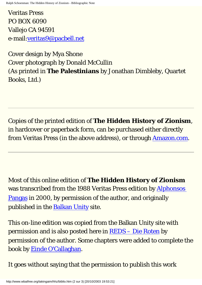Veritas Press PO BOX 6090 Vallejo CA 94591 e-mail[:veritas9@pacbell.net](mailto:veritas9@pacbell.net)

Cover design by Mya Shone Cover photograph by Donald McCullin (As printed in **The Palestinians** by Jonathan Dimbleby, Quartet Books, Ltd.)

Copies of the printed edition of **The Hidden History of Zionism**, in hardcover or paperback form, can be purchased either directly from Veritas Press (in the above address), or through [Amazon.com.](http://www.amazon.com/exec/obidos/ASIN/0929675010/102-8679685-7009737)

Most of this online edition of **The Hidden History of Zionism** was transcribed from the 1988 Veritas Press edition by [Alphonsos](mailto:alfon@balkanunity.org) [Pangas](mailto:alfon@balkanunity.org) in 2000, by permission of the author, and originally published in the [Balkan Unity](http://www.balkanunity.org/) site.

This on-line edition was copied from the Balkan Unity site with permission and is also posted here in [REDS – Die Roten](http://www.marxists.de/) by permission of the author. Some chapters were added to complete the book by [Einde O'Callaghan](mailto:einde@marxists.de).

It goes without saying that the permission to publish this work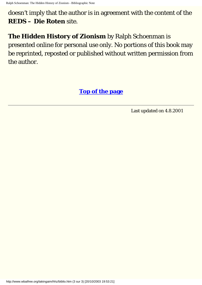doesn't imply that the author is in agreement with the content of the **REDS – Die Roten** site.

**The Hidden History of Zionism** by Ralph Schoenman is presented online for personal use only. No portions of this book may be reprinted, reposted or published without written permission from the author.

**[Top of the page](#page-5-0)**

Last updated on 4.8.2001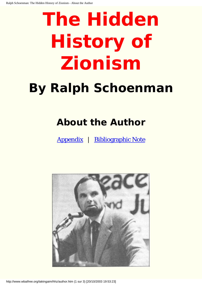# <span id="page-8-0"></span>**By Ralph Schoenman**

# **About the Author**

[Appendix](#page-11-0) | [Bibliographic Note](#page-5-0)



http://www.wbaifree.org/takingaim/hhz/author.htm (1 sur 3) [20/10/2003 19:53:23]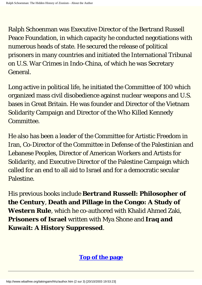Ralph Schoenman was Executive Director of the Bertrand Russell Peace Foundation, in which capacity he conducted negotiations with numerous heads of state. He secured the release of political prisoners in many countries and initiated the International Tribunal on U.S. War Crimes in Indo-China, of which he was Secretary General.

Long active in political life, he initiated the Committee of 100 which organized mass civil disobedience against nuclear weapons and U.S. bases in Great Britain. He was founder and Director of the Vietnam Solidarity Campaign and Director of the Who Killed Kennedy Committee.

He also has been a leader of the Committee for Artistic Freedom in Iran, Co-Director of the Committee in Defense of the Palestinian and Lebanese Peoples, Director of American Workers and Artists for Solidarity, and Executive Director of the Palestine Campaign which called for an end to all aid to Israel and for a democratic secular Palestine.

His previous books include **Bertrand Russell: Philosopher of the Century**, **Death and Pillage in the Congo: A Study of Western Rule**, which he co-authored with Khalid Ahmed Zaki, **Prisoners of Israel** written with Mya Shone and **Iraq and Kuwait: A History Suppressed**.

#### **[Top of the page](#page-8-0)**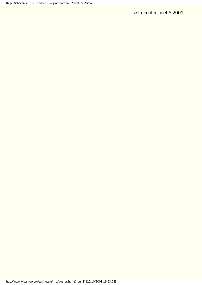#### Last updated on 4.8.2001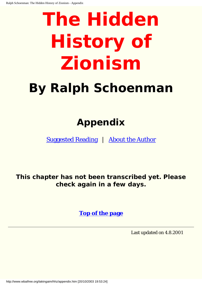# <span id="page-11-0"></span>**By Ralph Schoenman**

# **Appendix**

[Suggested Reading](#page-12-0) | [About the Author](#page-8-0)

**This chapter has not been transcribed yet. Please check again in a few days.**

**[Top of the page](#page-11-0)**

Last updated on 4.8.2001

http://www.wbaifree.org/takingaim/hhz/appendix.htm [20/10/2003 19:53:24]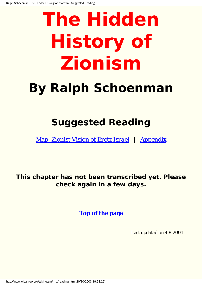# <span id="page-12-0"></span>**By Ralph Schoenman**

# **Suggested Reading**

[Map: Zionist Vision of](#page-13-0) *Eretz Israel* | [Appendix](#page-11-0)

**This chapter has not been transcribed yet. Please check again in a few days.**

**[Top of the page](#page-12-0)**

Last updated on 4.8.2001

http://www.wbaifree.org/takingaim/hhz/reading.htm [20/10/2003 19:53:25]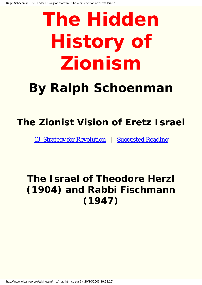# <span id="page-13-0"></span>**By Ralph Schoenman**

## **The Zionist Vision of** *Eretz Israel*

[13. Strategy for Revolution](#page-16-0) | [Suggested Reading](#page-12-0)

## **The Israel of Theodore Herzl (1904) and Rabbi Fischmann (1947)**

http://www.wbaifree.org/takingaim/hhz/map.htm (1 sur 3) [20/10/2003 19:53:26]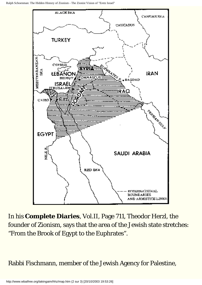

In his **Complete Diaries**, Vol.II, Page 711, Theodor Herzl, the founder of Zionism, says that the area of the Jewish state stretches: "From the Brook of Egypt to the Euphrates".

Rabbi Fischmann, member of the Jewish Agency for Palestine,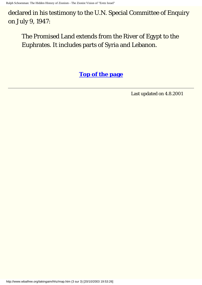declared in his testimony to the U.N. Special Committee of Enquiry on July 9, 1947:

The Promised Land extends from the River of Egypt to the Euphrates. It includes parts of Syria and Lebanon.

#### **[Top of the page](#page-13-0)**

Last updated on 4.8.2001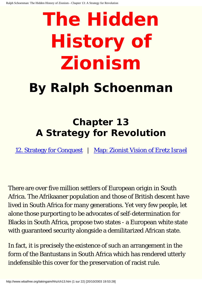# <span id="page-16-0"></span>**By Ralph Schoenman**

## **Chapter 13 A Strategy for Revolution**

[12. Strategy for Conquest](#page-38-0) | [Map: Zionist Vision of](#page-13-0) *Eretz Israel*

There are over five million settlers of European origin in South Africa. The Afrikaaner population and those of British descent have lived in South Africa for many generations. Yet very few people, let alone those purporting to be advocates of self-determination for Blacks in South Africa, propose two states - a European white state with guaranteed security alongside a demilitarized African state.

In fact, it is precisely the existence of such an arrangement in the form of the Bantustans in South Africa which has rendered utterly indefensible this cover for the preservation of racist rule.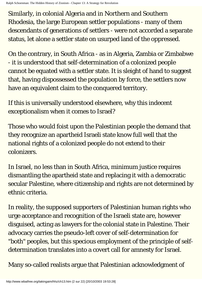Similarly, in colonial Algeria and in Northern and Southern Rhodesia, the large European settler populations - many of them descendants of generations of settlers - were not accorded a separate status, let alone a settler state on usurped land of the oppressed.

On the contrary, in South Africa - as in Algeria, Zambia or Zimbabwe - it is understood that self-determination of a colonized people cannot be equated with a settler state. It is sleight of hand to suggest that, having dispossessed the population by force, the settlers now have an equivalent claim to the conquered territory.

If this is universally understood elsewhere, why this indecent exceptionalism when it comes to Israel?

Those who would foist upon the Palestinian people the demand that they recognize an apartheid Israeli state know full well that the national rights of a colonized people do not extend to their colonizers.

In Israel, no less than in South Africa, minimum justice requires dismantling the apartheid state and replacing it with a democratic secular Palestine, where citizenship and rights are not determined by ethnic criteria.

In reality, the supposed supporters of Palestinian human rights who urge acceptance and recognition of the Israeli state are, however disguised, acting as lawyers for the colonial state in Palestine. Their advocacy carries the pseudo-left cover of self-determination for "both" peoples, but this specious employment of the principle of selfdetermination translates into a covert call for amnesty for Israel.

Many so-called realists argue that Palestinian acknowledgment of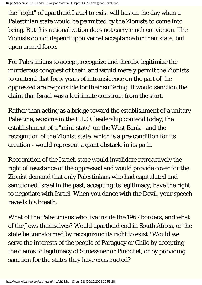the "right" of apartheid Israel to exist will hasten the day when a Palestinian state would be permitted by the Zionists to come into being. But this rationalization does not carry much conviction. The Zionists do not depend upon verbal acceptance for their state, but upon armed force.

For Palestinians to accept, recognize and thereby legitimize the murderous conquest of their land would merely permit the Zionists to contend that forty years of intransigence on the part of the oppressed are responsible for their suffering. It would sanction the claim that Israel was a legitimate construct from the start.

Rather than acting as a bridge toward the establishment of a unitary Palestine, as some in the P.L.O. leadership contend today, the establishment of a "mini-state" on the West Bank - and the recognition of the Zionist state, which is a pre-condition for its creation - would represent a giant obstacle in its path.

Recognition of the Israeli state would invalidate retroactively the right of resistance of the oppressed and would provide cover for the Zionist demand that only Palestinians who had capitulated and sanctioned Israel in the past, accepting its legitimacy, have the right to negotiate with Israel. When you dance with the Devil, your speech reveals his breath.

What of the Palestinians who live inside the 1967 borders, and what of the Jews themselves? Would apartheid end in South Africa, or the state be transformed by recognizing its right to exist? Would we serve the interests of the people of Paraguay or Chile by accepting the claims to legitimacy of Stroessner or Pinochet, or by providing sanction for the states they have constructed?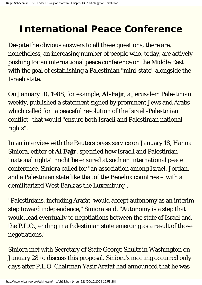# **International Peace Conference**

Despite the obvious answers to all these questions, there are, nonetheless, an increasing number of people who, today, are actively pushing for an international peace conference on the Middle East with the goal of establishing a Palestinian "mini-state" alongside the Israeli state.

On January 10, 1988, for example, **Al-Fajr**, a Jerusalem Palestinian weekly, published a statement signed by prominent Jews and Arabs which called for "a peaceful resolution of the Israeli-Palestinian conflict" that would "ensure both Israeli and Palestinian national rights".

In an interview with the Reuters press service on January 18, Hanna Siniora, editor of **Al Fajr**, specified how Israeli and Palestinian "national rights" might be ensured at such an international peace conference. Siniora called for "an association among Israel, Jordan, and a Palestinian state like that of the Benelux countries – with a demilitarized West Bank as the Luxemburg".

"Palestinians, including Arafat, would accept autonomy as an interim step toward independence," Siniora said. "Autonomy is a step that would lead eventually to negotiations between the state of Israel and the P.L.O., ending in a Palestinian state emerging as a result of those negotiations."

Siniora met with Secretary of State George Shultz in Washington on January 28 to discuss this proposal. Siniora's meeting occurred only days after P.L.O. Chairman Yasir Arafat had announced that he was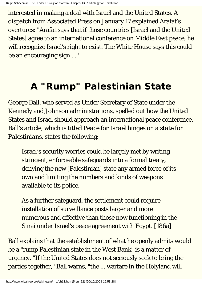interested in making a deal with Israel and the United States. A dispatch from Associated Press on January 17 explained Arafat's overtures: "Arafat says that if those countries [Israel and the United States] agree to an international conference on Middle East peace, he will recognize Israel's right to exist. The White House says this could be an encouraging sign ..."

# **A "Rump" Palestinian State**

George Ball, who served as Under Secretary of State under the Kennedy and Johnson administrations, spelled out how the United States and Israel should approach an international peace conference. Ball's article, which is titled *Peace for Israel hinges on a state for Palestinians*, states the following:

Israel's security worries could be largely met by writing stringent, enforceable safeguards into a formal treaty, denying the new [Palestinian] state any armed force of its own and limiting the numbers and kinds of weapons available to its police.

As a further safeguard, the settlement could require installation of surveillance posts larger and more numerous and effective than those now functioning in the Sinai under Israel's peace agreement with Egypt. [186a]

Ball explains that the establishment of what he openly admits would be a "rump Palestinian state in the West Bank" is a matter of urgency. "If the United States does not seriously seek to bring the parties together," Ball warns, "the ... warfare in the Holyland will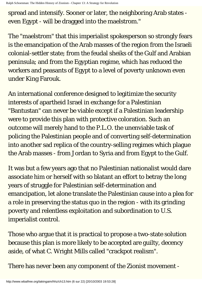spread and intensify. Sooner or later, the neighboring Arab states even Egypt - will be dragged into the maelstrom."

The "maelstrom" that this imperialist spokesperson so strongly fears is the emancipation of the Arab masses of the region from the Israeli colonial-settler state; from the feudal sheiks of the Gulf and Arabian peninsula; and from the Egyptian regime, which has reduced the workers and peasants of Egypt to a level of poverty unknown even under King Farouk.

An international conference designed to legitimize the security interests of apartheid Israel in exchange for a Palestinian "Bantustan" can never be viable except if a Palestinian leadership were to provide this plan with protective coloration. Such an outcome will merely hand to the P.L.O. the unenviable task of policing the Palestinian people and of converting self-determination into another sad replica of the country-selling regimes which plague the Arab masses - from Jordan to Syria and from Egypt to the Gulf.

It was but a few years ago that no Palestinian nationalist would dare associate him or herself with so blatant an effort to betray the long years of struggle for Palestinian self-determination and emancipation, let alone translate the Palestinian cause into a plea for a role in preserving the status quo in the region - with its grinding poverty and relentless exploitation and subordination to U.S. imperialist control.

Those who argue that it is practical to propose a two-state solution because this plan is more likely to be accepted are guilty, decency aside, of what C. Wright Mills called "crackpot realism".

There has never been any component of the Zionist movement -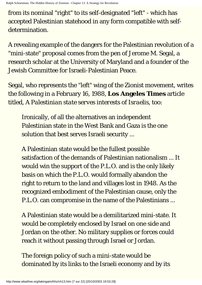Ralph Schoenman: The Hidden History of Zionism - Chapter 13: A Strategy for Revolution

from its nominal "right" to its self-designated "left" - which has accepted Palestinian statehood in any form compatible with selfdetermination.

A revealing example of the dangers for the Palestinian revolution of a "mini-state" proposal comes from the pen of Jerome M. Segal, a research scholar at the University of Maryland and a founder of the Jewish Committee for Israeli-Palestinian Peace.

Segal, who represents the "left" wing of the Zionist movement, writes the following in a February 16, 1988, **Los Angeles Times** article titled, *A Palestinian state serves interests of Israelis, too*:

Ironically, of all the alternatives an independent Palestinian state in the West Bank and Gaza is the one solution that best serves Israeli security ...

A Palestinian state would be the fullest possible satisfaction of the demands of Palestinian nationalism ... It would win the support of the P.L.O. and is the only likely basis on which the P.L.O. would formally abandon the right to return to the land and villages lost in 1948. As the recognized embodiment of the Palestinian cause, only the P.L.O. can compromise in the name of the Palestinians ...

A Palestinian state would be a demilitarized mini-state. It would be completely enclosed by Israel on one side and Jordan on the other. No military supplies or forces could reach it without passing through Israel or Jordan.

The foreign policy of such a mini-state would be dominated by its links to the Israeli economy and by its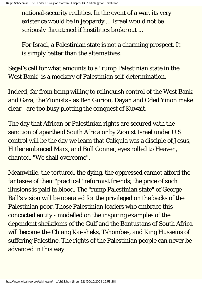national-security realities. In the event of a war, its very existence would be in jeopardy ... Israel would not be seriously threatened if hostilities broke out ...

For Israel, a Palestinian state is not a charming prospect. It is simply better than the alternatives.

Segal's call for what amounts to a "rump Palestinian state in the West Bank" is a mockery of Palestinian self-determination.

Indeed, far from being willing to relinquish control of the West Bank and Gaza, the Zionists - as Ben Gurion, Dayan and Oded Yinon make clear - are too busy plotting the conquest of Kuwait.

The day that African or Palestinian rights are secured with the sanction of apartheid South Africa or by Zionist Israel under U.S. control will be the day we learn that Caligula was a disciple of Jesus, Hitler embraced Marx, and Bull Conner, eyes rolled to Heaven, chanted, "We shall overcome".

Meanwhile, the tortured, the dying, the oppressed cannot afford the fantasies of their "practical" reformist friends; the price of such illusions is paid in blood. The "rump Palestinian state" of George Ball's vision will be operated for the privileged on the backs of the Palestinian poor. Those Palestinian leaders who embrace this concocted entity - modelled on the inspiring examples of the dependent sheikdoms of the Gulf and the Bantustans of South Africa will become the Chiang Kai-sheks, Tshombes, and King Husseins of suffering Palestine. The rights of the Palestinian people can never be advanced in this way.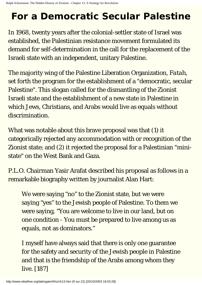# **For a Democratic Secular Palestine**

In 1968, twenty years after the colonial-settler state of Israel was established, the Palestinian resistance movement formulated its demand for self-determination in the call for the replacement of the Israeli state with an independent, unitary Palestine.

The majority wing of the Palestine Liberation Organization, *Fatah*, set forth the program for the establishment of a "democratic, secular Palestine". This slogan called for the dismantling of the Zionist Israeli state and the establishment of a new state in Palestine in which Jews, Christians, and Arabs would live as equals without discrimination.

What was notable about this brave proposal was that (1) it categorically rejected any accommodation with or recognition of the Zionist state; and (2) it rejected the proposal for a Palestinian "ministate" on the West Bank and Gaza.

P.L.O. Chairman Yasir Arafat described his proposal as follows in a remarkable biography written by journalist Alan Hart:

We were saying "no" to the Zionist state, but we were saying "yes" to the Jewish people of Palestine. To them we were saying, "You are welcome to live in our land, but on one condition - You must be prepared to live among us as equals, not as dominators."

I myself have always said that there is only one guarantee for the safety and security of the Jewish people in Palestine and that is the friendship of the Arabs among whom they live. [187]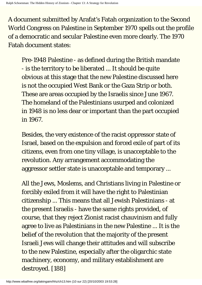A document submitted by Arafat's Fatah organization to the Second World Congress on Palestine in September 1970 spells out the profile of a democratic and secular Palestine even more clearly. The 1970 Fatah document states:

Pre-1948 Palestine - as defined during the British mandate - is the territory to be liberated ... It should be quite obvious at this stage that the new Palestine discussed here is not the occupied West Bank or the Gaza Strip or both. These are areas occupied by the Israelis since June 1967. The homeland of the Palestinians usurped and colonized in 1948 is no less dear or important than the part occupied in 1967.

Besides, the very existence of the racist oppressor state of Israel, based on the expulsion and forced exile of part of its citizens, even from one tiny village, is unacceptable to the revolution. Any arrangement accommodating the aggressor settler state is unacceptable and temporary ...

All the Jews, Moslems, and Christians living in Palestine or forcibly exiled from it will have the right to Palestinian citizenship ... This means that all Jewish Palestinians - at the present Israelis - have the same rights provided, of course, that they reject Zionist racist chauvinism and fully agree to live as Palestinians in the new Palestine ... It is the belief of the revolution that the majority of the present Israeli Jews will change their attitudes and will subscribe to the new Palestine, especially after the oligarchic state machinery, economy, and military establishment are destroyed. [188]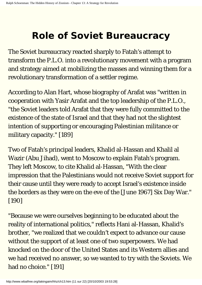# **Role of Soviet Bureaucracy**

The Soviet bureaucracy reacted sharply to Fatah's attempt to transform the P.L.O. into a revolutionary movement with a program and strategy aimed at mobilizing the masses and winning them for a revolutionary transformation of a settler regime.

According to Alan Hart, whose biography of Arafat was "written in cooperation with Yasir Arafat and the top leadership of the P.L.O., "the Soviet leaders told Arafat that they were fully committed to the existence of the state of Israel and that they had not the slightest intention of supporting or encouraging Palestinian militance or military capacity." [189]

Two of Fatah's principal leaders, Khalid al-Hassan and Khalil al Wazir (Abu Jihad), went to Moscow to explain Fatah's program. They left Moscow, to cite Khalid al-Hassan, "With the clear impression that the Palestinians would not receive Soviet support for their cause until they were ready to accept Israel's existence inside the borders as they were on the eve of the [June 1967] Six Day War." [190]

"Because we were ourselves beginning to be educated about the reality of international politics," reflects Hani al-Hassan, Khalid's brother, "we realized that we couldn't expect to advance our cause without the support of at least one of two superpowers. We had knocked on the door of the United States and its Western allies and we had received no answer, so we wanted to try with the Soviets. We had no choice." [191]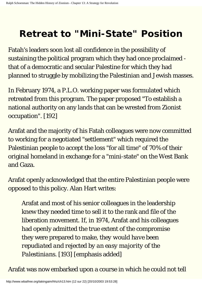## **Retreat to "Mini-State" Position**

Fatah's leaders soon lost all confidence in the possibility of sustaining the political program which they had once proclaimed that of a democratic and secular Palestine for which they had planned to struggle by mobilizing the Palestinian and Jewish masses.

In February 1974, a P.L.O. working paper was formulated which retreated from this program. The paper proposed "To establish a national authority on any lands that can be wrested from Zionist occupation". [192]

Arafat and the majority of his Fatah colleagues were now committed to working for a negotiated "settlement" which required the Palestinian people to accept the loss "for all time" of 70% of their original homeland in exchange for a "mini-state" on the West Bank and Gaza.

Arafat openly acknowledged that the entire Palestinian people were opposed to this policy. Alan Hart writes:

Arafat and most of his senior colleagues in the leadership knew they needed time to sell it to the rank and file of the liberation movement. If, in 1974, Arafat and his colleagues had openly admitted the true extent of the compromise they were prepared to make, *they would have been repudiated and rejected by an easy majority of the Palestinians.* [193] [emphasis added]

Arafat was now embarked upon a course in which he could not tell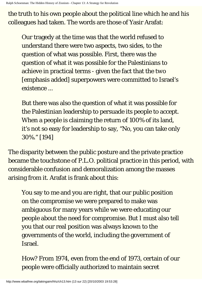the truth to his own people about the political line which he and his colleagues had taken. The words are those of Yasir Arafat:

Our tragedy at the time was that the world refused to understand there were two aspects, two sides, to the question of what was possible. First, there was the question of what it was possible for the Palestinians to achieve in practical terms - given the fact that the *two* [emphasis added] superpowers were committed to Israel's existence ...

But there was also the question of what it was possible for the Palestinian leadership to persuade its people to accept. When a people is claiming the return of 100% of its land, it's not so easy for leadership to say, "No, you can take only 30%." [194]

The disparity between the public posture and the private practice became the touchstone of P.L.O. political practice in this period, with considerable confusion and demoralization among the masses arising from it. Arafat is frank about this:

You say to me and you are right, that our public position on the compromise we were prepared to make was ambiguous for many years while we were educating our people about the need for compromise. But I must also tell you that our real position was always known to the governments of the world, including the government of Israel.

How? From 1974, even from the end of 1973, certain of our people were officially authorized to maintain secret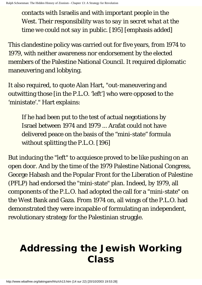contacts with Israelis and with important people in the West. Their responsibility *was to say in secret what at the time we could not say in public*. [195] [emphasis added]

This clandestine policy was carried out for five years, from 1974 to 1979, with neither awareness nor endorsement by the elected members of the Palestine National Council. It required diplomatic maneuvering and lobbying.

It also required, to quote Alan Hart, "out-maneuvering and outwitting those [in the P.L.O. 'left'] who were opposed to the 'ministate'." Hart explains:

If he had been put to the test of actual negotiations by Israel between 1974 and 1979 ... Arafat could not have delivered peace on the basis of the "mini-state" formula without splitting the P.L.O. [196]

But inducing the "left" to acquiesce proved to be like pushing on an open door. And by the time of the 1979 Palestine National Congress, George Habash and the Popular Front for the Liberation of Palestine (PFLP) had endorsed the "mini-state" plan. Indeed, by 1979, all components of the P.L.O. had adopted the call for a "mini-state" on the West Bank and Gaza. From 1974 on, all wings of the P.L.O. had demonstrated they were incapable of formulating an independent, revolutionary strategy for the Palestinian struggle.

## **Addressing the Jewish Working Class**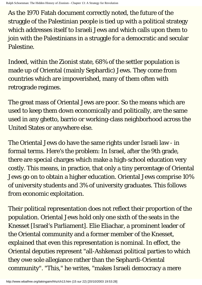As the 1970 Fatah document correctly noted, the future of the struggle of the Palestinian people is tied up with a political strategy which addresses itself to Israeli Jews and which calls upon them to join with the Palestinians in a struggle for a democratic and secular Palestine.

Indeed, within the Zionist state, 68% of the settler population is made up of Oriental (mainly Sephardic) Jews. They come from countries which are impoverished, many of them often with retrograde regimes.

The great mass of Oriental Jews are poor. So the means which are used to keep them down economically and politically, are the same used in any ghetto, barrio or working-class neighborhood across the United States or anywhere else.

The Oriental Jews *do* have the same rights under Israeli law - in formal terms. Here's the problem: In Israel, after the 9th grade, there are special charges which make a high-school education very costly. This means, in practice, that only a tiny percentage of Oriental Jews go on to obtain a higher education. Oriental Jews comprise 10% of university students and 3% of university graduates. This follows from economic exploitation.

Their political representation does not reflect their proportion of the population. Oriental Jews hold only one sixth of the seats in the Knesset [Israel's Parliament]. Elie Eliachar, a prominent leader of the Oriental community and a former member of the Knesset, explained that even this representation is nominal. In effect, the Oriental deputies represent "all-Ashkenazi political parties to which they owe sole allegiance rather than the Sephardi-Oriental community". "This," he writes, "makes Israeli democracy a mere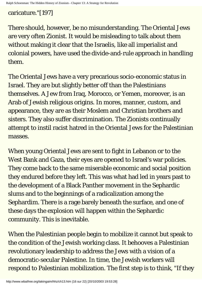#### caricature."[197]

There should, however, be no misunderstanding. The Oriental Jews are very often Zionist. It would be misleading to talk about them without making it clear that the Israelis, like all imperialist and colonial powers, have used the divide-and-rule approach in handling them.

The Oriental Jews have a very precarious socio-economic status in Israel. They are but slightly better off than the Palestinians themselves. A Jew from Iraq, Morocco, or Yemen, moreover, is an Arab of Jewish religious origins. In mores, manner, custom, and appearance, they are as their Moslem and Christian brothers and sisters. They also suffer discrimination. The Zionists continually attempt to instil racist hatred in the Oriental Jews for the Palestinian masses.

When young Oriental Jews are sent to fight in Lebanon or to the West Bank and Gaza, their eyes are opened to Israel's war policies. They come back to the same miserable economic and social position they endured before they left. This was what had led in years past to the development of a Black Panther movement in the Sephardic slums and to the beginnings of a radicalization among the Sephardim. There is a rage barely beneath the surface, and one of these days the explosion will happen within the Sephardic community. This is inevitable.

When the Palestinian people begin to mobilize it cannot but speak to the condition of the Jewish working class. It behooves a Palestinian revolutionary leadership to address the Jews with a vision of a democratic-secular Palestine. In time, the Jewish workers will respond to Palestinian mobilization. The first step is to think, "If they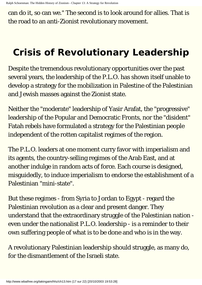can do it, so can we." The second is to look around for allies. That is the road to an anti-Zionist revolutionary movement.

# **Crisis of Revolutionary Leadership**

Despite the tremendous revolutionary opportunities over the past several years, the leadership of the P.L.O. has shown itself unable to develop a strategy for the mobilization in Palestine of the Palestinian and Jewish masses against the Zionist state.

Neither the "moderate" leadership of Yasir Arafat, the "progressive" leadership of the Popular and Democratic Fronts, nor the "disident" Fatah rebels have formulated a strategy for the Palestinian people independent of the rotten capitalist regimes of the region.

The P.L.O. leaders at one moment curry favor with imperialism and its agents, the country-selling regimes of the Arab East, and at another indulge in random acts of force. Each course is designed, misguidedly, to induce imperialism to endorse the establishment of a Palestinian "mini-state".

But these regimes - from Syria to Jordan to Egypt - regard the Palestinian revolution as a clear and present danger. They understand that the extraordinary struggle of the Palestinian nation even under the nationalist P.L.O. leadership - is a reminder to their own suffering people of what is to be done and who is in the way.

A revolutionary Palestinian leadership should struggle, as many do, for the dismantlement of the Israeli state.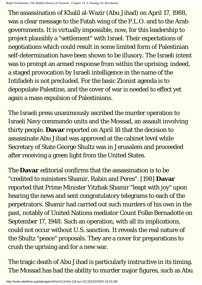The assassination of Khalil al-Wazir (Abu Jihad) on April 17, 1988, was a clear message to the Fatah wing of the P.L.O. and to the Arab governments. It is virtually impossible, now, for this leadership to project plausibly a "settlement" with Israel. Their expectations of negotiations which could result in some limited form of Palestinian self-determination have been shown to be illusory. The Israeli intent was to prompt an armed response from within the uprising; indeed, a staged provocation by Israeli intelligence in the name of the Intifadeh is not precluded. For the basic Zionist agenda is to depopulate Palestine, and the cover of war is needed to effect yet again a mass expulsion of Palestinians.

The Israeli press unanimously ascribed the murder operation to Israeli Navy commando units and the Mossad, an assault involving thirty people. **Davar** reported on April 18 that the decision to assassinate Abu Jihad was approved at the cabinet level while Secretary of State George Shultz was in Jerusalem and proceeded after receiving a green light from the United States.

The **Davar** editorial confirms that the assassination is to be "credited to ministers Shamir, Rabin and Peres". [198] **Davar** reported that Prime Minister Yitzhak Shamir "leapt with joy" upon hearing the news and sent congratulatory telegrams to each of the perpetrators. Shamir had carried out such murders of his own in the past, notably of United Nations mediator Count Folke Bernadotte on September 17, 1948. Such an operation, with all its implications, could not occur without U.S. sanction. It reveals the real nature of the Shultz "peace" proposals. They are a cover for preparations to crush the uprising and for a new war.

The tragic death of Abu Jihad is particularly instructive in its timing. The Mossad has had the ability to murder major figures, such as Abu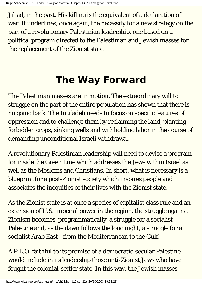Jihad, in the past. His killing is the equivalent of a declaration of war. It underlines, once again, the necessity for a new strategy on the part of a revolutionary Palestinian leadership, one based on a political program directed to the Palestinian and Jewish masses for the replacement of the Zionist state.

## **The Way Forward**

The Palestinian masses are in motion. The extraordinary will to struggle on the part of the entire population has shown that there is no going back. The Intifadeh needs to focus on specific features of oppression and to challenge them by reclaiming the land, planting forbidden crops, sinking wells and withholding labor in the course of demanding unconditional Israeli withdrawal.

A revolutionary Palestinian leadership will need to devise a program for inside the Green Line which addresses the Jews within Israel as well as the Moslems and Christians. In short, what is necessary is a blueprint for a post-Zionist society which inspires people and associates the inequities of their lives with the Zionist state.

As the Zionist state is at once a species of capitalist class rule and an extension of U.S. imperial power in the region, the struggle against Zionism becomes, programmatically, a struggle for a socialist Palestine and, as the dawn follows the long night, a struggle for a socialist Arab East - from the Mediterranean to the Gulf.

A P.L.O. faithful to its promise of a democratic-secular Palestine would include in its leadership those anti-Zionist Jews who have fought the colonial-settler state. In this way, the Jewish masses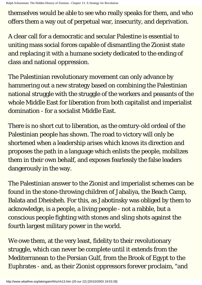themselves would be able to see who really speaks for them, and who offers them a way out of perpetual war, insecurity, and deprivation.

A clear call for a democratic and secular Palestine is essential to uniting mass social forces capable of dismantling the Zionist state and replacing it with a humane society dedicated to the ending of class and national oppression.

The Palestinian revolutionary movement can only advance by hammering out a new strategy based on combining the Palestinian national struggle with the struggle of the workers and peasants of the whole Middle East for liberation from both capitalist and imperialist domination - for a socialist Middle East.

There is no short cut to liberation, as the century-old ordeal of the Palestinian people has shown. The road to victory will only be shortened when a leadership arises which knows its direction and proposes the path in a language which enlists the people, mobilizes them in their own behalf, and exposes fearlessly the false leaders dangerously in the way.

The Palestinian answer to the Zionist and imperialist schemes can be found in the stone-throwing children of Jabaliya, the Beach Camp, Balata and Dheisheh. For this, as Jabotinsky was obliged by them to acknowledge, is a people, a living people - not a rabble, but a conscious people fighting with stones and sling shots against the fourth largest military power in the world.

We owe them, at the very least, fidelity to their revolutionary struggle, which can never be complete until it extends from the Mediterranean to the Persian Gulf, from the Brook of Egypt to the Euphrates - and, as their Zionist oppressors forever proclaim, "and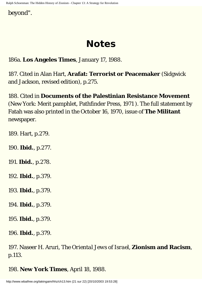beyond".

#### **Notes**

#### 186a. **Los Angeles Times**, January 17, 1988.

187. Cited in Alan Hart, **Arafat: Terrorist or Peacemaker** (Sidgwick and Jackson, revised edition), p.275.

188. Cited in **Documents of the Palestinian Resistance Movement** (New York: Merit pamphlet, Pathfinder Press, 1971 ). The full statement by Fatah was also printed in the October 16, 1970, issue of **The Militant** newspaper.

189. Hart, p.279.

190. **Ibid.**, p.277.

191. **Ibid.**, p.278.

192. **Ibid.**, p.379.

193. **Ibid.**, p.379.

194. **Ibid.**, p.379.

195. **Ibid.**, p.379.

196. **Ibid.**, p.379.

197. Naseer H. Aruri, *The Oriental Jews of Israel*, **Zionism and Racism**, p.113.

#### 198. **New York Times**, April 18, 1988.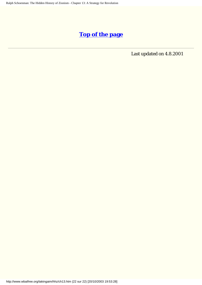

Last updated on 4.8.2001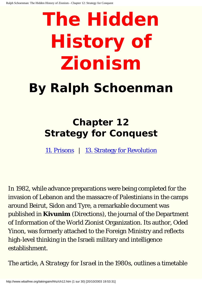# <span id="page-38-0"></span>**The Hidden History of Zionism**

# **By Ralph Schoenman**

# **Chapter 12 Strategy for Conquest**

[11. Prisons](#page-68-0) | [13. Strategy for Revolution](#page-16-0)

In 1982, while advance preparations were being completed for the invasion of Lebanon and the massacre of Palestinians in the camps around Beirut, Sidon and Tyre, a remarkable document was published in **Kivunim** (Directions), the journal of the Department of Information of the World Zionist Organization. Its author, Oded Yinon, was formerly attached to the Foreign Ministry and reflects high-level thinking in the Israeli military and intelligence establishment.

The article, *A Strategy for Israel in the 1980s*, outlines a timetable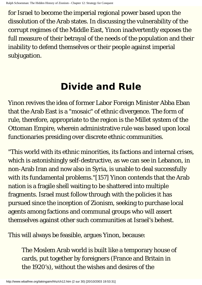for Israel to become the imperial regional power based upon the dissolution of the Arab states. In discussing the vulnerability of the corrupt regimes of the Middle East, Yinon inadvertently exposes the full measure of their betrayal of the needs of the population and their inability to defend themselves or their people against imperial subjugation.

#### **Divide and Rule**

Yinon revives the idea of former Labor Foreign Minister Abba Eban that the Arab East is a "mosaic" of ethnic divergence. The form of rule, therefore, appropriate to the region is the Millet system of the Ottoman Empire, wherein administrative rule was based upon local functionaries presiding over discrete ethnic communities.

"This world with its ethnic minorities, its factions and internal crises, which is astonishingly self-destructive, as we can see in Lebanon, in non-Arab Iran and now also in Syria, is unable to deal successfully with its fundamental problems."[157] Yinon contends that the Arab nation is a fragile shell waiting to be shattered into multiple fragments. Israel must follow through with the policies it has pursued since the inception of Zionism, seeking to purchase local agents among factions and communal groups who will assert themselves against other such communities at Israel's behest.

This will always be feasible, argues Yinon, because:

The Moslem Arab world is built like a temporary house of cards, put together by foreigners (France and Britain in the 1920's), without the wishes and desires of the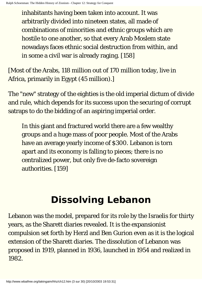inhabitants having been taken into account. It was arbitrarily divided into nineteen states, all made of combinations of minorities and ethnic groups which are hostile to one another, so that every Arab Moslem state nowadays faces ethnic social destruction from within, and in some a civil war is already raging. [158]

[Most of the Arabs, 118 million out of 170 million today, live in Africa, primarily in Egypt (45 million).]

The "new" strategy of the eighties is the old imperial dictum of divide and rule, which depends for its success upon the securing of corrupt satraps to do the bidding of an aspiring imperial order.

In this giant and fractured world there are a few wealthy groups and a huge mass of poor people. Most of the Arabs have an average yearly income of \$300. Lebanon is torn apart and its economy is falling to pieces; there is no centralized power, but only five de-facto sovereign authorities. [159]

## **Dissolving Lebanon**

Lebanon was the model, prepared for its role by the Israelis for thirty years, as the Sharett diaries revealed. It is the expansionist compulsion set forth by Herzl and Ben Gurion even as it is the logical extension of the Sharett diaries. The dissolution of Lebanon was proposed in 1919, planned in 1936, launched in 1954 and realized in 1982.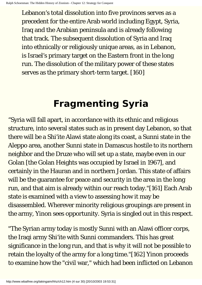Lebanon's total dissolution into five provinces serves as a precedent for the entire Arab world including Egypt, Syria, Iraq and the Arabian peninsula and is already following that track. The subsequent dissolution of Syria and Iraq into ethnically or religiously unique areas, as in Lebanon, is Israel's primary target on the Eastern front in the long run. The dissolution of the military power of these states serves as the primary short-term target. [160]

#### **Fragmenting Syria**

"Syria will fall apart, in accordance with its ethnic and religious structure, into several states such as in present day Lebanon, so that there will be a Shi'ite Alawi state along its coast, a Sunni state in the Aleppo area, another Sunni state in Damascus hostile to its northern neighbor and the Druze who will set up a state, maybe even in our Golan [the Golan Heights was occupied by Israel in 1967], and certainly in the Hauran and in northern Jordan. This state of affairs will be the guarantee for peace and security in the area in the long run, and that aim is already within our reach today."[161] Each Arab state is examined with a view to assessing how it may be disassembled. Wherever minority religious groupings are present in the army, Yinon sees opportunity. Syria is singled out in this respect.

"The Syrian army today is mostly Sunni with an Alawi officer corps, the Iraqi army Shi'ite with Sunni commanders. This has great significance in the long run, and that is why it will not be possible to retain the loyalty of the army for a long time."[162] Yinon proceeds to examine how the "civil war," which had been inflicted on Lebanon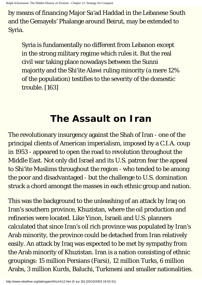by means of financing Major Sa'ad Haddad in the Lebanese South and the Gemayels' Phalange around Beirut, may be extended to Syria.

Syria is fundamentally no different from Lebanon except in the strong military regime which rules it. But the real civil war taking place nowadays between the Sunni majority and the Shi'ite Alawi ruling minority (a mere 12% of the population) testifies to the severity of the domestic trouble. [163]

## **The Assault on Iran**

The revolutionary insurgency against the Shah of Iran - one of the principal clients of American imperialism, imposed by a C.I.A. coup in 1953 - appeared to open the road to revolution throughout the Middle East. Not only did Israel and its U.S. patron fear the appeal to Shi'ite Muslims throughout the region - who tended to be among the poor and disadvantaged - but the challenge to U.S. domination struck a chord amongst the masses in each ethnic group and nation.

This was the background to the unleashing of an attack by Iraq on Iran's southern province, Khuzistan, where the oil production and refineries were located. Like Yinon, Israeli and U.S. planners calculated that since Iran's oil rich province was populated by Iran's Arab minority, the province could be detached from Iran relatively easily. An attack by Iraq was expected to be met by sympathy from the Arab minority of Khuzistan. Iran is a nation consisting of ethnic groupings: 15 million Persians (Farsi), 12 million Turks, 6 million Arabs, 3 million Kurds, Baluchi, Turkmeni and smaller nationalities.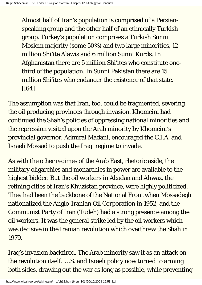Almost half of Iran's population is comprised of a Persianspeaking group and the other half of an ethnically Turkish group. Turkey's population comprises a Turkish Sunni Moslem majority (some 50%) and two large minorities, 12 million Shi'ite Alawis and 6 million Sunni Kurds. In Afghanistan there are 5 million Shi'ites who constitute onethird of the population. In Sunni Pakistan there are 15 million Shi'ites who endanger the existence of that state. [l64]

The assumption was that Iran, too, could be fragmented, severing the oil producing provinces through invasion. Khomeini had continued the Shah's policies of oppressing national minorities and the repression visited upon the Arab minority by Khomeini's provincial governor, Admiral Madani, encouraged the C.I.A. and Israeli Mossad to push the Iraqi regime to invade.

As with the other regimes of the Arab East, rhetoric aside, the military oligarchies and monarchies in power are available to the highest bidder. But the oil workers in Abadan and Ahwaz, the refining cities of Iran's Khuzistan province, were highly politicized. They had been the backbone of the National Front when Mossadegh nationalized the Anglo-Iranian Oil Corporation in 1952, and the Communist Party of Iran (Tudeh) had a strong presence among the oil workers. It was the general strike led by the oil workers which was decisive in the Iranian revolution which overthrew the Shah in 1979.

Iraq's invasion backfired. The Arab minority saw it as an attack on the revolution itself. U.S. and Israeli policy now turned to arming both sides, drawing out the war as long as possible, while preventing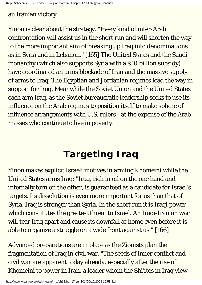#### an Iranian victory.

Yinon is clear about the strategy. "Every kind of inter-Arab confrontation will assist us in the short run and will shorten the way to the more important aim of breaking up Iraq into denominations as in Syria and in Lebanon." [165] The United States and the Saudi monarchy (which also supports Syria with a \$10 billion subsidy) have coordinated an arms blockade of Iran and the massive supply of arms to Iraq. The Egyptian and Jordanian regimes lead the way in support for Iraq. Meanwhile the Soviet Union and the United States each arm Iraq, as the Soviet bureaucratic leadership seeks to use its influence on the Arab regimes to position itself to make sphere of influence arrangements with U.S. rulers - at the expense of the Arab masses who continue to live in poverty.

# **Targeting Iraq**

Yinon makes explicit Israeli motives in arming Khomeini while the United States arms Iraq: "Iraq, rich in oil on the one hand and internally torn on the other, is guaranteed as a candidate for Israel's targets. Its dissolution is even more important for us than that of Syria. Iraq is stronger than Syria. In the short run it is Iraqi power which constitutes the greatest threat to Israel. An Iraqi-Iranian war will tear Iraq apart and cause its downfall at home even before it is able to organize a struggle on a wide front against us." [166]

Advanced preparations are in place as the Zionists plan the fragmentation of Iraq in civil war. "The seeds of inner conflict and civil war are apparent today already, especially after the rise of Khomeini to power in Iran, a leader whom the Shi'ites in Iraq view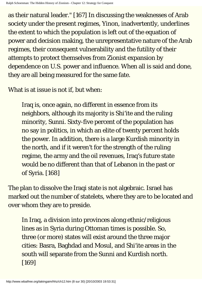as their natural leader." [167] In discussing the weaknesses of Arab society under the present regimes, Yinon, inadvertently, underlines the extent to which the population is left out of the equation of power and decision making, the unrepresentative nature of the Arab regimes, their consequent vulnerability and the futility of their attempts to protect themselves from Zionist expansion by dependence on U.S. power and influence. When all is said and done, they are all being measured for the same fate.

What is at issue is not if, but when:

Iraq is, once again, no different in essence from its neighbors, although its majority is Shi'ite and the ruling minority, Sunni. Sixty-five percent of the population has no say in politics, in which an elite of twenty percent holds the power. In addition, there is a large Kurdish minority in the north, and if it weren't for the strength of the ruling regime, the army and the oil revenues, Iraq's future state would be no different than that of Lebanon in the past or of Syria. [168]

The plan to dissolve the Iraqi state is not algebraic. Israel has marked out the number of statelets, where they are to be located and over whom they are to preside.

In Iraq, a division into provinces along ethnic/religious lines as in Syria during Ottoman times is possible. So, three (or more) states will exist around the three major cities: Basra, Baghdad and Mosul, and Shi'ite areas in the south will separate from the Sunni and Kurdish north. [169]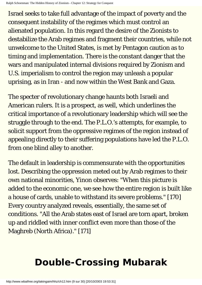Israel seeks to take full advantage of the impact of poverty and the consequent instability of the regimes which must control an alienated population. In this regard the desire of the Zionists to destabilize the Arab regimes and fragment their countries, while not unwelcome to the United States, is met by Pentagon caution as to timing and implementation. There is the constant danger that the wars and manipulated internal divisions required by Zionism and U.S. imperialism to control the region may unleash a popular uprising, as in Iran - and now within the West Bank and Gaza.

The specter of revolutionary change haunts both Israeli and American rulers. It is a prospect, as well, which underlines the critical importance of a revolutionary leadership which will see the struggle through to the end. The P.L.O.'s attempts, for example, to solicit support from the oppressive regimes of the region instead of appealing directly to their suffering populations have led the P.L.O. from one blind alley to another.

The default in leadership is commensurate with the opportunities lost. Describing the oppression meted out by Arab regimes to their own national minorities, Yinon observes: "When this picture is added to the economic one, we see how the entire region is built like a house of cards, unable to withstand its severe problems." [170] Every country analyzed reveals, essentially, the same set of conditions. "All the Arab states east of Israel are torn apart, broken up and riddled with inner conflict even more than those of the Maghreb (North Africa)." [171]

# **Double-Crossing Mubarak**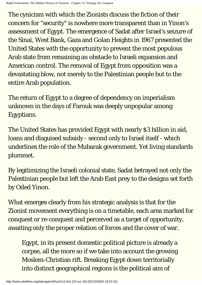The cynicism with which the Zionists discuss the fiction of their concern for "security" is nowhere more transparent than in Yinon's assessment of Egypt. The emergence of Sadat after Israel's seizure of the Sinai, West Bank, Gaza and Golan Heights in 1967 presented the United States with the opportunity to prevent the most populous Arab state from remaining an obstacle to Israeli expansion and American control. The removal of Egypt from opposition was a devastating blow, not merely to the Palestinian people but to the entire Arab population.

The return of Egypt to a degree of dependency on imperialism unknown in the days of Farouk was deeply unpopular among Egyptians.

The United States has provided Egypt with nearly \$3 billion in aid, loans and disguised subsidy - second only to Israel itself - which underlines the role of the Mubarak government. Yet living standards plummet.

By legitimizing the Israeli colonial state, Sadat betrayed not only the Palestinian people but left the Arab East prey to the designs set forth by Oded Yinon.

What emerges clearly from his strategic analysis is that for the Zionist movement everything is on a timetable, each area marked for conquest or re-conquest and perceived as a target of opportunity, awaiting only the proper relation of forces and the cover of war.

Egypt, in its present domestic political picture is already a corpse, all the more so if we take into account the growing Moslem-Christian rift. Breaking Egypt down territorially into distinct geographical regions is the political aim of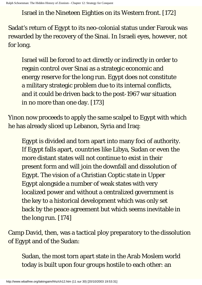#### Israel in the Nineteen Eighties on its Western front. [172]

Sadat's return of Egypt to its neo-colonial status under Farouk was rewarded by the recovery of the Sinai. In Israeli eyes, however, not for long.

Israel will be forced to act directly or indirectly in order to regain control over Sinai as a strategic economic and energy reserve for the long run. Egypt does not constitute a military strategic problem due to its internal conflicts, and it could be driven back to the post-1967 war situation in no more than one day. [173]

Yinon now proceeds to apply the same scalpel to Egypt with which he has already sliced up Lebanon, Syria and Iraq:

Egypt is divided and torn apart into many foci of authority. If Egypt falls apart, countries like Libya, Sudan or even the more distant states will not continue to exist in their present form and will join the downfall and dissolution of Egypt. The vision of a Christian Coptic state in Upper Egypt alongside a number of weak states with very localized power and without a centralized government is the key to a historical development which was only set back by the peace agreement but which seems inevitable in the long run. [174]

Camp David, then, was a tactical ploy preparatory to the dissolution of Egypt and of the Sudan:

Sudan, the most torn apart state in the Arab Moslem world today is built upon four groups hostile to each other: an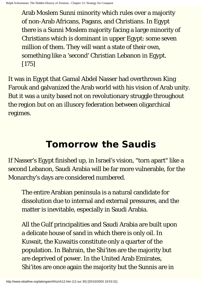Arab Moslem Sunni minority which rules over a majority of non-Arab Africans, Pagans, and Christians. In Egypt there is a Sunni Moslem majority facing a large minority of Christians which is dominant in upper Egypt: some seven million of them. They will want a state of their own, something like a 'second' Christian Lebanon in Egypt. [175]

It was in Egypt that Gamal Abdel Nasser had overthrown King Farouk and galvanized the Arab world with his vision of Arab unity. But it was a unity based not on revolutionary struggle throughout the region but on an illusory federation between oligarchical regimes.

#### **Tomorrow the Saudis**

If Nasser's Egypt finished up, in Israel's vision, "torn apart" like a second Lebanon, Saudi Arabia will be far more vulnerable, for the Monarchy's days are considered numbered.

The entire Arabian peninsula is a natural candidate for dissolution due to internal and external pressures, and the matter is inevitable, especially in Saudi Arabia.

All the Gulf principalities and Saudi Arabia are built upon a delicate house of sand in which there is only oil. In Kuwait, the Kuwaitis constitute only a quarter of the population. In Bahrain, the Shi'ites are the majority but are deprived of power. In the United Arab Emirates, Shi'ites are once again the majority but the Sunnis are in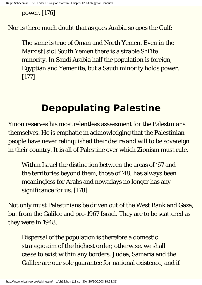power. [176]

Nor is there much doubt that as goes Arabia so goes the Gulf:

The same is true of Oman and North Yemen. Even in the Marxist [sic] South Yemen there is a sizable Shi'ite minority. In Saudi Arabia half the population is foreign, Egyptian and Yemenite, but a Saudi minority holds power. [177]

#### **Depopulating Palestine**

Yinon reserves his most relentless assessment for the Palestinians themselves. He is emphatic in acknowledging that the Palestinian people have never relinquished their desire and will to be sovereign in their country. It is all of Palestine over which Zionism must rule.

Within Israel the distinction between the areas of '67 and the territories beyond them, those of '48, has always been meaningless for Arabs and nowadays no longer has any significance for us. [178]

Not only must Palestinians be driven out of the West Bank and Gaza, but from the Galilee and pre-1967 Israel. They are to be scattered as they were in 1948.

Dispersal of the population is therefore a domestic strategic aim of the highest order; otherwise, we shall cease to exist within any borders. Judea, Samaria and the Galilee are our sole guarantee for national existence, and if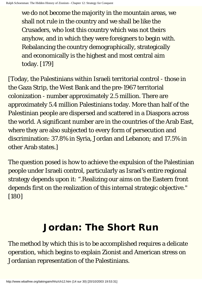we do not become the majority in the mountain areas, we shall not rule in the country and we shall be like the Crusaders, who lost this country which was not theirs anyhow, and in which they were foreigners to begin with. Rebalancing the country demographically, strategically and economically is the highest and most central aim today. [179]

[Today, the Palestinians within Israeli territorial control - those in the Gaza Strip, the West Bank and the pre-1967 territorial colonization - number approximately 2.5 million. There are approximately 5.4 million Palestinians today. More than half of the Palestinian people are dispersed and scattered in a Diaspora across the world. A significant number are in the countries of the Arab East, where they are also subjected to every form of persecution and discrimination: 37.8% in Syria, Jordan and Lebanon; and 17.5% in other Arab states.]

The question posed is how to achieve the expulsion of the Palestinian people under Israeli control, particularly as Israel's entire regional strategy depends upon it: ".Realizing our aims on the Eastern front depends first on the realization of this internal strategic objective." [180]

# **Jordan: The Short Run**

The method by which this is to be accomplished requires a delicate operation, which begins to explain Zionist and American stress on Jordanian representation of the Palestinians.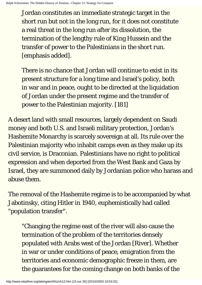Jordan constitutes an immediate strategic target in the short run but not in the long run, for it does not constitute a real threat in the long run after its dissolution, the termination of the lengthy rule of King Hussein and the transfer of power to the Palestinians *in the short run*. [emphasis added].

There is no chance that Jordan will continue to exist in its present structure for a long time and Israel's policy, both in war and in peace, ought to be directed at the liquidation of Jordan under the present regime and the transfer of power to the Palestinian majority. [181]

A desert land with small resources, largely dependent on Saudi money and both U.S. and Israeli military protection, Jordan's Hashemite Monarchy is scarcely sovereign at all. Its rule over the Palestinian majority who inhabit camps even as they make up its civil service, is Draconian. Palestinians have no right to political expression and when deported from the West Bank and Gaza by Israel, they are summoned daily by Jordanian police who harass and abuse them.

The removal of the Hashemite regime is to be accompanied by what Jabotinsky, citing Hitler in 1940, euphemistically had called "population transfer".

"Changing the regime east of the river will also cause the termination of the problem of the territories densely populated with Arabs west of the Jordan [River]. Whether in war or under conditions of peace, emigration from the territories and economic demographic freeze in them, are the guarantees for the coming change on both banks of the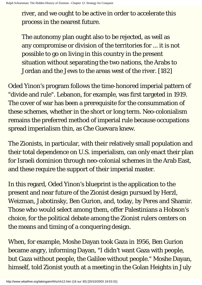river, and we ought to be active in order to accelerate this process in the nearest future.

The autonomy plan ought also to be rejected, as well as any compromise or division of the territories for ... it is not possible to go on living in this country in the present situation without separating the two nations, the Arabs to Jordan and the Jews to the areas west of the river. [182]

Oded Yinon's program follows the time-honored imperial pattern of "divide and rule". Lebanon, for example, was first targeted in 1919. The cover of war has been a prerequisite for the consummation of these schemes, whether in the short or long term. Neo-colonialism remains the preferred method of imperial rule because occupations spread imperialism thin, as Che Guevara knew.

The Zionists, in particular, with their relatively small population and their total dependence on U.S. imperialism, can only enact their plan for Israeli dominion through neo-colonial schemes in the Arab East, and these require the support of their imperial master.

In this regard, Oded Yinon's blueprint is the application to the present and near future of the Zionist design pursued by Herzl, Weizman, Jabotinsky, Ben Gurion, and, today, by Peres and Shamir. Those who would select among them, offer Palestinians a Hobson's choice, for the political debate among the Zionist rulers centers on the means and timing of a conquering design.

When, for example, Moshe Dayan took Gaza in 1956, Ben Gurion became angry, informing Dayan, "I didn't want Gaza with people, but Gaza without people, the Galilee without people." Moshe Dayan, himself, told Zionist youth at a meeting in the Golan Heights in July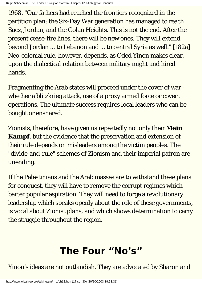1968. "Our fathers had reached the frontiers recognized in the partition plan; the Six-Day War generation has managed to reach Suez, Jordan, and the Golan Heights. This is not the end. After the present cease-fire lines, there will be new ones. They will extend beyond Jordan ... to Lebanon and ... to central Syria as well." [182a] Neo-colonial rule, however, depends, as Oded Yinon makes clear, upon the dialectical relation between military might and hired hands.

Fragmenting the Arab states will proceed under the cover of war whether a blitzkrieg attack, use of a proxy armed force or covert operations. The ultimate success requires local leaders who can be bought or ensnared.

Zionists, therefore, have given us repeatedly not only their **Mein Kampf**, but the evidence that the preservation and extension of their rule depends on misleaders among the victim peoples. The "divide-and-rule" schemes of Zionism and their imperial patron are unending.

If the Palestinians and the Arab masses are to withstand these plans for conquest, they will have to remove the corrupt regimes which barter popular aspiration. They will need to forge a revolutionary leadership which speaks openly about the role of these governments, is vocal about Zionist plans, and which shows determination to carry the struggle throughout the region.

#### **The Four "No's"**

Yinon's ideas are not outlandish. They are advocated by Sharon and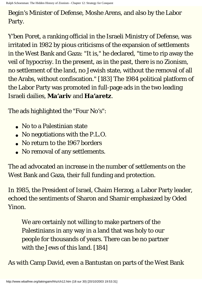Begin's Minister of Defense, Moshe Arens, and also by the Labor Party.

Y'ben Poret, a ranking official in the Israeli Ministry of Defense, was irritated in 1982 by pious criticisms of the expansion of settlements in the West Bank and Gaza: "It is," he declared, "time to rip away the veil of hypocrisy. In the present, as in the past, there is no Zionism, no settlement of the land, no Jewish state, without the removal of all the Arabs, without confiscation." [183] The 1984 political platform of the Labor Party was promoted in full-page ads in the two leading Israeli dailies, **Ma'ariv** and **Ha'aretz**.

The ads highlighted the "Four No's":

- No to a Palestinian state
- No negotiations with the P.L.O.
- No return to the 1967 borders
- No removal of any settlements.

The ad advocated an increase in the number of settlements on the West Bank and Gaza, their full funding and protection.

In 1985, the President of Israel, Chaim Herzog, a Labor Party leader, echoed the sentiments of Sharon and Shamir emphasized by Oded Yinon.

We are certainly not willing to make partners of the Palestinians in any way in a land that was holy to our people for thousands of years. There can be no partner with the Jews of this land. [184]

As with Camp David, even a Bantustan on parts of the West Bank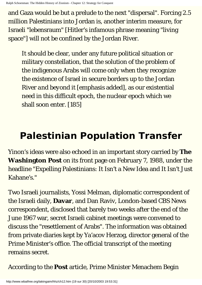and Gaza would be but a prelude to the next "dispersal". Forcing 2.5 million Palestinians into Jordan is, another interim measure, for Israeli "lebensraum" [Hitler's infamous phrase meaning "living space"] will not be confined by the Jordan River.

It should be clear, under any future political situation or military constellation, that the solution of the problem of the indigenous Arabs will come only when they recognize the existence of Israel in secure borders up to the Jordan River *and beyond it* [emphasis added], as our existential need in this difficult epoch, the nuclear epoch which we shall soon enter. [185]

## **Palestinian Population Transfer**

Yinon's ideas were also echoed in an important story carried by **The Washington Post** on its front page on February 7, 1988, under the headline "Expelling Palestinians: It Isn't a New Idea and It Isn't Just Kahane's."

Two Israeli journalists, Yossi Melman, diplomatic correspondent of the Israeli daily, **Davar**, and Dan Raviv, London-based CBS News correspondent, disclosed that barely two weeks after the end of the June 1967 war, secret Israeli cabinet meetings were convened to discuss the "resettlement of Arabs". The information was obtained from private diaries kept by Ya'acov Herzog, director general of the Prime Minister's office. The official transcript of the meeting remains secret.

According to the **Post** article, Prime Minister Menachem Begin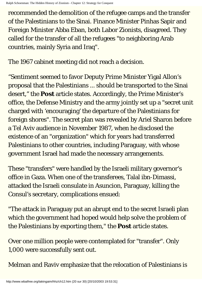recommended the demolition of the refugee camps and the transfer of the Palestinians to the Sinai. Finance Minister Pinhas Sapir and Foreign Minister Abba Eban, both Labor Zionists, disagreed. They called for the transfer of all the refugees "to neighboring Arab countries, mainly Syria and Iraq".

The 1967 cabinet meeting did not reach a decision.

"Sentiment seemed to favor Deputy Prime Minister Yigal Allon's proposal that the Palestinians ... should be transported to the Sinai desert," the **Post** article states. Accordingly, the Prime Minister's office, the Defense Ministry and the army jointly set up a "secret unit charged with 'encouraging' the departure of the Palestinians for foreign shores". The secret plan was revealed by Ariel Sharon before a Tel Aviv audience in November 1987, when he disclosed the existence of an "organization" which for years had transferred Palestinians to other countries, including Paraguay, with whose government Israel had made the necessary arrangements.

These "transfers" were handled by the Israeli military governor's office in Gaza. When one of the transferees, Talal ibn-Dimassi, attacked the Israeli consulate in Asuncion, Paraguay, killing the Consul's secretary, complications ensued:

"The attack in Paraguay put an abrupt end to the secret Israeli plan which the government had hoped would help solve the problem of the Palestinians by exporting them," the **Post** article states.

Over one million people were contemplated for "transfer". Only 1,000 were successfully sent out.

Melman and Raviv emphasize that the relocation of Palestinians is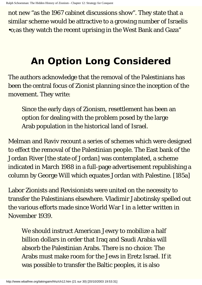not new "as the 1967 cabinet discussions show". They state that a similar scheme would be attractive to a growing number of Israelis •o;as they watch the recent uprising in the West Bank and Gaza"

# **An Option Long Considered**

The authors acknowledge that the removal of the Palestinians has been the central focus of Zionist planning since the inception of the movement. They write:

Since the early days of Zionism, resettlement has been an option for dealing with the problem posed by the large Arab population in the historical land of Israel.

Melman and Raviv recount a series of schemes which were designed to effect the removal of the Palestinian people. The East bank of the Jordan River [the state of Jordan] was contemplated, a scheme indicated in March 1988 in a full-page advertisement republishing a column by George Will which equates Jordan with Palestine. [185a]

Labor Zionists and Revisionists were united on the necessity to transfer the Palestinians elsewhere. Vladimir Jabotinsky spelled out the various efforts made since World War I in a letter written in November 1939.

We should instruct American Jewry to mobilize a half billion dollars in order that Iraq and Saudi Arabia will absorb the Palestinian Arabs. There is no choice: The Arabs must make room for the Jews in Eretz Israel. If it was possible to transfer the Baltic peoples, it is also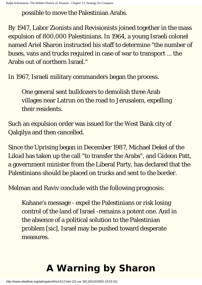possible to move the Palestinian Arabs.

By 1947, Labor Zionists and Revisionists joined together in the mass expulsion of 800,000 Palestinians. In 1964, a young Israeli colonel named Ariel Sharon instructed his staff to determine "the number of buses, vans and trucks required in case of war to transport ... the Arabs out of northern Israel."

In 1967, Israeli military commanders began the process.

One general sent bulldozers to demolish three Arab villages near Latrun on the road to Jerusalem, expelling their residents.

Such an expulsion order was issued for the West Bank city of Qalqilya and then cancelled.

Since the Uprising began in December 1987, Michael Dekel of the Likud has taken up the call "to transfer the Arabs", and Gideon Patt, a government minister from the Liberal Party, has declared that the Palestinians should be placed on trucks and sent to the border.

Melman and Raviv conclude with the following prognosis:

Kahane's message - expel the Palestinians or risk losing control of the land of Israel -remains a potent one. And in the absence of a political solution to the Palestinian problem [sic], Israel may be pushed toward desperate measures.

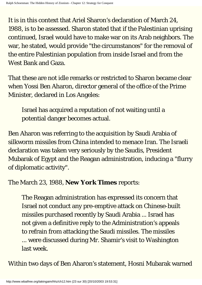It is in this context that Ariel Sharon's declaration of March 24, 1988, is to be assessed. Sharon stated that if the Palestinian uprising continued, Israel would have to make war on its Arab neighbors. The war, he stated, would provide "the circumstances" for the removal of the entire Palestinian population from inside Israel and from the West Bank and Gaza.

That these are not idle remarks or restricted to Sharon became clear when Yossi Ben Aharon, director general of the office of the Prime Minister, declared in Los Angeles:

Israel has acquired a reputation of not waiting until a potential danger becomes actual.

Ben Aharon was referring to the acquisition by Saudi Arabia of silkworm missiles from China intended to menace Iran. The Israeli declaration was taken very seriously by the Saudis, President Mubarak of Egypt and the Reagan administration, inducing a "flurry of diplomatic activity".

#### The March 23, 1988, **New York Times** reports:

The Reagan administration has expressed its concern that Israel not conduct any pre-emptive attack on Chinese-built missiles purchased recently by Saudi Arabia ... Israel has not given a definitive reply to the Administration's appeals to refrain from attacking the Saudi missiles. The missiles ... were discussed during Mr. Shamir's visit to Washington last week.

Within two days of Ben Aharon's statement, Hosni Mubarak warned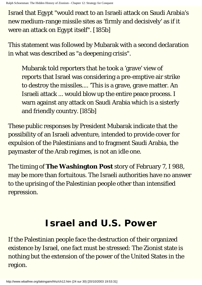Israel that Egypt "would react to an Israeli attack on Saudi Arabia's new medium-range missile sites as 'firmly and decisively' as if it were an attack on Egypt itself". [185b]

This statement was followed by Mubarak with a second declaration in what was described as "a deepening crisis".

Mubarak told reporters that he took a 'grave' view of reports that Israel was considering a pre-emptive air strike to destroy the missiles.... 'This is a grave, grave matter. An Israeli attack ... would blow up the entire peace process. I warn against any attack on Saudi Arabia which is a sisterly and friendly country. [l85b]

These public responses by President Mubarak indicate that the possibility of an Israeli adventure, intended to provide cover for expulsion of the Palestinians and to fragment Saudi Arabia, the paymaster of the Arab regimes, is not an idle one.

The timing of **The Washington Post** story of February 7, I 988, may be more than fortuitous. The Israeli authorities have no answer to the uprising of the Palestinian people other than intensified repression.

## **Israel and U.S. Power**

If the Palestinian people face the destruction of their organized existence by Israel, one fact must be stressed: The Zionist state is nothing but the extension of the power of the United States in the region.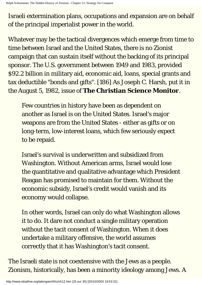Israeli extermination plans, occupations and expansion are on behalf of the principal imperialist power in the world.

Whatever may be the tactical divergences which emerge from time to time between Israel and the United States, there is no Zionist campaign that can sustain itself without the backing of its principal sponsor. The U.S. government between 1949 and 1983, provided \$92.2 billion in military aid, economic aid, loans, special grants and tax deductible "bonds and gifts". [186] As Joseph C. Harsh, put it in the August 5, 1982, issue of **The Christian Science Monitor**.

Few countries in history have been as dependent on another as Israel is on the United States. Israel's major weapons are from the United States - either as gifts or on long-term, low-interest loans, which few seriously expect to be repaid.

Israel's survival is underwritten and subsidized from Washington. Without American arms, Israel would lose the quantitative and qualitative advantage which President Reagan has promised to maintain for them. Without the economic subsidy, Israel's credit would vanish and its economy would collapse.

In other words, Israel can only do what Washington allows it to do. It dare not conduct a single military operation without the tacit consent of Washington. When it does undertake a military offensive, the world assumes correctly that it has Washington's tacit consent.

The Israeli state is not coextensive with the Jews as a people. Zionism, historically, has been a minority ideology among Jews. A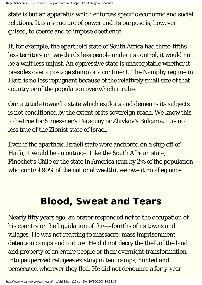state is but an apparatus which enforces specific economic and social relations. It is a structure of power and its purpose is, however guised, to coerce and to impose obedience.

If, for example, the apartheid state of South Africa had three-fifths less territory or two-thirds less people under its control, it would not be a whit less unjust. An oppressive state is unacceptable whether it presides over a postage stamp or a continent. The Namphy regime in Haiti is no less repugnant because of the relatively small size of that country or of the population over which it rules.

Our attitude toward a state which exploits and demeans its subjects is not conditioned by the extent of its sovereign reach. We know this to be true for Stroessner's Paraguay or Zhivkov's Bulgaria. It is no less true of the Zionist state of Israel.

Even if the apartheid Israeli state were anchored on a ship off of Haifa, it would be an outrage. Like the South African state, Pinochet's Chile or the state in America (run by 2% of the population who control 90% of the national wealth), we owe it no allegiance.

## **Blood, Sweat and Tears**

Nearly fifty years ago, an orator responded not to the occupation of his country or the liquidation of three-fourths of its towns and villages. He was not reacting to massacre, mass imprisonment, detention camps and torture. He did not decry the theft of the land and property of an entire people or their overnight transformation into pauperized refugees existing in tent camps, hunted and persecuted wherever they fled. He did not denounce a forty-year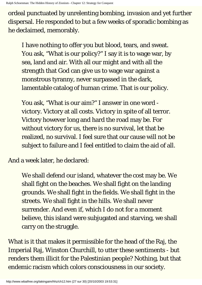ordeal punctuated by unrelenting bombing, invasion and yet further dispersal. He responded to but a few weeks of sporadic bombing as he declaimed, memorably.

I have nothing to offer you but blood, tears, and sweat. You ask, "What is our policy?" I say it is to wage war, by sea, land and air. With all our might and with all the strength that God can give us to wage war against a monstrous tyranny, never surpassed in the dark, lamentable catalog of human crime. That is our policy.

You ask, "What is our aim?" I answer in one word victory. Victory at all costs. Victory in spite of all terror. Victory however long and hard the road may be. For without victory for us, there is no survival, let that be realized, no survival. I feel sure that our cause will not be subject to failure and I feel entitled to claim the aid of all.

And a week later, he declared:

We shall defend our island, whatever the cost may be. We shall fight on the beaches. We shall fight on the landing grounds. We shall fight in the fields. We shall fight in the streets. We shall fight in the hills. We shall never surrender. And even if, which I do not for a moment believe, this island were subjugated and starving, we shall carry on the struggle.

What is it that makes it permissible for the head of the Raj, the Imperial Raj, Winston Churchill, to utter these sentiments - but renders them illicit for the Palestinian people? Nothing, but that endemic racism which colors consciousness in our society.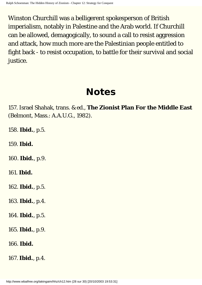Winston Churchill was a belligerent spokesperson of British imperialism, notably in Palestine and the Arab world. If Churchill can be allowed, demagogically, to sound a call to resist aggression and attack, how much more are the Palestinian people entitled to fight back - to resist occupation, to battle for their survival and social justice.

#### **Notes**

157. Israel Shahak, trans. & ed., **The Zionist Plan For the Middle East** (Belmont, Mass.: A.A.U.G., 1982).

158. **Ibid.**, p.5.

159. **Ibid.**

160. **Ibid.**, p.9.

161. **Ibid.**

162. **Ibid.**, p.5.

163. **Ibid.**, p.4.

164. **Ibid.**, p.5.

165. **Ibid.**, p.9.

166. **Ibid.**

167. **Ibid.**, p.4.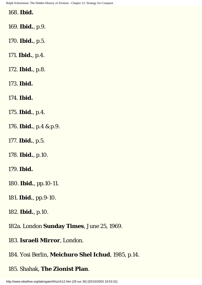#### 168. **Ibid.**

- 169. **Ibid.**, p.9.
- 170. **Ibid.**, p.5.
- 171. **Ibid.**, p.4.
- 172. **Ibid.**, p.8.
- 173. **Ibid.**
- 174. **Ibid.**
- 175. **Ibid.**, p.4.
- 176. **Ibid.**, p.4 & p.9.
- 177. **Ibid.**, p.5.
- 178. **Ibid.**, p.10.
- 179. **Ibid.**
- 180. **Ibid.**, pp.10-11.
- 181. **Ibid.**, pp.9-10.
- 182. **Ibid.**, p.10.
- 182a. London **Sunday Times**, June 25, 1969.
- 183. **Israeli Mirror**, London.
- 184. Yosi Berlin, **Meichuro Shel Ichud**, 1985, p.14.
- 185. Shahak, **The Zionist Plan**.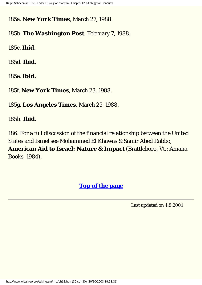185a. **New York Times**, March 27, 1988.

185b. **The Washington Post**, February 7, 1988.

185c. **Ibid.**

185d. **Ibid.**

185e. **Ibid.**

185f. **New York Times**, March 23, 1988.

185g. **Los Angeles Times**, March 25, 1988.

185h. **Ibid.**

186. For a full discussion of the financial relationship between the United States and Israel see Mohammed El Khawas & Samir Abed Rabbo, **American Aid to Israel: Nature & Impact** (Brattleboro, Vt.: Amana Books, 1984).

#### **[Top of the page](#page-38-0)**

Last updated on 4.8.2001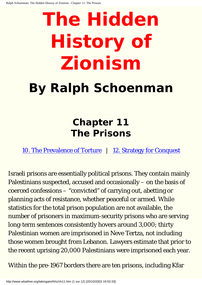# <span id="page-68-0"></span>**The Hidden History of Zionism**

# **By Ralph Schoenman**

## **Chapter 11 The Prisons**

[10. The Prevalence of Torture](#page-80-0) | [12. Strategy for Conquest](#page-38-0)

Israeli prisons are essentially political prisons. They contain mainly Palestinians suspected, accused and occasionally – on the basis of coerced confessions – "convicted" of carrying out, abetting or planning acts of resistance, whether peaceful or armed. While statistics for the total prison population are not available, the number of prisoners in maximum-security prisons who are serving long-term sentences consistently hovers around 3,000; thirty Palestinian women are imprisoned in Neve Tertza, not including those women brought from Lebanon. Lawyers estimate that prior to the recent uprising 20,000 Palestinians were imprisoned each year.

Within the pre-1967 borders there are ten prisons, including Kfar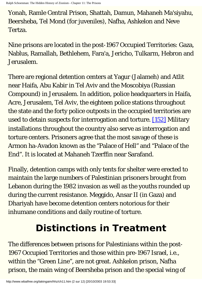Yonah, Ramle Central Prison, Shattah, Damun, Mahaneh Ma'siyahu, Beersheba, Tel Mond (for juveniles), Nafha, Ashkelon and Neve Tertza.

Nine prisons are located in the post-1967 Occupied Territories: Gaza, Nablus, Ramallah, Bethlehem, Fara'a, Jericho, Tulkarm, Hebron and Jerusalem.

There are regional detention centers at Yagur (Jalameh) and Atlit near Haifa, Abu Kabir in Tel Aviv and the Moscobiya (Russian Compound) in Jerusalem. In addition, police headquarters in Haifa, Acre, Jerusalem, Tel Aviv, the eighteen police stations throughout the state and the forty police outposts in the occupied territories are used to detain suspects for interrogation and torture. [\[152\]](#page-78-0) Military installations throughout the country also serve as interrogation and torture centers. Prisoners agree that the most savage of these is Armon ha-Avadon known as the "Palace of Hell" and "Palace of the End". It is located at Mahaneh Tzerffin near Sarafand.

Finally, detention camps with only tents for shelter were erected to maintain the large numbers of Palestinian prisoners brought from Lebanon during the 1982 invasion as well as the youths rounded up during the current resistance. Meggido, Ansar II (in Gaza) and Dhariyah have become detention centers notorious for their inhumane conditions and daily routine of torture.

## **Distinctions in Treatment**

The differences between prisons for Palestinians within the post-1967 Occupied Territories and those within pre-1967 Israel, i.e., within the "Green Line", are not great. Ashkelon prison, Nafha prison, the main wing of Beersheba prison and the special wing of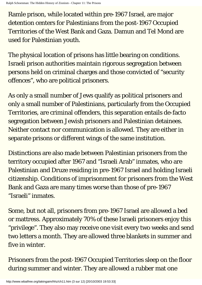Ramle prison, while located within pre-1967 Israel, are major detention centers for Palestinians from the post-1967 Occupied Territories of the West Bank and Gaza. Damun and Tel Mond are used for Palestinian youth.

The physical location of prisons has little bearing on conditions. Israeli prison authorities maintain rigorous segregation between persons held on criminal charges and those convicted of "security offences", who are political prisoners.

As only a small number of Jews qualify as political prisoners and only a small number of Palestinians, particularly from the Occupied Territories, are criminal offenders, this separation entails de-facto segregation between Jewish prisoners and Palestinian detainees. Neither contact nor communication is allowed. They are either in separate prisons or different wings of the same institution.

Distinctions are also made between Palestinian prisoners from the territory occupied after 1967 and "Israeli Arab" inmates, who are Palestinian and Druze residing in pre-1967 Israel and holding Israeli citizenship. Conditions of imprisonment for prisoners from the West Bank and Gaza are many times worse than those of pre-1967 "Israeli" inmates.

Some, but not all, prisoners from pre-1967 Israel are allowed a bed or mattress. Approximately 70% of these Israeli prisoners enjoy this "privilege". They also may receive one visit every two weeks and send two letters a month. They are allowed three blankets in summer and five in winter.

Prisoners from the post-1967 Occupied Territories sleep on the floor during summer and winter. They are allowed a rubber mat one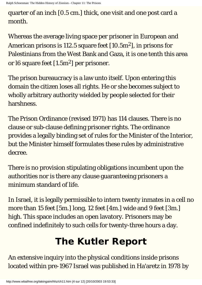quarter of an inch [0.5 cm.] thick, one visit and one post card a month.

Whereas the average living space per prisoner in European and American prisons is 112.5 square feet [10.5m2], in prisons for Palestinians from the West Bank and Gaza, it is one tenth this area or l6 square feet [1.5m2] per prisoner.

The prison bureaucracy is a law unto itself. Upon entering this domain the citizen loses all rights. He or she becomes subject to wholly arbitrary authority wielded by people selected for their harshness.

The Prison Ordinance (revised 1971) has 114 clauses. There is no clause or sub-clause defining prisoner rights. The ordinance provides a legally binding set of rules for the Minister of the Interior, but the Minister himself formulates these rules by administrative decree.

There is no provision stipulating obligations incumbent upon the authorities nor is there any clause guaranteeing prisoners a minimum standard of life.

In Israel, it is legally permissible to intern twenty inmates in a cell no more than 15 feet [5m.] long, 12 feet [4m.] wide and 9 feet [3m.] high. This space includes an open lavatory. Prisoners may be confined indefinitely to such cells for twenty-three hours a day.

# **The Kutler Report**

An extensive inquiry into the physical conditions inside prisons located within pre-1967 Israel was published in Ha'aretz in 1978 by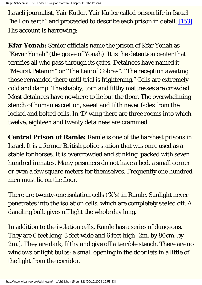<span id="page-72-0"></span>Israeli journalist, Yair Kutler. Yair Kutler called prison life in Israel "hell on earth" and proceeded to describe each prison in detail. [\[153\]](#page-78-0) His account is harrowing:

**Kfar Yonah:** Senior officials name the prison of Kfar Yonah as "Kevar Yonah" (the grave of Yonah). It is the detention center that terrifies all who pass through its gates. Detainees have named it "Meurat Petanim" or "The Lair of Cobras". "The reception awaiting those remanded there until trial is frightening." Cells are extremely cold and damp. The shabby, torn and filthy mattresses are crowded. Most detainees have nowhere to lie but the floor. The overwhelming stench of human excretion, sweat and filth never fades from the locked and bolted cells. In 'D' wing there are three rooms into which twelve, eighteen and twenty detainees are crammed.

**Central Prison of Ramle:** Ramle is one of the harshest prisons in Israel. It is a former British police station that was once used as a stable for horses. It is overcrowded and stinking, packed with seven hundred inmates. Many prisoners do not have a bed, a small corner or even a few square meters for themselves. Frequently one hundred men must lie on the floor.

There are twenty-one isolation cells ('X's) in Ramle. Sunlight never penetrates into the isolation cells, which are completely sealed off. A dangling bulb gives off light the whole day long.

In addition to the isolation cells, Ramle has a series of dungeons. They are 6 feet long, 3 feet wide and 6 feet high [2m. by 80cm. by 2m.]. They are dark, filthy and give off a terrible stench. There are no windows or light bulbs; a small opening in the door lets in a little of the light from the corridor.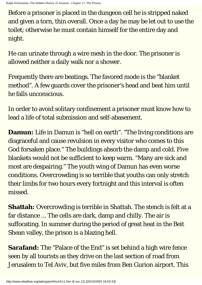Before a prisoner is placed in the dungeon cell he is stripped naked and given a torn, thin overall. Once a day he may be let out to use the toilet; otherwise he must contain himself for the entire day and night.

He can urinate through a wire mesh in the door. The prisoner is allowed neither a daily walk nor a shower.

Frequently there are beatings. The favored mode is the "blanket method". A few guards cover the prisoner's head and beat him until he falls unconscious.

In order to avoid solitary confinement a prisoner must know how to lead a life of total submission and self-abasement.

**Damun:** Life in Damun is "hell on earth". "The living conditions are disgraceful and cause revulsion in every visitor who comes to this God forsaken place." The buildings absorb the damp and cold. Five blankets would not be sufficient to keep warm. "Many are sick and most are despairing." The youth wing of Damun has even worse conditions. Overcrowding is so terrible that youths can only stretch their limbs for two hours every fortnight and this interval is often missed.

**Shattah:** Overcrowding is terrible in Shattah. The stench is felt at a far distance ... The cells are dark, damp and chilly. The air is suffocating. In summer during the period of great heat in the Beit Shean valley, the prison is a blazing hell.

**Sarafand:** The "Palace of the End" is set behind a high wire fence seen by all tourists as they drive on the last section of road from Jerusalem to Tel Aviv, but five miles from Ben Gurion airport. This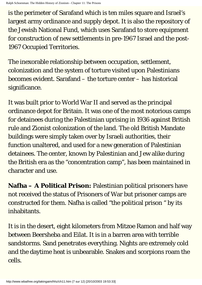is the perimeter of Sarafand which is ten miles square and Israel's largest army ordinance and supply depot. It is also the repository of the Jewish National Fund, which uses Sarafand to store equipment for construction of new settlements in pre-1967 Israel and the post-1967 Occupied Territories.

The inexorable relationship between occupation, settlement, colonization and the system of torture visited upon Palestinians becomes evident. Sarafand – the torture center – has historical significance.

It was built prior to World War II and served as the principal ordinance depot for Britain. It was one of the most notorious camps for detainees during the Palestinian uprising in 1936 against British rule and Zionist colonization of the land. The old British Mandate buildings were simply taken over by Israeli authorities, their function unaltered, and used for a new generation of Palestinian detainees. The center, known by Palestinian and Jew alike during the British era as the "concentration camp", has been maintained in character and use.

**Nafha – A Political Prison:** Palestinian political prisoners have not received the status of Prisoners of War but prisoner camps are constructed for them. Nafha is called "the political prison " by its inhabitants.

It is in the desert, eight kilometers from Mitzoe Ramon and half way between Beersheba and Eilat. It is in a barren area with terrible sandstorms. Sand penetrates everything. Nights are extremely cold and the daytime heat is unbearable. Snakes and scorpions roam the cells.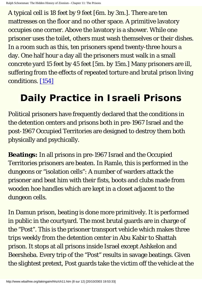A typical cell is 18 feet by 9 feet [6m. by 3m.]. There are ten mattresses on the floor and no other space. A primitive lavatory occupies one corner. Above the lavatory is a shower. While one prisoner uses the toilet, others must wash themselves or their dishes. In a room such as this, ten prisoners spend twenty-three hours a day. One half hour a day all the prisoners must walk in a small concrete yard 15 feet by 45 feet [5m. by 15m.] Many prisoners are ill, suffering from the effects of repeated torture and brutal prison living conditions. [\[154\]](#page-78-1)

## <span id="page-75-0"></span>**Daily Practice in Israeli Prisons**

Political prisoners have frequently declared that the conditions in the detention centers and prisons both in pre-1967 Israel and the post-1967 Occupied Territories are designed to destroy them both physically and psychically.

**Beatings:** In all prisons in pre-1967 Israel and the Occupied Territories prisoners are beaten. In Ramle, this is performed in the dungeons or "isolation cells": A number of warders attack the prisoner and beat him with their fists, boots and clubs made from wooden hoe handles which are kept in a closet adjacent to the dungeon cells.

In Damun prison, beating is done more primitively. It is performed in public in the courtyard. The most brutal guards are in charge of the "Post". This is the prisoner transport vehicle which makes three trips weekly from the detention center in Abu Kabir to Shattah prison. It stops at all prisons inside Israel except Ashkelon and Beersheba. Every trip of the "Post" results in savage beatings. Given the slightest pretext, Post guards take the victim off the vehicle at the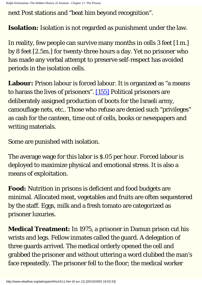next Post stations and "beat him beyond recognition".

**Isolation:** Isolation is not regarded as punishment under the law.

In reality, few people can survive many months in cells 3 feet [1 m.] by 8 feet [2.5m.] for twenty-three hours a day. Yet no prisoner who has made any verbal attempt to preserve self-respect has avoided periods in the isolation cells.

<span id="page-76-0"></span>**Labour:** Prison labour is forced labour. It is organized as "a means to harass the lives of prisoners". [\[155\]](#page-78-2) Political prisoners are deliberately assigned production of boots for the Israeli army, camouflage nets, etc.. Those who refuse are denied such "privileges" as cash for the canteen, time out of cells, books or newspapers and writing materials.

Some are punished with isolation.

The average wage for this labor is \$.05 per hour. Forced labour is deployed to maximize physical and emotional stress. It is also a means of exploitation.

**Food:** Nutrition in prisons is deficient and food budgets are minimal. Allocated meat, vegetables and fruits are often sequestered by the staff. Eggs, milk and a fresh tomato are categorized as prisoner luxuries.

**Medical Treatment:** In 1975, a prisoner in Damun prison cut his wrists and legs. Fellow inmates called the guard. A delegation of three guards arrived. The medical orderly opened the cell and grabbed the prisoner and without uttering a word clubbed the man's face repeatedly. The prisoner fell to the floor; the medical worker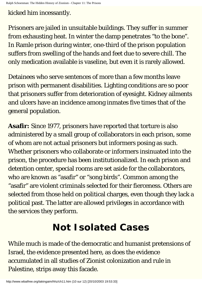#### kicked him incessantly.

Prisoners are jailed in unsuitable buildings. They suffer in summer from exhausting heat. In winter the damp penetrates "to the bone". In Ramle prison during winter, one-third of the prison population suffers from swelling of the hands and feet due to severe chill. The only medication available is vaseline, but even it is rarely allowed.

Detainees who serve sentences of more than a few months leave prison with permanent disabilities. Lighting conditions are so poor that prisoners suffer from deterioration of eyesight. Kidney ailments and ulcers have an incidence among inmates five times that of the general population.

**Asafir:** Since 1977, prisoners have reported that torture is also administered by a small group of collaborators in each prison, some of whom are not actual prisoners but informers posing as such. Whether prisoners who collaborate or informers insinuated into the prison, the procedure has been institutionalized. In each prison and detention center, special rooms are set aside for the collaborators, who are known as "asafir" or "song birds". Common among the "asafir" are violent criminals selected for their fierceness. Others are selected from those held on political charges, even though they lack a political past. The latter are allowed privileges in accordance with the services they perform.

## **Not Isolated Cases**

While much is made of the democratic and humanist pretensions of Israel, the evidence presented here, as does the evidence accumulated in all studies of Zionist colonization and rule in Palestine, strips away this facade.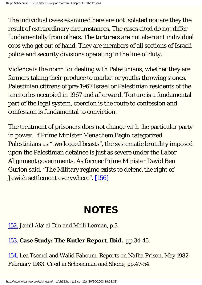The individual cases examined here are not isolated nor are they the result of extraordinary circumstances. The cases cited do not differ fundamentally from others. The torturers are not aberrant individual cops who get out of hand. They are members of all sections of Israeli police and security divisions operating in the line of duty.

Violence is the norm for dealing with Palestinians, whether they are farmers taking their produce to market or youths throwing stones, Palestinian citizens of pre-1967 Israel or Palestinian residents of the territories occupied in 1967 and afterward. Torture is a fundamental part of the legal system, coercion is the route to confession and confession is fundamental to conviction.

The treatment of prisoners does not change with the particular party in power. If Prime Minister Menachem Begin categorized Palestinians as "two legged beasts", the systematic brutality imposed upon the Palestinian detainee is just as severe under the Labor Alignment governments. As former Prime Minister David Ben Gurion said, "The Military regime exists to defend the right of Jewish settlement everywhere". [\[156\]](#page-79-0)

## **NOTES**

<span id="page-78-3"></span><span id="page-78-0"></span>[152.](#page-69-0) Jamil Ala' al-Din and Melli Lerman, p.3.

#### <span id="page-78-1"></span>[153.](#page-72-0) **Case Study: The Kutler Report**. **Ibid.**, pp.34-45.

<span id="page-78-2"></span>[154.](#page-75-0) Lea Tsemel and Walid Fahoum, *Reports on Nafha Prison*, May 1982- February 1983. Cited in Schoenman and Shone, pp.47-54.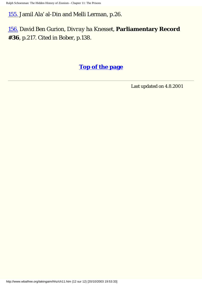#### <span id="page-79-0"></span>[155.](#page-76-0) Jamil Ala' al-Din and Melli Lerman, p.26.

#### [156.](#page-78-3) David Ben Gurion, *Divray ha Knesset*, **Parliamentary Record #36**, p.217. Cited in Bober, p.138.

#### **[Top of the page](#page-68-0)**

Last updated on 4.8.2001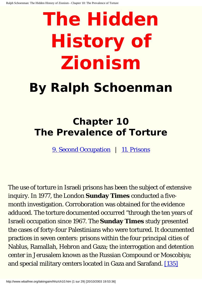# **The Hidden History of Zionism**

## **By Ralph Schoenman**

## **Chapter 10 The Prevalence of Torture**

[9. Second Occupation](#page-109-0) | [11. Prisons](#page-68-0)

<span id="page-80-0"></span>The use of torture in Israeli prisons has been the subject of extensive inquiry. In 1977, the London **Sunday Times** conducted a fivemonth investigation. Corroboration was obtained for the evidence adduced. The torture documented occurred "through the ten years of Israeli occupation since 1967. The **Sunday Times** study presented the cases of forty-four Palestinians who were tortured. It documented practices in seven centers: prisons within the four principal cities of Nablus, Ramallah, Hebron and Gaza; the interrogation and detention center in Jerusalem known as the Russian Compound or Moscobiya; and special military centers located in Gaza and Sarafand. [\[135\]](#page-106-0)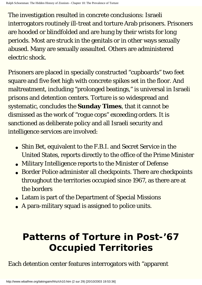The investigation resulted in concrete conclusions: Israeli interrogators routinely ill-treat and torture Arab prisoners. Prisoners are hooded or blindfolded and are hung by their wrists for long periods. Most are struck in the genitals or in other ways sexually abused. Many are sexually assaulted. Others are administered electric shock.

Prisoners are placed in specially constructed "cupboards" two feet square and five feet high with concrete spikes set in the floor. And maltreatment, including "prolonged beatings," is universal in Israeli prisons and detention centers. Torture is so widespread and systematic, concludes the **Sunday Times**, that it cannot be dismissed as the work of "rogue cops" exceeding orders. It is sanctioned as deliberate policy and all Israeli security and intelligence services are involved:

- Shin Bet, equivalent to the F.B.I. and Secret Service in the United States, reports directly to the office of the Prime Minister
- Military Intelligence reports to the Minister of Defense
- Border Police administer all checkpoints. There are checkpoints throughout the territories occupied since 1967, as there are at the borders
- Latam is part of the Department of Special Missions
- A para-military squad is assigned to police units.

## **Patterns of Torture in Post-'67 Occupied Territories**

Each detention center features interrogators with "apparent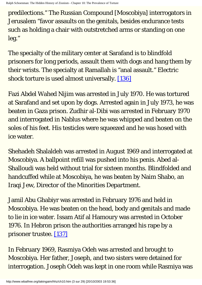predilections." The Russian Compound [Moscobiya] interrogators in Jerusalem "favor assaults on the genitals, besides endurance tests such as holding a chair with outstretched arms or standing on one leg."

The specialty of the military center at Sarafand is to blindfold prisoners for long periods, assault them with dogs and hang them by their wrists. The specialty at Ramallah is "anal assault." Electric shock torture is used almost universally. [\[136\]](#page-106-1)

<span id="page-82-0"></span>Fazi Abdel Wahed Nijim was arrested in July 1970. He was tortured at Sarafand and set upon by dogs. Arrested again in July 1973, he was beaten in Gaza prison. Zudhir al-Dibi was arrested in February 1970 and interrogated in Nablus where he was whipped and beaten on the soles of his feet. His testicles were squeezed and he was hosed with ice water.

Shehadeh Shalaldeh was arrested in August 1969 and interrogated at Moscobiya. A ballpoint refill was pushed into his penis. Abed al-Shalloudi was held without trial for sixteen months. Blindfolded and handcuffed while at Moscobiya, he was beaten by Naim Shabo, an Iraqi Jew, Director of the Minorities Department.

Jamil Abu Ghabiyr was arrested in February 1976 and held in Moscobiya. He was beaten on the head, body and genitals and made to lie in ice water. Issam Atif al Hamoury was arrested in October 1976. In Hebron prison the authorities arranged his rape by a prisoner trustee. [\[137\]](#page-107-0)

<span id="page-82-1"></span>In February 1969, Rasmiya Odeh was arrested and brought to Moscobiya. Her father, Joseph, and two sisters were detained for interrogation. Joseph Odeh was kept in one room while Rasmiya was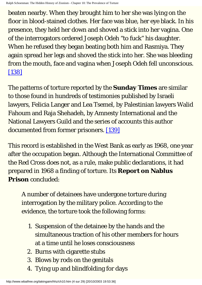beaten nearby. When they brought him to her she was lying on the floor in blood-stained clothes. Her face was blue, her eye black. In his presence, they held her down and shoved a stick into her vagina. One of the interrogators ordered Joseph Odeh "to fuck" his daughter. When he refused they began beating both him and Rasmiya. They again spread her legs and shoved the stick into her. She was bleeding from the mouth, face and vagina when Joseph Odeh fell unconscious. [\[138\]](#page-107-1)

<span id="page-83-0"></span>The patterns of torture reported by the **Sunday Times** are similar to those found in hundreds of testimonies published by Israeli lawyers, Felicia Langer and Lea Tsemel, by Palestinian lawyers Walid Fahoum and Raja Shehadeh, by Amnesty International and the National Lawyers Guild and the series of accounts this author documented from former prisoners. [\[139\]](#page-107-2)

<span id="page-83-1"></span>This record is established in the West Bank as early as 1968, one year after the occupation began. Although the International Committee of the Red Cross does not, as a rule, make public declarations, it had prepared in 1968 a finding of torture. Its **Report on Nablus Prison** concluded:

A number of detainees have undergone torture during interrogation by the military police. According to the evidence, the torture took the following forms:

- 1. Suspension of the detainee by the hands and the simultaneous traction of his other members for hours at a time until he loses consciousness
- 2. Burns with cigarette stubs
- 3. Blows by rods on the genitals
- 4. Tying up and blindfolding for days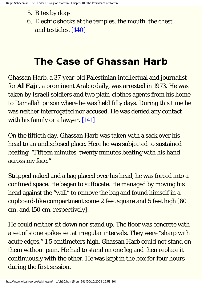- 5. Bites by dogs
- <span id="page-84-0"></span>6. Electric shocks at the temples, the mouth, the chest and testicles. [\[140\]](#page-107-3)

## **The Case of Ghassan Harb**

Ghassan Harb, a 37-year-old Palestinian intellectual and journalist for **Al Fajr**, a prominent Arabic daily, was arrested in 1973. He was taken by Israeli soldiers and two plain-clothes agents from his home to Ramallah prison where he was held fifty days. During this time he was neither interrogated nor accused. He was denied any contact with his family or a lawyer. [\[141\]](#page-107-4)

<span id="page-84-1"></span>On the fiftieth day, Ghassan Harb was taken with a sack over his head to an undisclosed place. Here he was subjected to sustained beating: "Fifteen minutes, twenty minutes beating with his hand across my face."

Stripped naked and a bag placed over his head, he was forced into a confined space. He began to suffocate. He managed by moving his head against the "wall" to remove the bag and found himself in a cupboard-like compartment some 2 feet square and 5 feet high [60 cm. and 150 cm. respectively].

He could neither sit down nor stand up. The floor was concrete with a set of stone spikes set at irregular intervals. They were "sharp with acute edges," 1.5 centimeters high. Ghassan Harb could not stand on them without pain. He had to stand on one leg and then replace it continuously with the other. He was kept in the box for four hours during the first session.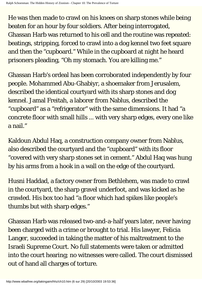He was then made to crawl on his knees on sharp stones while being beaten for an hour by four soldiers. After being interrogated, Ghassan Harb was returned to his cell and the routine was repeated: beatings, stripping, forced to crawl into a dog kennel two feet square and then the "cupboard." While in the cupboard at night he heard prisoners pleading, "Oh my stomach. You are killing me."

Ghassan Harb's ordeal has been corroborated independently by four people. Mohammed Abu-Ghabiyr, a shoemaker from Jerusalem, described the identical courtyard with its sharp stones and dog kennel. Jamal Freitah, a laborer from Nablus, described the "cupboard" as a "refrigerator" with the same dimensions. It had "a concrete floor with small hills ... with very sharp edges, every one like a nail."

Kaldoun Abdul Haq, a construction company owner from Nablus, also described the courtyard and the "cupboard" with its floor "covered with very sharp stones set in cement." Abdul Haq was hung by his arms from a hook in a wall on the edge of the courtyard.

Husni Haddad, a factory owner from Bethlehem, was made to crawl in the courtyard, the sharp gravel underfoot, and was kicked as he crawled. His box too had "a floor which had spikes like people's thumbs but with sharp edges."

Ghassan Harb was released two-and-a-half years later, never having been charged with a crime or brought to trial. His lawyer, Felicia Langer, succeeded in taking the matter of his maltreatment to the Israeli Supreme Court. No full statements were taken or admitted into the court hearing; no witnesses were called. The court dismissed out of hand all charges of torture.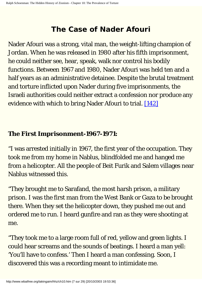#### **The Case of Nader Afouri**

Nader Afouri was a strong, vital man, the weight-lifting champion of Jordan. When he was released in 1980 after his fifth imprisonment, he could neither see, hear, speak, walk nor control his bodily functions. Between 1967 and 1980, Nader Afouri was held ten and a half years as an administrative detainee. Despite the brutal treatment and torture inflicted upon Nader during five imprisonments, the Israeli authorities could neither extract a confession nor produce any evidence with which to bring Nader Afouri to trial. [\[142\]](#page-107-5)

#### <span id="page-86-0"></span>**The First Imprisonment-1967-1971:**

"I was arrested initially in 1967, the first year of the occupation. They took me from my home in Nablus, blindfolded me and hanged me from a helicopter. All the people of Beit Furik and Salem villages near Nablus witnessed this.

"They brought me to Sarafand, the most harsh prison, a military prison. I was the first man from the West Bank or Gaza to be brought there. When they set the helicopter down, they pushed me out and ordered me to run. I heard gunfire and ran as they were shooting at me.

"They took me to a large room full of red, yellow and green lights. I could hear screams and the sounds of beatings. I heard a man yell: 'You'll have to confess.' Then I heard a man confessing. Soon, I discovered this was a recording meant to intimidate me.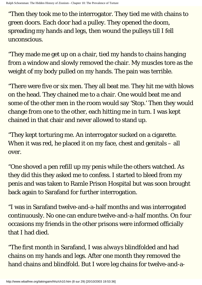"Then they took me to the interrogator. They tied me with chains to green doors. Each door had a pulley. They opened the doom, spreading my hands and legs, then wound the pulleys till I fell unconscious.

"They made me get up on a chair, tied my hands to chains hanging from a window and slowly removed the chair. My muscles tore as the weight of my body pulled on my hands. The pain was terrible.

"There were five or six men. They all beat me. They hit me with blows on the head. They chained me to a chair. One would beat me and some of the other men in the room would say 'Stop.' Then they would change from one to the other, each hitting me in turn. I was kept chained in that chair and never allowed to stand up.

"They kept torturing me. An interrogator sucked on a cigarette. When it was red, he placed it on my face, chest and genitals – all over.

"One shoved a pen refill up my penis while the others watched. As they did this they asked me to confess. I started to bleed from my penis and was taken to Ramle Prison Hospital but was soon brought back again to Sarafand for further interrogation.

"I was in Sarafand twelve-and-a-half months and was interrogated continuously. No one can endure twelve-and-a-half months. On four occasions my friends in the other prisons were informed officially that I had died.

"The first month in Sarafand, I was *always* blindfolded and had chains on my hands and legs. After one month they removed the hand chains and blindfold. But I wore leg chains for twelve-and-a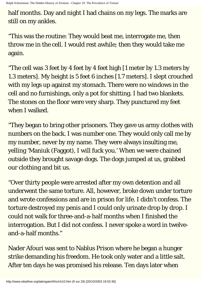half months. Day and night I had chains on my legs. The marks are still on my ankles.

"This was the routine: They would beat me, interrogate me, then throw me in the cell. I would rest awhile; then they would take me again.

"The cell was 3 feet by 4 feet by 4 feet high [1 meter by 1.3 meters by 1.3 meters]. My height is 5 feet 6 inches [1.7 meters]. I slept crouched with my legs up against my stomach. There were no windows in the cell and no furnishings, only a pot for shitting. I had two blankets. The stones on the floor were very sharp. They punctured my feet when I walked.

"They began to bring other prisoners. They gave us army clothes with numbers on the back. I was number one. They would only call me by my number, never by my name. They were always insulting me, yelling 'Maniuk (Faggot), I will fuck you.' When we were chained outside they brought savage dogs. The dogs jumped at us, grabbed our clothing and bit us.

"Over thirty people were arrested after my own detention and all underwent the same torture. All, however, broke down under torture and wrote confessions and are in prison for life. I didn't confess. The torture destroyed my penis and I could only urinate drop by drop. I could not walk for three-and-a-half months when I finished the interrogation. But I did not confess. I never spoke a word in twelveand-a-half months."

Nader Afouri was sent to Nablus Prison where he began a hunger strike demanding his freedom. He took only water and a little salt. After ten days he was promised his release. Ten days later when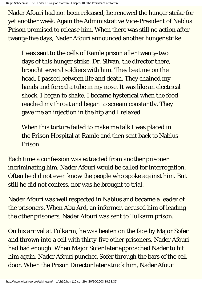Nader Afouri had not been released, he renewed the hunger strike for yet another week. Again the Administrative Vice-President of Nablus Prison promised to release him. When there was still no action after twenty-five days, Nader Afouri announced another hunger strike.

I was sent to the cells of Ramle prison after twenty-two days of this hunger strike. Dr. Silvan, the director there, brought several soldiers with him. They beat me on the head. I passed between life and death. They chained my hands and forced a tube in my nose. It was like an electrical shock. I began to shake. I became hysterical when the food reached my throat and began to scream constantly. They gave me an injection in the hip and I relaxed.

When this torture failed to make me talk I was placed in the Prison Hospital at Ramle and then sent back to Nablus Prison.

Each time a confession was extracted from another prisoner incriminating him, Nader Afouri would be called for interrogation. Often he did not even know the people who spoke against him. But still he did not confess, nor was he brought to trial.

Nader Afouri was well respected in Nablus and became a leader of the prisoners. When Abu Ard, an informer, accused him of leading the other prisoners, Nader Afouri was sent to Tulkarm prison.

On his arrival at Tulkarm, he was beaten on the face by Major Sofer and thrown into a cell with thirty-five other prisoners. Nader Afouri had had enough. When Major Sofer later approached Nader to hit him again, Nader Afouri punched Sofer through the bars of the cell door. When the Prison Director later struck him, Nader Afouri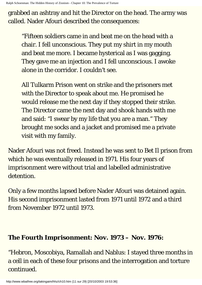grabbed an ashtray and hit the Director on the head. The army was called. Nader Afouri described the consequences:

"Fifteen soldiers came in and beat me on the head with a chair. I fell unconscious. They put my shirt in my mouth and beat me more. I became hysterical as I was gagging. They gave me an injection and I fell unconscious. I awoke alone in the corridor. I couldn't see.

All Tulkarm Prison went on strike and the prisoners met with the Director to speak about me. He promised he would release me the next day if they stopped their strike. The Director came the next day and shook hands with me and said: "I swear by my life that you are a man." They brought me socks and a jacket and promised me a private visit with my family.

Nader Afouri was not freed. Instead he was sent to Bet Il prison from which he was eventually released in 1971. His four years of imprisonment were without trial and labelled administrative detention.

Only a few months lapsed before Nader Afouri was detained again. His second imprisonment lasted from 1971 until 1972 and a third from November 1972 until 1973.

#### **The Fourth Imprisonment: Nov. 1973 – Nov. 1976:**

"Hebron, Moscobiya, Ramallah and Nablus: I stayed three months in a cell in each of these four prisons and the interrogation and torture continued.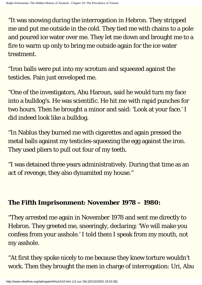"It was snowing during the interrogation in Hebron. They stripped me and put me outside in the cold. They tied me with chains to a pole and poured ice water over me. They let me down and brought me to a fire to warm up only to bring me outside again for the ice water treatment.

"Iron balls were put into my scrotum and squeezed against the testicles. Pain just enveloped me.

"One of the investigators, Abu Haroun, said he would turn my face into a bulldog's. He was scientific. He hit me with rapid punches for two hours. Then he brought a minor and said: 'Look at your face.' I did indeed look like a bulldog.

"In Nablus they burned me with cigarettes and again pressed the metal balls against my testicles-squeezing the egg against the iron. They used pliers to pull out four of my teeth.

"I was detained three years administratively. During that time as an act of revenge, they also dynamited my house."

#### **The Fifth Imprisonment: November 1978 – 1980:**

"They arrested me again in November 1978 and sent me directly to Hebron. They greeted me, sneeringly, declaring: 'We will make you confess from your asshole.' I told them I speak from my mouth, not my asshole.

"At first they spoke nicely to me because they knew torture wouldn't work. Then they brought the men in charge of interrogation: Uri, Abu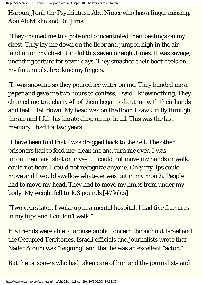Haroun, Joni, the Psychiatrist, Abu Nimer who has a finger missing, Abu Ali Mikha and Dr. Jims.

"They chained me to a pole and concentrated their beatings on my chest. They lay me down on the floor and jumped high in the air landing on my chest. Uri did this seven or eight times. It was savage, unending torture for seven days. They smashed their boot heels on my fingernails, breaking my fingers.

"It was snowing so they poured ice water on me. They handed me a paper and gave me two hours to confess. I said I knew nothing. They chained me to a chair. All of them began to beat me with their hands and feet. I fell down. My head was on the floor. I saw Uri fly through the air and I felt his karate chop on my head. This was the last memory I had for two years.

"I have been told that I was dragged back to the cell. The other prisoners had to feed me, clean me and turn me over. I was incontinent and shat on myself. I could not move my hands or walk. I could not hear. I could not recognize anyone. Only my lips could move and I would swallow whatever was put in my mouth. People had to move my head. They had to move my limbs from under my body. My weight fell to 103 pounds [47 kilos].

"Two years later, I woke up in a mental hospital. I had five fractures in my hips and I couldn't walk."

His friends were able to arouse public concern throughout Israel and the Occupied Territories. Israeli officials and journalists wrote that Nader Afouni was "feigning" and that he was an excellent "actor."

But the prisoners who had taken care of him and the journalists and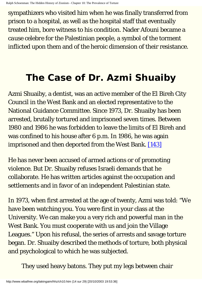sympathizers who visited him when he was finally transferred from prison to a hospital, as well as the hospital staff that eventually treated him, bore witness to his condition. Nader Afouni became a *cause celebre* for the Palestinian people, a symbol of the torment inflicted upon them and of the heroic dimension of their resistance.

## **The Case of Dr. Azmi Shuaiby**

Azmi Shuaiby, a dentist, was an active member of the El Bireh City Council in the West Bank and an elected representative to the National Guidance Committee. Since 1973, Dr. Shuaiby has been arrested, brutally tortured and imprisoned seven times. Between 1980 and 1986 he was forbidden to leave the limits of El Bireh and was confined to his house after 6 p.m. In 1986, he was again imprisoned and then deported from the West Bank. [\[143\]](#page-107-6)

<span id="page-93-0"></span>He has never been accused of armed actions or of promoting violence. But Dr. Shuaiby refuses Israeli demands that he collaborate. He has written articles against the occupation and settlements and in favor of an independent Palestinian state.

In 1973, when first arrested at the age of twenty, Azmi was told: "We have been watching you. You were first in your class at the University. We can make you a very rich and powerful man in the West Bank. You must cooperate with us and join the Village Leagues." Upon his refusal, the series of arrests and savage torture began. Dr. Shuaiby described the methods of torture, both physical and psychological to which he was subjected.

They used heavy batons. They put my legs between chair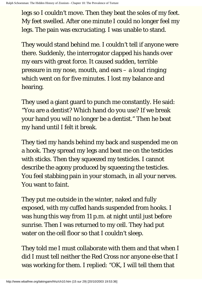legs so I couldn't move. Then they beat the soles of my feet. My feet swelled. After one minute I could no longer feel my legs. The pain was excruciating. I was unable to stand.

They would stand behind me. I couldn't tell if anyone were there. Suddenly, the interrogator clapped his hands over my ears with great force. It caused sudden, terrible pressure in my nose, mouth, and ears – a loud ringing which went on for five minutes. I lost my balance and hearing.

They used a giant guard to punch me constantly. He said: "You are a dentist? Which hand do you use? If we break your hand you will no longer be a dentist." Then he beat my hand until I felt it break.

They tied my hands behind my back and suspended me on a hook. They spread my legs and beat me on the testicles with sticks. Then they squeezed my testicles. I cannot describe the agony produced by squeezing the testicles. You feel stabbing pain in your stomach, in all your nerves. You want to faint.

They put me outside in the winter, naked and fully exposed, with my cuffed hands suspended from hooks. I was hung this way from 11 p.m. at night until just before sunrise. Then I was returned to my cell. They had put water on the cell floor so that I couldn't sleep.

They told me I must collaborate with them and that when I did I must tell neither the Red Cross nor anyone else that I was working for them. I replied: "OK, I will tell them that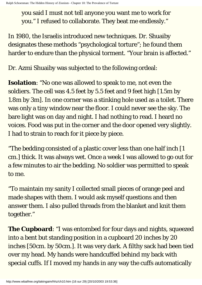you said I must not tell anyone you want me to work for you." I refused to collaborate. They beat me endlessly."

In 1980, the Israelis introduced new techniques. Dr. Shuaiby designates these methods "psychological torture"; he found them harder to endure than the physical torment. "Your brain is affected."

Dr. Azmi Shuaiby was subjected to the following ordeal:

**Isolation**: "No one was allowed to speak to me, not even the soldiers. The cell was 4.5 feet by 5.5 feet and 9 feet high [1.5m by 1.8m by 3m]. In one corner was a stinking hole used as a toilet. There was only a tiny window near the floor. I could never see the sky. The bare light was on day and night. I had nothing to read. I heard no voices. Food was put in the corner and the door opened very slightly. I had to strain to reach for it piece by piece.

"The bedding consisted of a plastic cover less than one half inch [1 cm.] thick. It was always wet. Once a week I was allowed to go out for a few minutes to air the bedding. No soldier was permitted to speak to me.

"To maintain my sanity I collected small pieces of orange peel and made shapes with them. I would ask myself questions and then answer them. I also pulled threads from the blanket and knit them together."

**The Cupboard**: "I was entombed for four days and nights, squeezed into a bent but standing position in a cupboard 20 inches by 20 inches [50cm. by 50cm.]. It was very dark. A filthy sack had been tied over my head. My hands were handcuffed behind my back with special cuffs. If I moved my hands in any way the cuffs automatically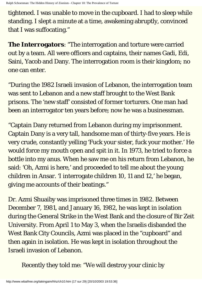tightened. I was unable to move in the cupboard. I had to sleep while standing. I slept a minute at a time, awakening abruptly, convinced that I was suffocating."

**The Interrogators**: "The interrogation and torture were carried out by a team. All were officers and captains, their names Gadi, Edi, Saini, Yacob and Dany. The interrogation room is their kingdom; no one can enter.

"During the 1982 Israeli invasion of Lebanon, the interrogation team was sent to Lebanon and a new staff brought to the West Bank prisons. The 'new staff' consisted of former torturers. One man had been an interrogator ten years before; now he was a businessman.

"Captain Dany returned from Lebanon during my imprisonment. Captain Dany is a very tall, handsome man of thirty-five years. He is very crude, constantly yelling 'Fuck your sister, fuck your mother.' He would force my mouth open and spit in it. In 1973, he tried to force a bottle into my anus. When he saw me on his return from Lebanon, he said: 'Oh, Azmi is here,' and proceeded to tell me about the young children in Ansar. 'I interrogate children 10, 11 and 12,' he began, giving me accounts of their beatings."

Dr. Azmi Shuaiby was imprisoned three times in 1982. Between December 7, 1981, and January 16, 1982, he was kept in isolation during the General Strike in the West Bank and the closure of Bir Zeit University. From April 1 to May 3, when the Israelis disbanded the West Bank City Councils, Azmi was placed in the "cupboard" and then again in isolation. He was kept in isolation throughout the Israeli invasion of Lebanon.

Recently they told me: "We will destroy your clinic by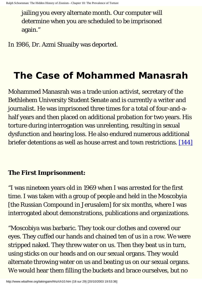jailing you every alternate month. Our computer will determine when you are scheduled to be imprisoned again."

In 1986, Dr. Azmi Shuaiby was deported.

## **The Case of Mohammed Manasrah**

Mohammed Manasrah was a trade union activist, secretary of the Bethlehem University Student Senate and is currently a writer and journalist. He was imprisoned three times for a total of four-and-ahalf years and then placed on additional probation for two years. His torture during interrogation was unrelenting, resulting in sexual dysfunction and hearing loss. He also endured numerous additional briefer detentions as well as house arrest and town restrictions. [\[144\]](#page-107-7)

#### **The First Imprisonment:**

"I was nineteen years old in 1969 when I was arrested for the first time. I was taken with a group of people and held in the Moscobyia [the Russian Compound in Jerusalem] for six months, where I was interrogated about demonstrations, publications and organizations.

"Moscobiya was barbaric. They took our clothes and covered our eyes. They cuffed our hands and chained ten of us in a row. We were stripped naked. They threw water on us. Then they beat us in turn, using sticks on our heads and on our sexual organs. They would alternate throwing water on us and beating us on our sexual organs. We would hear them filling the buckets and brace ourselves, but no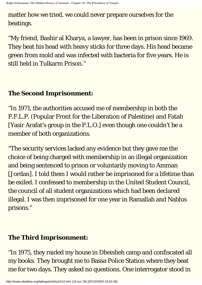#### matter how we tried, we could never prepare ourselves for the beatings.

"My friend, Bashir al Kharya, a lawyer, has been in prison since 1969. They beat his head with heavy sticks for three days. His head became green from mold and was infected with bacteria for five years. He is still held in Tulkarm Prison."

#### **The Second Imprisonment:**

"In 1971, the authorities accused me of membership in both the P.F.L.P. (Popular Front for the Liberation of Palestine) and Fatah [Yasir Arafat's group in the P.L.O.] even though one couldn't be a member of both organizations.

"The security services lacked any evidence but they gave me the choice of being charged with membership in an illegal organization and being sentenced to prison or voluntarily moving to Amman [Jordan]. I told them I would rather be imprisoned for a lifetime than be exiled. I confessed to membership in the United Student Council, the council of all student organizations which had been declared illegal. I was then imprisoned for one year in Ramallah and Nablus prisons."

#### **The Third Imprisonment:**

"In 1975, they raided my house in Dheisheh camp and confiscated all my books. They brought me to Bassa Police Station where they beat me for two days. They asked no questions. One interrogator stood in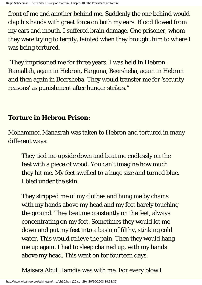front of me and another behind me. Suddenly the one behind would clap his hands with great force on both my ears. Blood flowed from my ears and mouth. I suffered brain damage. One prisoner, whom they were trying to terrify, fainted when they brought him to where I was being tortured.

"They imprisoned me for three years. I was held in Hebron, Ramallah, again in Hebron, Farguna, Beersheba, again in Hebron and then again in Beersheba. They would transfer me for 'security reasons' as punishment after hunger strikes."

#### **Torture in Hebron Prison:**

Mohammed Manasrah was taken to Hebron and tortured in many different ways:

They tied me upside down and beat me endlessly on the feet with a piece of wood. You can't imagine how much they hit me. My feet swelled to a huge size and turned blue. I bled under the skin.

They stripped me of my clothes and hung me by chains with my hands above my head and my feet barely touching the ground. They beat me constantly on the feet, always concentrating on my feet. Sometimes they would let me down and put my feet into a basin of filthy, stinking cold water. This would relieve the pain. Then they would hang me up again. I had to sleep chained up, with my hands above my head. This went on for fourteen days.

Maisara Abul Hamdia was with me. For every blow I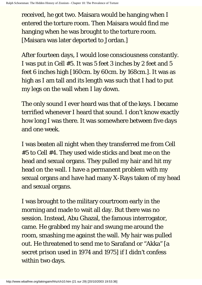received, he got two. Maisara would be hanging when I entered the torture room. Then Maisara would find me hanging when he was brought to the torture room. [Maisara was later deported to Jordan.]

After fourteen days, I would lose consciousness constantly. I was put in Cell #5. It was 5 feet 3 inches by 2 feet and 5 feet 6 inches high [160cm. by 60cm. by 168cm.]. It was as high as I am tall and its length was such that I had to put my legs on the wall when I lay down.

The only sound I ever heard was that of the keys. I became terrified whenever I heard that sound. I don't know exactly how long I was there. It was somewhere between five days and one week.

I was beaten all night when they transferred me from Cell #5 to Cell #4. They used wide sticks and beat me on the head and sexual organs. They pulled my hair and hit my head on the wall. I have a permanent problem with my sexual organs and have had many X-Rays taken of my head and sexual organs.

I was brought to the military courtroom early in the morning and made to wait all day. But there was no session. Instead, Abu Ghazal, the famous interrogator, came. He grabbed my hair and swung me around the room, smashing me against the wall. My hair was pulled out. He threatened to send me to Sarafand or "Akka" [a secret prison used in 1974 and 1975] if I didn't confess within two days.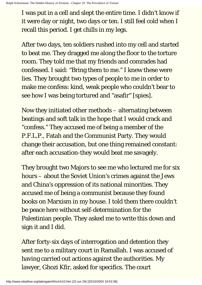I was put in a cell and slept the entire time. I didn't know if it were day or night, two days or ten. I still feel cold when I recall this period. I get chills in my legs.

After two days, ten soldiers rushed into my cell and started to beat me. They dragged me along the floor to the torture room. They told me that my friends and comrades had confessed. I said: "Bring them to me." I knew these were lies. They brought two types of people to me in order to make me confess: kind, weak people who couldn't bear to see how I was being tortured and "asafir" [spies].

Now they initiated other methods – alternating between beatings and soft talk in the hope that I would crack and "confess." They accused me of being a member of the P.F.L.P., Fatah and the Communist Party. They would change their accusation, but one thing remained constant: after each accusation-they would beat me savagely.

They brought two Majors to see me who lectured me for six hours – about the Soviet Union's crimes against the Jews and China's oppression of its national minorities. They accused me of being a communist because they found books on Marxism in my house. I told them there couldn't be peace here without self-determination for the Palestinian people. They asked me to write this down and sign it and I did.

After forty-six days of interrogation and detention they sent me to a military court in Ramallah. I was accused of having carried out actions against the authorities. My lawyer, Ghozi Kfir, asked for specifics. The court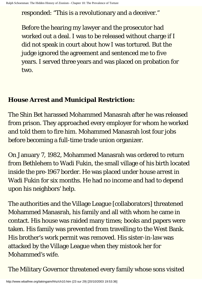responded: "This is a revolutionary and a deceiver."

Before the hearing my lawyer and the prosecutor had worked out a deal. I was to be released without charge if I *did not* speak in court about how I was tortured. But the judge ignored the agreement and sentenced me to five years. I served three years and was placed on probation for two.

#### **House Arrest and Municipal Restriction:**

The Shin Bet harassed Mohammed Manasrah after he was released from prison. They approached every employer for whom he worked and told them to fire him. Mohammed Manasrah lost four jobs before becoming a full-time trade union organizer.

On January 7, 1982, Mohammed Manasrah was ordered to return from Bethlehem to Wadi Fukin, the small village of his birth located inside the pre-1967 border. He was placed under house arrest in Wadi Fukin for six months. He had no income and had to depend upon his neighbors' help.

The authorities and the Village League [collaborators] threatened Mohammed Manasrah, his family and all with whom he came in contact. His house was raided many times; books and papers were taken. His family was prevented from travelling to the West Bank. His brother's work permit was removed. His sister-in-law was attacked by the Village League when they mistook her for Mohammed's wife.

The Military Governor threatened every family whose sons visited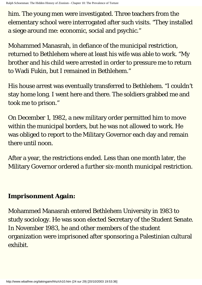him. The young men were investigated. Three teachers from the elementary school were interrogated after such visits. "They installed a siege around me: economic, social and psychic."

Mohammed Manasrah, in defiance of the municipal restriction, returned to Bethlehem where at least his wife was able to work. "My brother and his child were arrested in order to pressure me to return to Wadi Fukin, but I remained in Bethlehem."

His house arrest was eventually transferred to Bethlehem. "I couldn't stay home long. I went here and there. The soldiers grabbed me and took me to prison."

On December 1, 1982, a new military order permitted him to move within the municipal borders, but he was not allowed to work. He was obliged to report to the Military Governor each day and remain there until noon.

After a year, the restrictions ended. Less than one month later, the Military Governor ordered a further six-month municipal restriction.

#### **Imprisonment Again:**

Mohammed Manasrah entered Bethlehem University in 1983 to study sociology. He was soon elected Secretary of the Student Senate. In November 1983, he and other members of the student organization were imprisoned after sponsoring a Palestinian cultural exhibit.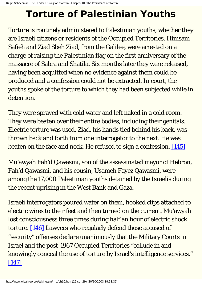## **Torture of Palestinian Youths**

Torture is routinely administered to Palestinian youths, whether they are Israeli citizens or residents of the Occupied Territories. Himsam Safieh and Ziad Sbeh Ziad, from the Galilee, were arrested on a charge of raising the Palestinian flag on the first anniversary of the massacre of Sabra and Shatila. Six months later they were released, having been acquitted when no evidence against them could be produced and a confession could not be extracted. In court, the youths spoke of the torture to which they had been subjected while in detention.

They were sprayed with cold water and left naked in a cold room. They were beaten over their entire bodies, including their genitals. Electric torture was used. Ziad, his hands tied behind his back, was thrown back and forth from one interrogator to the next. He was beaten on the face and neck. He refused to sign a confession. [\[145\]](#page-108-0)

Mu'awyah Fah'd Qawasmi, son of the assassinated mayor of Hebron, Fah'd Qawasmi, and his cousin, Usameh Fayez Qawasmi, were among the 17,000 Palestinian youths detained by the Israelis during the recent uprising in the West Bank and Gaza.

Israeli interrogators poured water on them, hooked clips attached to electric wires to their feet and then turned on the current. Mu'awyah lost consciousness three times during half an hour of electric shock torture. [\[146\]](#page-108-1) Lawyers who regularly defend those accused of "security" offenses declare unanimously that the Military Courts in Israel and the post-1967 Occupied Territories "collude in and knowingly conceal the use of torture by Israel's intelligence services." [\[147\]](#page-108-2)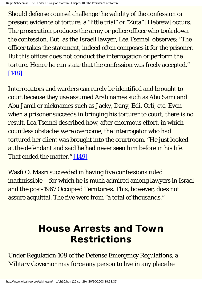Should defense counsel challenge the validity of the confession or present evidence of torture, a "little trial" or "Zuta" [Hebrew] occurs. The prosecution produces the army or police officer who took down the confession. But, as the Israeli lawyer, Lea Tsemel, observes: "The officer takes the statement, indeed often composes it for the prisoner. But this officer does not conduct the interrogation or perform the torture. Hence he can state that the confession was freely accepted." [\[148\]](#page-108-3)

Interrogators and warders can rarely be identified and brought to court because they use assumed Arab names such as Abu Sami and Abu Jamil or nicknames such as Jacky, Dany, Edi, Orli, etc. Even when a prisoner succeeds in bringing his torturer to court, there is no result. Lea Tsemel described how, after enormous effort, in which countless obstacles were overcome, the interrogator who had tortured her client was brought into the courtroom. "He just looked at the defendant and said he had never seen him before in his life. That ended the matter." [\[149\]](#page-108-4)

Wasfi O. Masri succeeded in having five confessions ruled inadmissible – for which he is much admired among lawyers in Israel and the post-1967 Occupied Territories. This, however, does not assure acquittal. The five were from "a total of thousands."

## **House Arrests and Town Restrictions**

Under Regulation 109 of the Defense Emergency Regulations, a Military Governor may force any person to live in any place he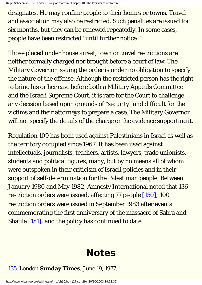designates. He may confine people to their homes or towns. Travel and association may also be restricted. Such penalties are issued for six months, but they can be renewed repeatedly. In some cases, people have been restricted "until further notice."

Those placed under house arrest, town or travel restrictions are neither formally charged nor brought before a court of law. The Military Governor issuing the order is under no obligation to specify the nature of the offense. Although the restricted person has the right to bring his or her case before both a Military Appeals Committee and the Israeli Supreme Court, it is rare for the Court to challenge any decision based upon grounds of "security" and difficult for the victims and their attorneys to prepare a case. The Military Governor will not specify the details of the charge or the evidence supporting it.

Regulation 109 has been used against Palestinians in Israel as well as the territory occupied since 1967. It has been used against intellectuals, journalists, teachers, artists, lawyers, trade unionists, students and political figures, many, but by no means all of whom were outspoken in their criticism of Israeli policies and in their support of self-determination for the Palestinian people. Between January 1980 and May 1982, Amnesty International noted that 136 restriction orders were issued, affecting 77 people [\[150\];](#page-108-5) 100 restriction orders were issued in September 1983 after events commemorating the first anniversary of the massacre of Sabra and Shatila [\[151\]](#page-108-6); and the policy has continued to date.

### **Notes**

#### <span id="page-106-1"></span><span id="page-106-0"></span>[135.](#page-80-0) London **Sunday Times**, June 19, 1977.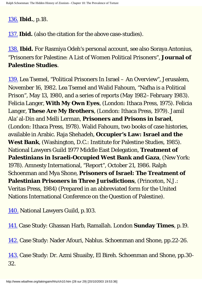<span id="page-107-0"></span>[136.](#page-82-0) **Ibid.**, p.18.

<span id="page-107-1"></span>[137.](#page-82-1) **Ibid.** (also the citation for the above case-studies).

[138.](#page-83-0) **Ibid.** For Rasmiya Odeh's personal account, see also Soraya Antonius, "Prisoners for Palestine: A List of Women Political Prisoners", **Journal of Palestine Studies**.

<span id="page-107-2"></span>[139.](#page-83-1) Lea Tsemel, "Political Prisoners In Israel – An Overview", Jerusalem, November 16, 1982. Lea Tsemel and Walid Fahoum, "Nafha is a Political Prison", May 13, 1980, and a series of reports (May 1982–February 1983). Felicia Langer, **With My Own Eyes**, (London: Ithaca Press, 1975). Felicia Langer, **These Are My Brothers**, (London: Ithaca Press, 1979). Jamil Ala' al-Din and Melli Lerman, **Prisoners and Prisons in Israel**, (London: Ithaca Press, 1978). Walid Fahoum, two books of case histories, available in Arabic. Raja Shehadeh, **Occupier's Law: Israel and the West Bank**, (Washington, D.C.: Institute for Palestine Studies, 1985). National Lawyers Guild 1977 Middle East Delegation, **Treatment of Palestinians in Israeli-Occupied West Bank and Gaza**, (New York: 1978). Amnesty International, "Report", October 21, 1986. Ralph Schoenman and Mya Shone, **Prisoners of Israel: The Treatment of Palestinian Prisoners in Three Jurisdictions**, (Princeton, N.J.: Veritas Press, 1984) (Prepared in an abbreviated form for the United Nations International Conference on the Question of Palestine).

<span id="page-107-4"></span><span id="page-107-3"></span>[140.](#page-84-0) National Lawyers Guild, p.103.

<span id="page-107-5"></span>[141.](#page-84-1) Case Study: Ghassan Harb, Ramallah. London **Sunday Times**, p.19.

<span id="page-107-6"></span>[142.](#page-86-0) Case Study: Nader Afouri, Nablus. Schoenman and Shone, pp.22-26.

<span id="page-107-7"></span>[143.](#page-93-0) Case Study: Dr. Azmi Shuaiby, El Bireh. Schoenman and Shone, pp.30- 32.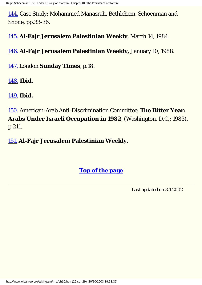[144.](#page-97-0) Case Study: Mohammed Manasrah, Bethlehem. Schoenman and Shone, pp.33-36.

[145.](#page-104-0) **Al-Fajr Jerusalem Palestinian Weekly**, March 14, 1984

[146.](#page-104-1) **Al-Fajr Jerusalem Palestinian Weekly,** January 10, 1988.

[147.](#page-104-2) London **Sunday Times**, p.18.

[148.](#page-105-0) **Ibid.**

[149.](#page-105-1) **Ibid.**

[150.](#page-106-0) American-Arab Anti-Discrimination Committee, **The Bitter Year: Arabs Under Israeli Occupation in 1982**, (Washington, D.C.: 1983), p.211.

[151.](#page-106-1) **Al-Fajr Jerusalem Palestinian Weekly**.

**[Top of the page](#page-80-0)**

Last updated on 3.1.2002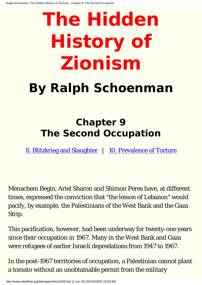# <span id="page-109-0"></span>**The Hidden History of Zionism**

## **By Ralph Schoenman**

### **Chapter 9 The Second Occupation**

[8. Blitzkrieg and Slaughter](#page-119-0) | [10. Prevalence of Torture](#page-80-0)

Menachem Begin, Ariel Sharon and Shimon Peres have, at different times, expressed the conviction that "the lesson of Lebanon" would pacify, by example, the Palestinians of the West Bank and the Gaza Strip.

This pacification, however, had been underway for twenty-one years since their occupation in 1967. Many in the West Bank and Gaza were refugees of earlier Israe1i depredations from 1947 to 1967.

In the post-1967 territories of occupation, a Palestinian cannot plant a tomato without an unobtainable permit from the military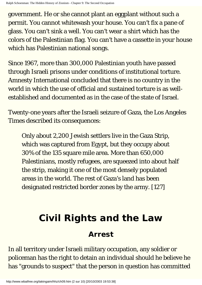government. He or she cannot plant an eggplant without such a permit. You cannot whitewash your house. You can't fix a pane of glass. You can't sink a well. You can't wear a shirt which has the colors of the Palestinian flag. You can't have a cassette in your house which has Palestinian national songs.

Since 1967, more than 300,000 Palestinian youth have passed through Israeli prisons under conditions of institutional torture. Amnesty International concluded that there is no country in the world in which the use of official and sustained torture is as wellestablished and documented as in the case of the state of Israel.

Twenty-one years after the Israeli seizure of Gaza, the Los Angeles Times described its consequences:

Only about 2,200 Jewish settlers live in the Gaza Strip, which was captured from Egypt, but they occupy about 30% of the 135 square mile area. More than 650,000 Palestinians, mostly refugees, are squeezed into about half the strip, making it one of the most densely populated areas in the world. The rest of Gaza's land has been designated restricted border zones by the army. [127]

## **Civil Rights and the Law**

#### **Arrest**

In all territory under Israeli military occupation, any soldier or policeman has the right to detain an individual should he believe he has "grounds to suspect" that the person in question has committed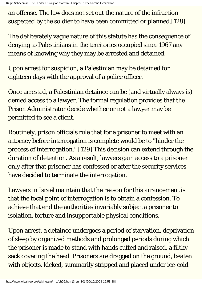an offense. The law does not set out the nature of the infraction suspected by the soldier to have been committed or planned.[128]

The deliberately vague nature of this statute has the consequence of denying to Palestinians in the territories occupied since 1967 any means of knowing why they may be arrested and detained.

Upon arrest for suspicion, a Palestinian may be detained for eighteen days with the approval of a police officer.

Once arrested, a Palestinian detainee can be (and virtually always is) denied access to a lawyer. The formal regulation provides that the Prison Administrator decide whether or not a lawyer may be permitted to see a client.

Routinely, prison officials rule that for a prisoner to meet with an attorney before interrogation is complete would be to "hinder the process of interrogation." [129] This decision can extend through the duration of detention. As a result, lawyers gain access to a prisoner only after that prisoner has confessed or after the security services have decided to terminate the interrogation.

Lawyers in Israel maintain that the reason for this arrangement is that the focal point of interrogation is to obtain a confession. To achieve that end the authorities invariably subject a prisoner to isolation, torture and insupportable physical conditions.

Upon arrest, a detainee undergoes a period of starvation, deprivation of sleep by organized methods and prolonged periods during which the prisoner is made to stand with hands cuffed and raised, a filthy sack covering the head. Prisoners are dragged on the ground, beaten with objects, kicked, summarily stripped and placed under ice-cold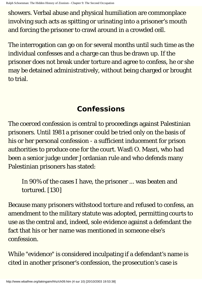showers. Verbal abuse and physical humiliation are commonplace involving such acts as spitting or urinating into a prisoner's mouth and forcing the prisoner to crawl around in a crowded cell.

The interrogation can go on for several months until such time as the individual confesses and a charge can thus be drawn up. If the prisoner does not break under torture and agree to confess, he or she may be detained administratively, without being charged or brought to trial.

#### **Confessions**

The coerced confession is central to proceedings against Palestinian prisoners. Until 1981 a prisoner could be tried only on the basis of his or her personal confession - a sufficient inducement for prison authorities to produce one for the court. Wasfi O. Masri, who had been a senior judge under Jordanian rule and who defends many Palestinian prisoners has stated:

In 90% of the cases I have, the prisoner ... was beaten and tortured. [130]

Because many prisoners withstood torture and refused to confess, an amendment to the military statute was adopted, permitting courts to use as the central and, indeed, sole evidence against a defendant the fact that his or her name was mentioned in someone else's confession.

While "evidence" is considered inculpating if a defendant's name is cited in another prisoner's confession, the prosecution's case is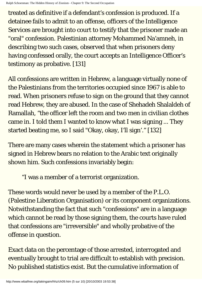Ralph Schoenman: The Hidden History of Zionism - Chapter 9: The Second Occupation

treated as definitive if a defendant's confession is produced. If a detainee fails to admit to an offense, officers of the Intelligence Services are brought into court to testify that the prisoner made an "oral" confession. Palestinian attorney Mohammed Na'amneh, in describing two such cases, observed that when prisoners deny having confessed orally, the court accepts an Intelligence Officer's testimony as probative. [131]

All confessions are written in Hebrew, a language virtually none of the Palestinians from the territories occupied since 1967 is able to read. When prisoners refuse to sign on the ground that they cannot read Hebrew, they are abused. In the case of Shehadeh Shalaldeh of Ramallah, "the officer left the room and two men in civilian clothes came in. I told them I wanted to know what I was signing ... They started beating me, so I said "Okay, okay, I'll sign'." [132]

There are many cases wherein the statement which a prisoner has signed in Hebrew bears no relation to the Arabic text originally shown him. Such confessions invariably begin:

"I was a member of a terrorist organization.

These words would never be used by a member of the P.L.O. (Palestine Liberation Organisation) or its component organizations. Notwithstanding the fact that such "confessions" are in a language which cannot be read by those signing them, the courts have ruled that confessions are "irreversible" and wholly probative of the offense in question.

Exact data on the percentage of those arrested, interrogated and eventually brought to trial are difficult to establish with precision. No published statistics exist. But the cumulative information of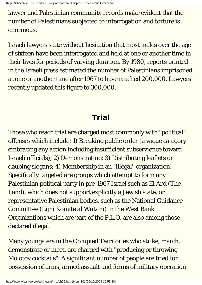lawyer and Palestinian community records make evident that the number of Palestinians subjected to interrogation and torture is enormous.

Israeli lawyers state without hesitation that most males over the age of sixteen have been interrogated and held at one or another time in their lives for periods of varying duration. By 1980, reports printed in the Israeli press estimated the number of Palestinians imprisoned at one or another time after 1967 to have reached 200,000. Lawyers recently updated this figure to 300,000.

#### **Trial**

Those who reach trial are charged most commonly with "political" offenses which include: 1) Breaking public order (a vague category embracing any action including insufficient subservience toward Israeli officials); 2) Demonstrating; 3) Distributing leaflets or daubing slogans; 4) Membership in an "illegal" organization. Specifically targeted are groups which attempt to form any Palestinian political party in pre-1967 Israel such as *El Ard* (The Land), which does not support explicitly a Jewish state, or representative Palestinian bodies, such as the National Guidance Committee (*Lijni Komite al Watani*) in the West Bank. Organizations which are part of the P.L.O. are also among those declared illegal.

Many youngsters in the Occupied Territories who strike, march, demonstrate or meet, are charged with "producing or throwing Molotov cocktails". A significant number of people are tried for possession of arms, armed assault and forms of military operation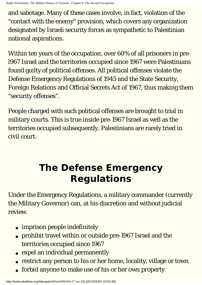and sabotage. Many of these cases involve, in fact, violation of the "contact with the enemy" provision, which covers any organization designated by Israeli security forces as sympathetic to Palestinian national aspirations.

Within ten years of the occupation, over 60% of all prisoners in prel967 Israel and the territories occupied since 1967 were Palestinians found guilty of political offenses. All political offenses violate the Defense Emergency Regulations of 1945 and the State Security, Foreign Relations and Official Secrets Act of 1967, thus making them "security offenses".

People charged with such political offenses are brought to trial in military courts. This is true inside pre-1967 Israel as well as the territories occupied subsequently. Palestinians are rarely tried in civil court.

### **The Defense Emergency Regulations**

Under the Emergency Regulations, a military commander (currently the Military Governor) can, at his discretion and without judicial review.

- imprison people indefinitely
- prohibit travel within or outside pre-1967 Israel and the territories occupied since 1967
- expel an individual permanently
- restrict any person to his or her home, locality, village or town
- forbid anyone to make use of his or her own property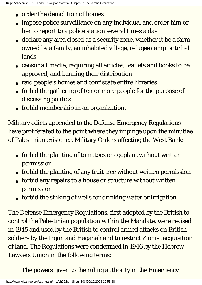- order the demolition of homes
- impose police surveillance on any individual and order him or her to report to a police station several times a day
- declare any area closed as a security zone, whether it be a farm owned by a family, an inhabited village, refugee camp or tribal lands
- censor all media, requiring all articles, leaflets and books to be approved, and banning their distribution
- raid people's homes and confiscate entire libraries
- forbid the gathering of ten or more people for the purpose of discussing politics
- forbid membership in an organization.

Military edicts appended to the Defense Emergency Regulations have proliferated to the point where they impinge upon the minutiae of Palestinian existence. Military Orders affecting the West Bank:

- forbid the planting of tomatoes or eggplant without written permission
- forbid the planting of any fruit tree without written permission
- forbid any repairs to a house or structure without written permission
- forbid the sinking of wells for drinking water or irrigation.

The Defense Emergency Regulations, first adopted by the British to control the Palestinian population within the Mandate, were revised in 1945 and used by the British to control armed attacks on British soldiers by the Irgun and Haganah and to restrict Zionist acquisition of land. The Regulations were condemned in 1946 by the Hebrew Lawyers Union in the following terms:

The powers given to the ruling authority in the Emergency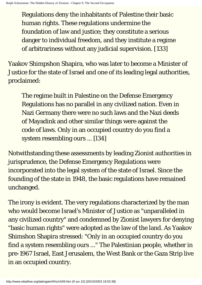Regulations deny the inhabitants of Palestine their basic human rights. These regulations undermine the foundation of law and justice; they constitute a serious danger to individual freedom, and they institute a regime of arbitrariness without any judicial supervision. [133]

Yaakov Shimpshon Shapira, who was later to become a Minister of Justice for the state of Israel and one of its leading legal authorities, proclaimed:

The regime built in Palestine on the Defense Emergency Regulations has no parallel in any civilized nation. Even in Nazi Germany there were no such laws and the Nazi deeds of Mayadink and other similar things were against the code of laws. Only in an occupied country do you find a system resembling ours ... [l34]

Notwithstanding these assessments by leading Zionist authorities in jurisprudence, the Defense Emergency Regulations were incorporated into the legal system of the state of Israel. Since the founding of the state in 1948, the basic regulations have remained unchanged.

The irony is evident. The very regulations characterized by the man who would become Israel's Minister of Justice as "unparalleled in any civilized country" and condemned by Zionist lawyers for denying "basic human rights" were adopted as the law of the land. As Yaakov Shimshon Shapira stressed: "Only in an occupied country do you find a system resembling ours ..." The Palestinian people, whether in pre-1967 Israel, East Jerusalem, the West Bank or the Gaza Strip live in an occupied country.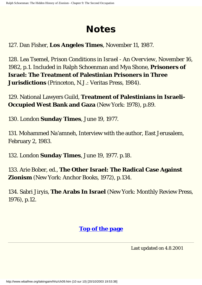#### **Notes**

127. Dan Fisher, **Los Angeles Times**, November 11, 1987.

128. Lea Tsemel, *Prison Conditions in Israel - An Overview*, November 16, 1982, p.1. Included in Ralph Schoenman and Mya Shone, **Prisoners of Israel: The Treatment of Palestinian Prisoners in Three Jurisdictions** (Princeton, N.J.: Veritas Press, 1984).

129. National Lawyers Guild, **Treatment of Palestinians in Israeli-Occupied West Bank and Gaza** (New York: 1978), p.89.

130. London **Sunday Times**, June 19, 1977.

131. Mohammed Na'amneh, Interview with the author, East Jerusalem, February 2, 1983.

132. London **Sunday Times**, June 19, 1977. p.18.

133. Arie Bober, ed., **The Other Israel: The Radical Case Against Zionism** (New York: Anchor Books, 1972), p.134.

134. Sabri Jiryis, **The Arabs In Israel** (New York: Monthly Review Press, 1976), p.12.

#### **[Top of the page](#page-109-0)**

Last updated on 4.8.2001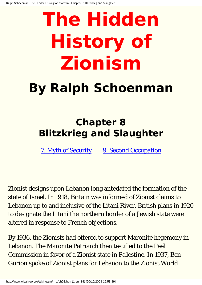# <span id="page-119-0"></span>**The Hidden History of Zionism**

## **By Ralph Schoenman**

### **Chapter 8 Blitzkrieg and Slaughter**

[7. Myth of Security](#page-133-0) | [9. Second Occupation](#page-109-0)

Zionist designs upon Lebanon long antedated the formation of the state of Israel. In 1918, Britain was informed of Zionist claims to Lebanon up to and inclusive of the Litani River. British plans in 1920 to designate the Litani the northern border of a Jewish state were altered in response to French objections.

By 1936, the Zionists had offered to support Maronite hegemony in Lebanon. The Maronite Patriarch then testified to the Peel Commission in favor of a Zionist state in Pa1estine. In 1937, Ben Gurion spoke of Zionist plans for Lebanon to the Zionist World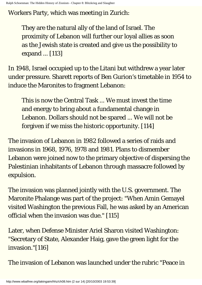#### Workers Party, which was meeting in Zurich:

They are the natural ally of the land of Israel. The proximity of Lebanon will further our loyal allies as soon as the Jewish state is created and give us the possibility to expand ... [113]

In 1948, Israel occupied up to the Litani but withdrew a year later under pressure. Sharett reports of Ben Gurion's timetable in 1954 to induce the Maronites to fragment Lebanon:

This is now the Central Task ... We must invest the time and energy to bring about a fundamental change in Lebanon. Dollars should not be spared ... We will not be forgiven if we miss the historic opportunity. [114]

The invasion of Lebanon in 1982 followed a series of raids and invasions in 1968, 1976, 1978 and 1981. Plans to dismember Lebanon were joined now to the primary objective of dispersing the Palestinian inhabitants of Lebanon through massacre followed by expulsion.

The invasion was planned jointly with the U.S. government. The Maronite Phalange was part of the project: "When Amin Gemayel visited Washington the previous Fall, he was asked by an American official when the invasion was due." [115]

Later, when Defense Minister Ariel Sharon visited Washington: "Secretary of State, Alexander Haig, gave the green light for the invasion."[116]

The invasion of Lebanon was launched under the rubric "Peace in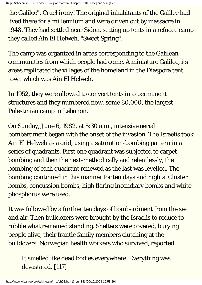the Galilee". Cruel irony! The original inhabitants of the Galilee had lived there for a millennium and were driven out by massacre in 1948. They had settled near Sidon, setting up tents in a refugee camp they called Ain El Helweh, "Sweet Spring".

The camp was organized in areas corresponding to the Galilean communities from which people had come. A miniature Galilee, its areas replicated the villages of the homeland in the Diaspora tent town which was Ain El Helweh.

In 1952, they were allowed to convert tents into permanent structures and they numbered now, some 80,000, the largest Palestinian camp in Lebanon.

On Sunday, June 6, 1982, at 5:30 a.m., intensive aerial bombardment began with the onset of the invasion. The Israelis took Ain El Helweh as a grid, using a saturation-bombing pattern in a series of quadrants. First one quadrant was subjected to carpetbombing and then the next-methodically and relentlessly, the bombing of each quadrant renewed as the last was levelled. The bombing continued in this manner for ten days and nights. Cluster bombs, concussion bombs, high flaring incendiary bombs and white phosphorus were used.

It was followed by a further ten days of bombardment from the sea and air. Then bulldozers were brought by the Israelis to reduce to rubble what remained standing. Shelters were covered, burying people alive, their frantic family members clutching at the bulldozers. Norwegian health workers who survived, reported:

It smelled like dead bodies everywhere. Everything was devastated. [117]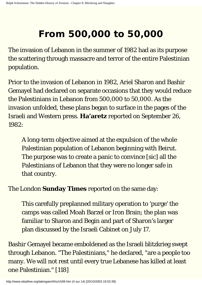## **From 500,000 to 50,000**

The invasion of Lebanon in the summer of 1982 had as its purpose the scattering through massacre and terror of the entire Palestinian population.

Prior to the invasion of Lebanon in 1982, Ariel Sharon and Bashir Gemayel had declared on separate occasions that they would reduce the Palestinians in Lebanon from 500,000 to 50,000. As the invasion unfolded, these plans began to surface in the pages of the Israeli and Western press. **Ha'aretz** reported on September 26, 1982:

A long-term objective aimed at the expulsion of the whole Palestinian population of Lebanon beginning with Beirut. The purpose was to create a panic to convince [sic] all the Palestinians of Lebanon that they were no longer safe in that country.

The London **Sunday Times** reported on the same day:

This carefully preplanned military operation to 'purge' the camps was called Moah Barzel or Iron Brain; the plan was familiar to Sharon and Begin and part of Sharon's larger plan discussed by the Israeli Cabinet on July 17.

Bashir Gemayel became emboldened as the Israeli blitzkrieg swept through Lebanon. "The Palestinians," he declared, "are a people too many. We will not rest until every true Lebanese has killed at least one Palestinian." [118]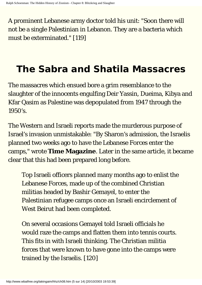A prominent Lebanese army doctor told his unit: "Soon there will not be a single Palestinian in Lebanon. They are a bacteria which must be exterminated." [119]

#### **The Sabra and Shatila Massacres**

The massacres which ensued bore a grim resemblance to the slaughter of the innocents engulfing Deir Yassin, Dueima, Kibya and Kfar Qasim as Palestine was depopulated from 1947 through the 1950's.

The Western and Israeli reports made the murderous purpose of Israel's invasion unmistakable: "By Sharon's admission, the Israelis planned two weeks ago to have the Lebanese Forces enter the camps," wrote **Time Magazine**. Later in the same article, it became clear that this had been prepared long before.

Top Israeli officers planned many months ago to enlist the Lebanese Forces, made up of the combined Christian militias headed by Bashir Gemayel, to enter the Palestinian refugee camps once an Israeli encirclement of West Beirut had been completed.

On several occasions Gemayel told Israeli officials he would raze the camps and flatten them into tennis courts. This fits in with Israeli thinking. The Christian militia forces that were known to have gone into the camps were trained by the Israelis. [120]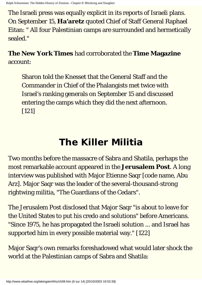The Israeli press was equally explicit in its reports of Israeli plans. On September 15, **Ha'aretz** quoted Chief of Staff General Raphael Eitan: " All four Palestinian camps are surrounded and hermetically sealed."

**The New York Times** had corroborated the **Time Magazine** account:

Sharon told the Knesset that the General Staff and the Commander in Chief of the Phalangists met twice with Israel's ranking generals on September 15 and discussed entering the camps which they did the next afternoon. [121]

#### **The Killer Militia**

Two months before the massacre of Sabra and Shatila, perhaps the most remarkable account appeared in the **Jerusalem Post**. A long interview was published with Major Etienne Saqr [code name, Abu Arz]. Major Saqr was the leader of the several-thousand-strong rightwing militia, "The Guardians of the Cedars".

The Jerusalem Post disclosed that Major Saqr "is about to leave for the United States to put his credo and solutions" before Americans. "Since 1975, he has propagated the Israeli solution ... and Israel has supported him in every possible material way." [122]

Major Saqr's own remarks foreshadowed what would later shock the world at the Palestinian camps of Sabra and Shatila: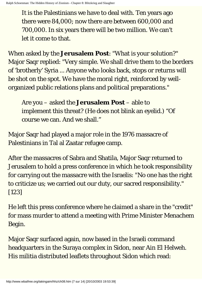It is the Palestinians we have to deal with. Ten years ago there were 84,000; now there are between 600,000 and 700,000. In six years there will be two million. We can't let it come to that.

When asked by the **Jerusalem Post**: "What is your solution?" Major Saqr replied: "Very simple. We shall drive them to the borders of 'brotherly' Syria ... Anyone who looks back, stops or returns will be shot on the spot. We have the moral right, reinforced by wellorganized public relations plans and political preparations."

Are you – asked the **Jerusalem Post** – able to implement this threat? (He does not blink an eyelid.) "Of course we can. And we shall."

Major Saqr had played a major role in the 1976 massacre of Palestinians in Tal al Zaatar refugee camp.

After the massacres of Sabra and Shatila, Major Saqr returned to Jerusalem to hold a press conference in which he took responsibility for carrying out the massacre with the Israelis: "No one has the right to criticize us; we carried out our duty, our sacred responsibility." [123]

He left this press conference where he claimed a share in the "credit" for mass murder to attend a meeting with Prime Minister Menachem Begin.

Major Saqr surfaced again, now based in the Israeli command headquarters in the Suraya complex in Sidon, near Ain El Helweh. His militia distributed leaflets throughout Sidon which read: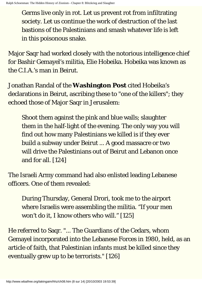Germs live only in rot. Let us prevent rot from infiltrating society. Let us continue the work of destruction of the last bastions of the Palestinians and smash whatever life is left in this poisonous snake.

Major Saqr had worked closely with the notorious intelligence chief for Bashir Gemayel's militia, Elie Hobeika. Hobeika was known as the C.I.A.'s man in Beirut.

Jonathan Randal of the **Washington Post** cited Hobeika's declarations in Beirut, ascribing these to "one of the killers"; they echoed those of Major Saqr in Jerusalem:

Shoot them against the pink and blue walls; slaughter them in the half-light of the evening. The only way you will find out how many Palestinians we killed is if they ever build a subway under Beirut ... A good massacre or two will drive the Palestinians out of Beirut and Lebanon once and for all. [124]

The Israeli Army command had also enlisted leading Lebanese officers. One of them revealed:

During Thursday, General Drori, took me to the airport where Israelis were assembling the militia. "If your men won't do it, I know others who will." [125]

He referred to Saqr. "... The Guardians of the Cedars, whom Gemayel incorporated into the Lebanese Forces in 1980, held, as an article of faith, that Palestinian infants must be killed since they eventually grew up to be terrorists." [126]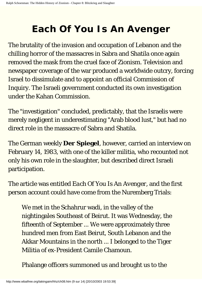## **Each Of You Is An Avenger**

The brutality of the invasion and occupation of Lebanon and the chilling horror of the massacres in Sabra and Shatila once again removed the mask from the cruel face of Zionism. Television and newspaper coverage of the war produced a worldwide outcry, forcing Israel to dissimulate and to appoint an official Commission of Inquiry. The Israeli government conducted its own investigation under the Kahan Commission.

The "investigation" concluded, predictably, that the Israelis were merely negligent in underestimating "Arab blood lust," but had no direct role in the massacre of Sabra and Shatila.

The German weekly **Der Spiegel**, however, carried an interview on February 14, 1983, with one of the killer militia, who recounted not only his own role in the slaughter, but described direct Israeli participation.

The article was entitled *Each Of You Is An Avenger*, and the first person account could have come from the Nuremberg Trials:

We met in the Schahrur wadi, in the valley of the nightingales Southeast of Beirut. It was Wednesday, the fifteenth of September ... We were approximately three hundred men from East Beirut, South Lebanon and the Akkar Mountains in the north ... I belonged to the Tiger Militia of ex-President Camile Chamoun.

Phalange officers summoned us and brought us to the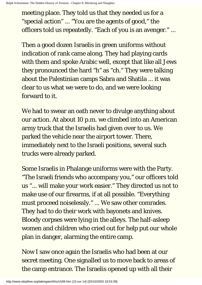meeting place. They told us that they needed us for a "special action" ... "You are the agents of good," the officers told us repeatedly. "Each of you is an avenger." ...

Then a good dozen Israelis in green uniforms without indication of rank came along. They had playing cards with them and spoke Arabic well, except that like all Jews they pronounced the hard "h" as "ch." They were talking about the Palestinian camps Sabra and Shatila ... it was clear to us what we were to do, and we were looking forward to it.

We had to swear an oath never to divulge anything about our action. At about 10 p.m. we climbed into an American army truck that the Israelis had given over to us. We parked the vehicle near the airport tower. There, immediately next to the Israeli positions, several such trucks were already parked.

Some Israelis in Phalange uniforms were with the Party. "The Israeli friends who accompany you," our officers told us "... will make your work easier." They directed us not to make use of our firearms, if at all possible. "Everything must proceed noiselessly." ... We saw other comrades. They had to do their work with bayonets and knives. Bloody corpses were lying in the alleys. The half-asleep women and children who cried out for help put our whole plan in danger, alarming the entire camp.

Now I saw once again the Israelis who had been at our secret meeting. One signalled us to move back to areas of the camp entrance. The Israelis opened up with all their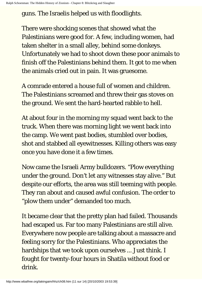#### guns. The Israelis helped us with floodlights.

There were shocking scenes that showed what the Palestinians were good for. A few, including women, had taken shelter in a small alley, behind some donkeys. Unfortunately we had to shoot down these poor animals to finish off the Palestinians behind them. It got to me when the animals cried out in pain. It was gruesome.

A comrade entered a house full of women and children. The Palestinians screamed and threw their gas stoves on the ground. We sent the hard-hearted rabble to hell.

At about four in the morning my squad went back to the truck. When there was morning light we went back into the camp. We went past bodies, stumbled over bodies, shot and stabbed all eyewitnesses. Killing others was easy once you have done it a few times.

Now came the Israeli Army bulldozers. "Plow everything under the ground. Don't let any witnesses stay alive." But despite our efforts, the area was still teeming with people. They ran about and caused awful confusion. The order to "plow them under" demanded too much.

It became clear that the pretty plan had failed. Thousands had escaped us. Far too many Palestinians are still alive. Everywhere now people are talking about a massacre and feeling sorry for the Palestinians. Who appreciates the hardships that we took upon ourselves ... Just think. I fought for twenty-four hours in Shatila without food or drink.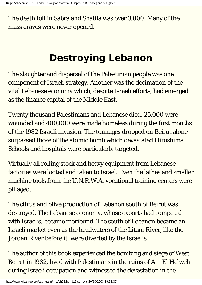The death toll in Sabra and Shatila was over 3,000. Many of the mass graves were never opened.

## **Destroying Lebanon**

The slaughter and dispersal of the Palestinian people was one component of Israeli strategy. Another was the decimation of the vital Lebanese economy which, despite Israeli efforts, had emerged as the finance capital of the Middle East.

Twenty thousand Palestinians and Lebanese died, 25,000 were wounded and 400,000 were made homeless during the first months of the 1982 Israeli invasion. The tonnages dropped on Beirut alone surpassed those of the atomic bomb which devastated Hiroshima. Schools and hospitals were particularly targeted.

Virtually all rolling stock and heavy equipment from Lebanese factories were looted and taken to Israel. Even the lathes and smaller machine tools from the U.N.R.W.A. vocational training centers were pillaged.

The citrus and olive production of Lebanon south of Beirut was destroyed. The Lebanese economy, whose exports had competed with Israel's, became moribund. The south of Lebanon became an Israeli market even as the headwaters of the Litani River, like the Jordan River before it, were diverted by the Israelis.

The author of this book experienced the bombing and siege of West Beirut in 1982, lived with Palestinians in the ruins of Ain El Helweh during Israeli occupation and witnessed the devastation in the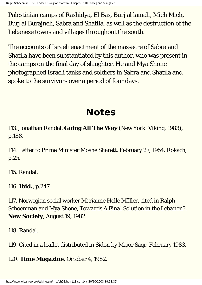Palestinian camps of Rashidya, El Bas, Burj al lamali, Mieh Mieh, Burj al Burajneh, Sabra and Shatila, as well as the destruction of the Lebanese towns and villages throughout the south.

The accounts of Israeli enactment of the massacre of Sabra and Shatila have been substantiated by this author, who was present in the camps on the final day of slaughter. He and Mya Shone photographed Israeli tanks and soldiers in Sabra and Shatila and spoke to the survivors over a period of four days.

#### **Notes**

113. Jonathan Randal. **Going All The Way** (New York: Viking, 1983), p.188.

114. Letter to Prime Minister Moshe Sharett. February 27, 1954. Rokach, p.25.

115. Randal.

116. **Ibid.**, p.247.

117. Norwegian social worker Marianne Helle Möller, cited in Ralph Schoenman and Mya Shone, *Towards A Final Solution in the Lebanon?*, **New Society**, August 19, 1982.

118. Randal.

119. Cited in a leaflet distributed in Sidon by Major Saqr, February 1983.

120. **Time Magazine**, October 4, 1982.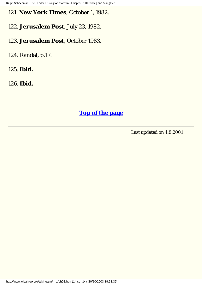Ralph Schoenman: The Hidden History of Zionism - Chapter 8: Blitzkrieg and Slaughter

#### 121. **New York Times**, October 1, 1982.

#### 122. **Jerusalem Post**, July 23, 1982.

#### 123. **Jerusalem Post**, October 1983.

124. Randal, p.17.

125. **Ibid.**

126. **Ibid.**

#### **[Top of the page](#page-119-0)**

Last updated on 4.8.2001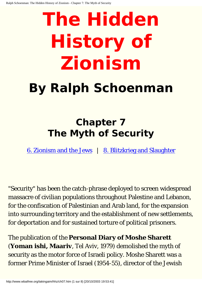# <span id="page-133-0"></span>**The Hidden History of Zionism**

## **By Ralph Schoenman**

## **Chapter 7 The Myth of Security**

[6. Zionism and the Jews](#page-141-0) | [8. Blitzkrieg and Slaughter](#page-119-0)

"Security" has been the catch-phrase deployed to screen widespread massacre of civilian populations throughout Palestine and Lebanon, for the confiscation of Palestinian and Arab land, for the expansion into surrounding territory and the establishment of new settlements, for deportation and for sustained torture of political prisoners.

The publication of the **Personal Diary of Moshe Sharett** (**Yoman ishi, Maariv**, Tel Aviv, 1979) demolished the myth of security as the motor force of Israeli policy. Moshe Sharett was a former Prime Minister of Israel (1954-55), director of the Jewish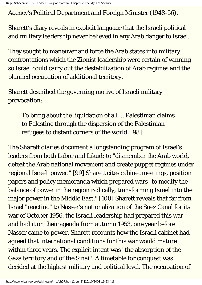Agency's Political Department and Foreign Minister (1948-56).

Sharett's diary reveals in explicit language that the Israeli political and military leadership never believed in any Arab danger to Israel.

They sought to maneuver and force the Arab states into military confrontations which the Zionist leadership were certain of winning so Israel could carry out the destabilization of Arab regimes and the planned occupation of additional territory.

Sharett described the governing motive of Israeli military provocation:

To bring about the liquidation of all ... Palestinian claims to Palestine through the dispersion of the Palestinian refugees to distant corners of the world. [98]

The Sharett diaries document a longstanding program of Israel's leaders from both Labor and Likud: to "dismember the Arab world, defeat the Arab national movement and create puppet regimes under regional Israeli power." [99] Sharett cites cabinet meetings, position papers and policy memoranda which prepared wars "to modify the balance of power in the region radically, transforming Israel into the major power in the Middle East." [100] Sharett reveals that far from Israel "reacting" to Nasser's nationalization of the Suez Canal for its war of October 1956, the Israeli leadership had prepared this war and had it on their agenda from autumn 1953, one year before Nasser came to power. Sharett recounts how the Israeli cabinet had agreed that international conditions for this war would mature within three years. The explicit intent was "the absorption of the Gaza territory and of the Sinai". A timetable for conquest was decided at the highest military and political level. The occupation of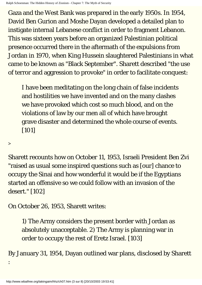Gaza and the West Bank was prepared in the early 1950s. In 1954, David Ben Gurion and Moshe Dayan developed a detailed plan to instigate internal Lebanese conflict in order to fragment Lebanon. This was sixteen years before an organized Palestinian political presence occurred there in the aftermath of the expulsions from Jordan in 1970, when King Hussein slaughtered Palestinians in what came to be known as "Black September". Sharett described "the use of terror and aggression to provoke" in order to facilitate conquest:

I have been meditating on the long chain of false incidents and hostilities we have invented and on the many clashes we have provoked which cost so much blood, and on the violations of law by our men all of which have brought grave disaster and determined the whole course of events. [101]

>

:

Sharett recounts how on October 11, 1953, Israeli President Ben Zvi "raised as usual some inspired questions such as [our] chance to occupy the Sinai and how wonderful it would be if the Egyptians started an offensive so we could follow with an invasion of the desert." [102]

On October 26, 1953, Sharett writes:

1) The Army considers the present border with Jordan as absolutely unacceptable. 2) The Army is planning war in order to occupy the rest of Eretz Israel. [103]

By January 31, 1954, Dayan outlined war plans, disclosed by Sharett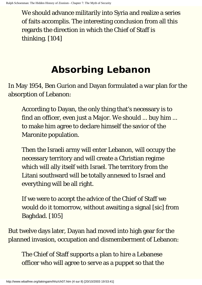We should advance militarily into Syria and realize a series of faits accomplis. The interesting conclusion from all this regards the direction in which the Chief of Staff is thinking. [104]

## **Absorbing Lebanon**

In May 1954, Ben Gurion and Dayan formulated a war plan for the absorption of Lebanon:

According to Dayan, the only thing that's necessary is to find an officer, even just a Major. We should ... buy him ... to make him agree to declare himself the savior of the Maronite population.

Then the Israeli army will enter Lebanon, will occupy the necessary territory and will create a Christian regime which will ally itself with Israel. The territory from the Litani southward will be totally annexed to Israel and everything will be all right.

If we were to accept the advice of the Chief of Staff we would do it tomorrow, without awaiting a signal [sic] from Baghdad. [105]

But twelve days later, Dayan had moved into high gear for the planned invasion, occupation and dismemberment of Lebanon:

The Chief of Staff supports a plan to hire a Lebanese officer who will agree to serve as a puppet so that the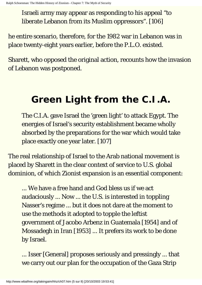Israeli army may appear as responding to his appeal "to liberate Lebanon from its Muslim oppressors". [106]

he entire scenario, therefore, for the 1982 war in Lebanon was in place twenty-eight years earlier, before the P.L.O. existed.

Sharett, who opposed the original action, recounts how the invasion of Lebanon was postponed.

#### **Green Light from the C.I.A.**

The C.I.A. gave Israel the 'green light' to attack Egypt. The energies of Israel's security establishment became wholly absorbed by the preparations for the war which would take place exactly one year later. [107]

The real relationship of Israel to the Arab national movement is placed by Sharett in the clear context of service to U.S. global dominion, of which Zionist expansion is an essential component:

... We have a free hand and God bless us if we act audaciously ... Now ... the U.S. is interested in toppling Nasser's regime ... but it does not dare at the moment to use the methods it adopted to topple the leftist government of Jacobo Arbenz in Guatemala [1954] and of Mossadegh in Iran [1953] ... It prefers its work to be done by Israel.

... Isser [General] proposes seriously and pressingly ... that we carry out our plan for the occupation of the Gaza Strip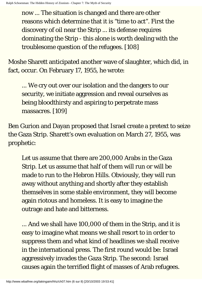now ... The situation is changed and there are other reasons which determine that it is "time to act". First the discovery of oil near the Strip ... its defense requires dominating the Strip - this alone is worth dealing with the troublesome question of the refugees. [108]

Moshe Sharett anticipated another wave of slaughter, which did, in fact, occur. On February 17, 1955, he wrote:

... We cry out over our isolation and the dangers to our security, we initiate aggression and reveal ourselves as being bloodthirsty and aspiring to perpetrate mass massacres. [109]

Ben Gurion and Dayan proposed that Israel create a pretext to seize the Gaza Strip. Sharett's own evaluation on March 27, 1955, was prophetic:

Let us assume that there are 200,000 Arabs in the Gaza Strip. Let us assume that half of them will run or will be made to run to the Hebron Hills. Obviously, they will run away without anything and shortly after they establish themselves in some stable environment, they will become again riotous and homeless. It is easy to imagine the outrage and hate and bitterness.

... And we shall have 100,000 of them in the Strip, and it is easy to imagine what means we shall resort to in order to suppress them and what kind of headlines we shall receive in the international press. The first round would be: Israel aggressively invades the Gaza Strip. The second: Israel causes again the terrified flight of masses of Arab refugees.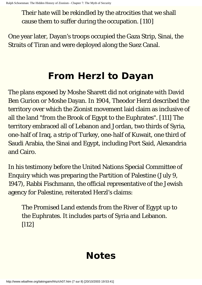Their hate will be rekindled by the atrocities that we shall cause them to suffer during the occupation. [110]

One year later, Dayan's troops occupied the Gaza Strip, Sinai, the Straits of Tiran and were deployed along the Suez Canal.

#### **From Herzl to Dayan**

The plans exposed by Moshe Sharett did not originate with David Ben Gurion or Moshe Dayan. In 1904, Theodor Herzl described the territory over which the Zionist movement laid claim as inclusive of all the land "from the Brook of Egypt to the Euphrates". [111] The territory embraced all of Lebanon and Jordan, two thirds of Syria, one-half of Iraq, a strip of Turkey, one-half of Kuwait, one third of Saudi Arabia, the Sinai and Egypt, including Port Said, Alexandria and Cairo.

In his testimony before the United Nations Special Committee of Enquiry which was preparing the Partition of Palestine (July 9, 1947), Rabbi Fischmann, the official representative of the Jewish agency for Palestine, reiterated Herzl's claims:

The Promised Land extends from the River of Egypt up to the Euphrates. It includes parts of Syria and Lebanon. [l12]

#### **Notes**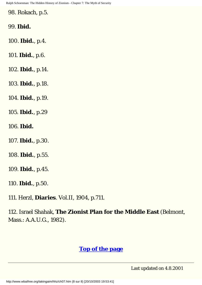98. Rokach, p.5.

99. **Ibid.**

100. **Ibid.**, p.4.

101. **Ibid.**, p.6.

102. **Ibid.**, p.14.

103. **Ibid.**, p.18.

104. **Ibid.**, p.19.

105. **Ibid.**, p.29

106. **Ibid.**

107. **Ibid.**, p.30.

108. **Ibid.**, p.55.

109. **Ibid.**, p.45.

110. **Ibid.**, p.50.

111. Herzl, **Diaries**. Vol.II, 1904, p.711.

112. Israel Shahak, **The Zionist Plan for the Middle East** (Belmont, Mass.: A.A.U.G., 1982).

#### **[Top of the page](#page-133-0)**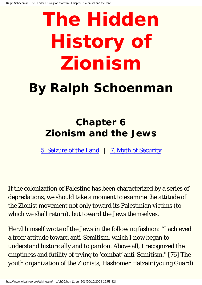# <span id="page-141-0"></span>**The Hidden History of Zionism**

## **By Ralph Schoenman**

### **Chapter 6 Zionism and the Jews**

[5. Seizure of the Land](#page-161-0) | [7. Myth of Security](#page-133-0)

If the colonization of Palestine has been characterized by a series of depredations, we should take a moment to examine the attitude of the Zionist movement not only toward its Palestinian victims (to which we shall return), but toward the Jews themselves.

Herzl himself wrote of the Jews in the following fashion: "I achieved a freer attitude toward anti-Semitism, which I now began to understand historically and to pardon. Above all, I recognized the emptiness and futility of trying to 'combat' anti-Semitism." [76] The youth organization of the Zionists, Hashomer Hatzair (young Guard)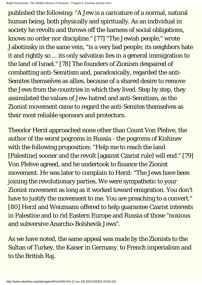published the following: "A Jew is a caricature of a normal, natural human being, both physically and spiritually. As an individual in society he revolts and throws off the harness of social obligations, knows no order nor discipline." [77] "The Jewish people," wrote Jabotinsky in the same vein, "is a very bad people; its neighbors hate it and rightly so ... its only salvation lies in a general immigration to the land of Israel." [78] The founders of Zionism despaired of combatting anti-Semitism and, paradoxically, regarded the anti-Semites themselves as allies, because of a shared desire to remove the Jews from the countries in which they lived. Step by step, they assimilated the values of Jew-hatred and anti-Semitism, as the Zionist movement came to regard the anti-Semites themselves as their most reliable sponsors and protectors.

Theodor Herzl approached none other than Count Von Plehve, the author of the worst pogroms in Russia - the pogroms of Kishinev with the following proposition: "Help me to reach the land [Palestine] sooner and the revolt [against Czarist rule] will end." [79] Von Plehve agreed, and he undertook to finance the Zionist movement. He was later to complain to Herzl: "The Jews have been joining the revolutionary parties. We were sympathetic to your Zionist movement as long as it worked toward emigration. You don't have to justify the movement to me. You are preaching to a convert." [80] Herzl and Weizmann offered to help guarantee Czarist interests in Palestine and to rid Eastern Europe and Russia of those "noxious and subversive Anarcho-Bolshevik Jews".

As we have noted, the same appeal was made by the Zionists to the Sultan of Turkey, the Kaiser in Germany, to French imperialism and to the British Raj.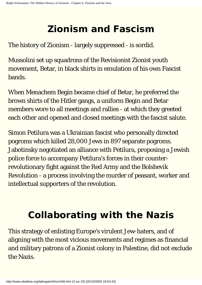## **Zionism and Fascism**

The history of Zionism - largely suppressed - is sordid.

Mussolini set up squadrons of the Revisionist Zionist youth movement, Betar, in black shirts in emulation of his own Fascist bands.

When Menachem Begin became chief of Betar, he preferred the brown shirts of the Hitler gangs, a uniform Begin and Betar members wore to all meetings and rallies - at which they greeted each other and opened and closed meetings with the fascist salute.

Simon Petilura was a Ukrainian fascist who personally directed pogroms which killed 28,000 Jews in 897 separate pogroms. Jabotinsky negotiated an alliance with Petilura, proposing a Jewish police force to accompany Petilura's forces in their counterrevolutionary fight against the Red Army and the Bolshevik Revolution - a process involving the murder of peasant, worker and intellectual supporters of the revolution.

## **Collaborating with the Nazis**

This strategy of enlisting Europe's virulent Jew-haters, and of aligning with the most vicious movements and regimes as financial and military patrons of a Zionist colony in Palestine, did not exclude the Nazis.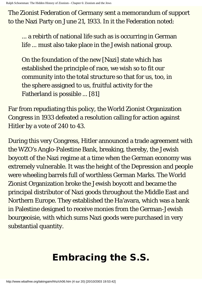The Zionist Federation of Germany sent a memorandum of support to the Nazi Party on June 21, 1933. In it the Federation noted:

... a rebirth of national life such as is occurring in German life ... must also take place in the Jewish national group.

On the foundation of the new [Nazi] state which has established the principle of race, we wish so to fit our community into the total structure so that for us, too, in the sphere assigned to us, fruitful activity for the Fatherland is possible ... [81]

Far from repudiating this policy, the World Zionist Organization Congress in 1933 defeated a resolution calling for action against Hitler by a vote of 240 to 43.

During this very Congress, Hitler announced a trade agreement with the WZO's Anglo-Palestine Bank, breaking, thereby, the Jewish boycott of the Nazi regime at a time when the German economy was extremely vulnerable. It was the height of the Depression and people were wheeling barrels full of worthless German Marks. The World Zionist Organization broke the Jewish boycott and became the principal distributor of Nazi goods throughout the Middle East and Northern Europe. They established the Ha'avara, which was a bank in Palestine designed to receive monies from the German-Jewish bourgeoisie, with which sums Nazi goods were purchased in very substantial quantity.

# **Embracing the S.S.**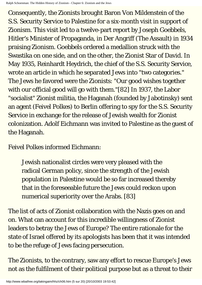Consequently, the Zionists brought Baron Von Mildenstein of the S.S. Security Service to Palestine for a six-month visit in support of Zionism. This visit led to a twelve-part report by Joseph Goebbels, Hitler's Minister of Propaganda, in Der Angriff (The Assault) in 1934 praising Zionism. Goebbels ordered a medallion struck with the Swastika on one side, and on the other, the Zionist Star of David. In May 1935, Reinhardt Heydrich, the chief of the S.S. Security Service, wrote an article in which he separated Jews into "two categories." The Jews he favored were the Zionists: "Our good wishes together with our official good will go with them."[82] In 1937, the Labor "socialist" Zionist militia, the Haganah (founded by Jabotinsky) sent an agent (Feivel Polkes) to Berlin offering to spy for the S.S. Security Service in exchange for the release of Jewish wealth for Zionist colonization. Adolf Eichmann was invited to Palestine as the guest of the Haganah.

Feivel Polkes informed Eichmann:

Jewish nationalist circles were very pleased with the radical German policy, since the strength of the Jewish population in Palestine would be so far increased thereby that in the foreseeable future the Jews could reckon upon numerical superiority over the Arabs. [83]

The list of acts of Zionist collaboration with the Nazis goes on and on. What can account for this incredible willingness of Zionist leaders to betray the Jews of Europe? The entire rationale for the state of Israel offered by its apologists has been that it was intended to be the refuge of Jews facing persecution.

The Zionists, to the contrary, saw any effort to rescue Europe's Jews not as the fulfilment of their political purpose but as a threat to their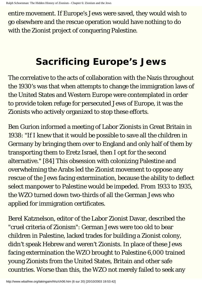entire movement. If Europe's Jews were saved, they would wish to go elsewhere and the rescue operation would have nothing to do with the Zionist project of conquering Palestine.

### **Sacrificing Europe's Jews**

The correlative to the acts of collaboration with the Nazis throughout the 1930's was that when attempts to change the immigration laws of the United States and Western Europe were contemplated in order to provide token refuge for persecuted Jews of Europe, it was the Zionists who actively organized to stop these efforts.

Ben Gurion informed a meeting of Labor Zionists in Great Britain in 1938: "If I knew that it would be possible to save all the children in Germany by bringing them over to England and only half of them by transporting them to Eretz Israel, then I opt for the second alternative." [84] This obsession with colonizing Palestine and overwhelming the Arabs led the Zionist movement to oppose any rescue of the Jews facing extermination, because the ability to deflect select manpower to Palestine would be impeded. From 1933 to 1935, the WZO turned down two-thirds of all the German Jews who applied for immigration certificates.

Berel Katznelson, editor of the Labor Zionist Davar, described the "cruel criteria of Zionism": German Jews were too old to bear children in Palestine, lacked trades for building a Zionist colony, didn't speak Hebrew and weren't Zionists. In place of these Jews facing extermination the WZO brought to Palestine 6,000 trained young Zionists from the United States, Britain and other safe countries. Worse than this, the WZO not merely failed to seek any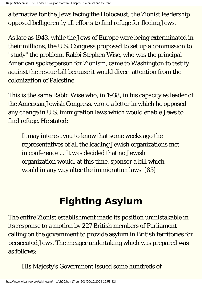alternative for the Jews facing the Holocaust, the Zionist leadership opposed belligerently all efforts to find refuge for fleeing Jews.

As late as 1943, while the Jews of Europe were being exterminated in their millions, the U.S. Congress proposed to set up a commission to "study" the problem. Rabbi Stephen Wise, who was the principal American spokesperson for Zionism, came to Washington to testify against the rescue bill because it would divert attention from the colonization of Palestine.

This is the same Rabbi Wise who, in 1938, in his capacity as leader of the American Jewish Congress, wrote a letter in which he opposed any change in U.S. immigration laws which would enable Jews to find refuge. He stated:

It may interest you to know that some weeks ago the representatives of all the leading Jewish organizations met in conference ... It was decided that no Jewish organization would, at this time, sponsor a bill which would in any way alter the immigration laws. [85]

# **Fighting Asylum**

The entire Zionist establishment made its position unmistakable in its response to a motion by 227 British members of Parliament calling on the government to provide asylum in British territories for persecuted Jews. The meager undertaking which was prepared was as follows:

His Majesty's Government issued some hundreds of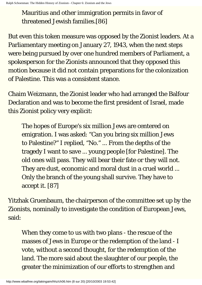#### Mauritius and other immigration permits in favor of threatened Jewish families.[86]

But even this token measure was opposed by the Zionist leaders. At a Parliamentary meeting on January 27, 1943, when the next steps were being pursued by over one hundred members of Parliament, a spokesperson for the Zionists announced that they opposed this motion because it did not contain preparations for the colonization of Palestine. This was a consistent stance.

Chaim Weizmann, the Zionist leader who had arranged the Balfour Declaration and was to become the first president of Israel, made this Zionist policy very explicit:

The hopes of Europe's six million Jews are centered on emigration. I was asked: "Can you bring six million Jews to Palestine?" I replied, "No." ... From the depths of the tragedy I want to save ... young people [for Palestine]. The old ones will pass. They will bear their fate or they will not. They are dust, economic and moral dust in a cruel world ... Only the branch of the young shall survive. They have to accept it. [87]

Yitzhak Gruenbaum, the chairperson of the committee set up by the Zionists, nominally to investigate the condition of European Jews, said:

When they come to us with two plans - the rescue of the masses of Jews in Europe or the redemption of the land - I vote, without a second thought, for the redemption of the land. The more said about the slaughter of our people, the greater the minimization of our efforts to strengthen and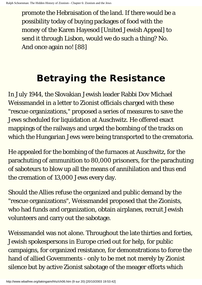promote the Hebraisation of the land. If there would be a possibility today of buying packages of food with the money of the Karen Hayesod [United Jewish Appeal] to send it through Lisbon, would we do such a thing? No. And once again no! [88]

### **Betraying the Resistance**

In July 1944, the Slovakian Jewish leader Rabbi Dov Michael Weissmandel in a letter to Zionist officials charged with these "rescue organizations," proposed a series of measures to save the Jews scheduled for liquidation at Auschwitz. He offered exact mappings of the railways and urged the bombing of the tracks on which the Hungarian Jews were being transported to the crematoria.

He appealed for the bombing of the furnaces at Auschwitz, for the parachuting of ammunition to 80,000 prisoners, for the parachuting of saboteurs to blow up all the means of annihilation and thus end the cremation of 13,000 Jews every day.

Should the Allies refuse the organized and public demand by the "rescue organizations", Weissmandel proposed that the Zionists, who had funds and organization, obtain airplanes, recruit Jewish volunteers and carry out the sabotage.

Weissmandel was not alone. Throughout the late thirties and forties, Jewish spokespersons in Europe cried out for help, for public campaigns, for organized resistance, for demonstrations to force the hand of allied Govemments - only to be met not merely by Zionist silence but by active Zionist sabotage of the meager efforts which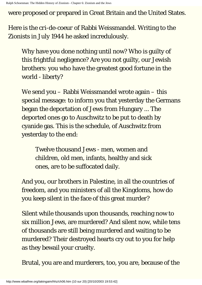were proposed or prepared in Great Britain and the United States.

Here is the *cri-de-coeur* of Rabbi Weissmandel. Writing to the Zionists in July 1944 he asked incredulously.

Why have you done nothing until now? Who is guilty of this frightful negligence? Are you not guilty, our Jewish brothers: you who have the greatest good fortune in the world - liberty?

We send you – Rabbi Weissmandel wrote again – this special message: to inform you that yesterday the Germans began the deportation of Jews from Hungary ... The deported ones go to Auschwitz to be put to death by cyanide gas. This is the schedule, of Auschwitz from yesterday to the end:

Twelve thousand Jews - men, women and children, old men, infants, healthy and sick ones, are to be suffocated daily.

And you, our brothers in Palestine, in all the countries of freedom, and you ministers of all the Kingdoms, how do you keep silent in the face of this great murder?

Silent while thousands upon thousands, reaching now to six million Jews, are murdered? And silent now, while tens of thousands are still being murdered and waiting to be murdered? Their destroyed hearts cry out to you for help as they bewail your cruelty.

Brutal, you are and murderers, too, you are, because of the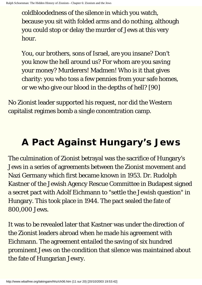coldbloodedness of the silence in which you watch, because you sit with folded arms and do nothing, although you could stop or delay the murder of Jews at this very hour.

You, our brothers, sons of Israel, are you insane? Don't you know the hell around us? For whom are you saving your money? Murderers! Madmen! Who is it that gives charity: you who toss a few pennies from your safe homes, or we who give our blood in the depths of hell? [90]

No Zionist leader supported his request, nor did the Western capitalist regimes bomb a single concentration camp.

### **A Pact Against Hungary's Jews**

The culmination of Zionist betrayal was the sacrifice of Hungary's Jews in a series of agreements between the Zionist movement and Nazi Germany which first became known in 1953. Dr. Rudolph Kastner of the Jewish Agency Rescue Committee in Budapest signed a secret pact with Adolf Eichmann to "settle the Jewish question" in Hungary. This took place in 1944. The pact sealed the fate of 800,000 Jews.

It was to be revealed later that Kastner was under the direction of the Zionist leaders abroad when he made his agreement with Eichmann. The agreement entailed the saving of six hundred prominent Jews on the condition that silence was maintained about the fate of Hungarian Jewry.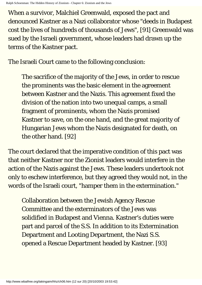When a survivor, Malchiel Greenwald, exposed the pact and denounced Kastner as a Nazi collaborator whose "deeds in Budapest cost the lives of hundreds of thousands of Jews", [91] Greenwald was sued by the Israeli government, whose leaders had drawn up the terms of the Kastner pact.

The Israeli Court came to the following conclusion:

The sacrifice of the majority of the Jews, in order to rescue the prominents was the basic element in the agreement between Kastner and the Nazis. This agreement fixed the division of the nation into two unequal camps, a small fragment of prominents, whom the Nazis promised Kastner to save, on the one hand, and the great majority of Hungarian Jews whom the Nazis designated for death, on the other hand. [92]

The court declared that the imperative condition of this pact was that neither Kastner nor the Zionist leaders would interfere in the action of the Nazis against the Jews. These leaders undertook not only to eschew interference, but they agreed they would not, in the words of the Israeli court, "hamper them in the extermination."

Collaboration between the Jewish Agency Rescue Committee and the exterminators of the Jews was solidified in Budapest and Vienna. Kastner's duties were part and parcel of the S.S. In addition to its Extermination Department and Looting Department, the Nazi S.S. opened a Rescue Department headed by Kastner. [93]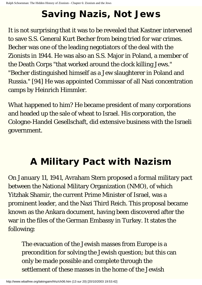# **Saving Nazis, Not Jews**

It is not surprising that it was to be revealed that Kastner intervened to save S.S. General Kurt Becher from being tried for war crimes. Becher was one of the leading negotiators of the deal with the Zionists in 1944. He was also an S.S. Major in Poland, a member of the Death Corps "that worked around the clock killing Jews." "Becher distinguished himself as a Jew slaughterer in Poland and Russia." [94] He was appointed Commissar of all Nazi concentration camps by Heinrich Himmler.

What happened to him? He became president of many corporations and headed up the sale of wheat to Israel. His corporation, the Cologne-Handel Gesellschaft, did extensive business with the Israeli government.

# **A Military Pact with Nazism**

On January 11, 1941, Avraham Stern proposed a formal military pact between the National Military Organization (NMO), of which Yitzhak Shamir, the current Prime Minister of Israel, was a prominent leader, and the Nazi Third Reich. This proposal became known as the Ankara document, having been discovered after the war in the files of the German Embassy in Turkey. It states the following:

The evacuation of the Jewish masses from Europe is a precondition for solving the Jewish question; but this can only be made possible and complete through the settlement of these masses in the home of the Jewish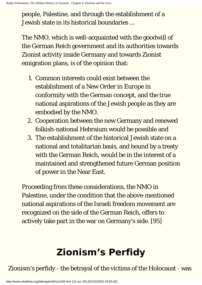people, Palestine, and through the establishment of a Jewish state in its historical boundaries ...

The NMO, which is well-acquainted with the goodwill of the German Reich government and its authorities towards Zionist activity inside Germany and towards Zionist emigration plans, is of the opinion that:

- 1. Common interests could exist between the establishment of a New Order in Europe in conformity with the German concept, and the true national aspirations of the Jewish people as they are embodied by the NMO.
- 2. Cooperation between the new Germany and renewed folkish-national Hebraium would be possible and
- 3. The establishment of the historical Jewish state on a national and totalitarian basis, and bound by a treaty with the German Reich, would be in the interest of a maintained and strengthened future German position of power in the Near East.

Proceeding from these considerations, the NMO in Palestine, under the condition that the above-mentioned national aspirations of the Israeli freedom movement are recognized on the side of the German Reich, offers to actively take part in the war on Germany's side. [95]

## **Zionism's Perfidy**

Zionism's perfidy - the betrayal of the victims of the Holocaust - was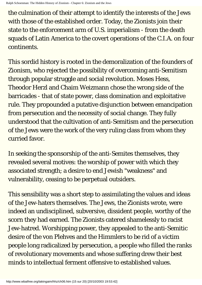the culmination of their attempt to identify the interests of the Jews with those of the established order. Today, the Zionists join their state to the enforcement arm of U.S. imperialism - from the death squads of Latin America to the covert operations of the C.I.A. on four continents.

This sordid history is rooted in the demoralization of the founders of Zionism, who rejected the possibility of overcoming anti-Semitism through popular struggle and social revolution. Moses Hess, Theodor Herzl and Chaim Weizmann chose the wrong side of the barricades - that of state power, class domination and exploitative rule. They propounded a putative disjunction between emancipation from persecution and the necessity of social change. They fully understood that the cultivation of anti-Semitism and the persecution of the Jews were the work of the very ruling class from whom they curried favor.

In seeking the sponsorship of the anti-Semites themselves, they revealed several motives: the worship of power with which they associated strength; a desire to end Jewish "weakness" and vulnerability, ceasing to be perpetual outsiders.

This sensibility was a short step to assimilating the values and ideas of the Jew-haters themselves. The Jews, the Zionists wrote, were indeed an undisciplined, subversive, dissident people, worthy of the scorn they had earned. The Zionists catered shamelessly to racist Jew-hatred. Worshipping power, they appealed to the anti-Semitic desire of the von Plehves and the Himmlers to be rid of a victim people long radicalized by persecution, a people who filled the ranks of revolutionary movements and whose suffering drew their best minds to intellectual ferment offensive to established values.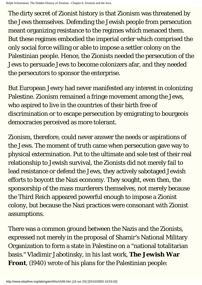The dirty secret of Zionist history is that Zionism was threatened by the Jews themselves. Defending the Jewish people from persecution meant organizing resistance to the regimes which menaced them. But these regimes embodied the imperial order which comprised the only social force willing or able to impose a settler colony on the Palestinian people. Hence, the Zionists needed the persecution of the Jews to persuade Jews to become colonizers afar, and they needed the persecutors to sponsor the enterprise.

But European Jewry had never manifested any interest in colonizing Palestine. Zionism remained a fringe movement among the Jews, who aspired to live in the countries of their birth free of discrimination or to escape persecution by emigrating to bourgeois democracies perceived as more tolerant.

Zionism, therefore, could never answer the needs or aspirations of the Jews. The moment of truth came when persecution gave way to physical extermination. Put to the ultimate and sole test of their real relationship to Jewish survival, the Zionists did not merely fail to lead resistance or defend the Jews, they actively sabotaged Jewish efforts to boycott the Nazi economy. They sought, even then, the sponsorship of the mass murderers themselves, not merely because the Third Reich appeared powerful enough to impose a Zionist colony, but because the Nazi practices were consonant with Zionist assumptions.

There was a common ground between the Nazis and the Zionists, expressed not merely in the proposal of Shamir's National Military Organization to form a state in Palestine on a "national totalitarian basis." Vladimir Jabotinsky, in his last work, **The Jewish War Front**, (l940) wrote of his plans for the Palestinian people: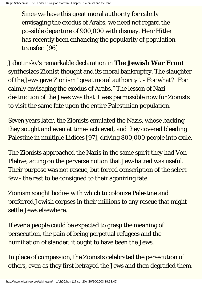Since we have this great moral authority for calmly envisaging the exodus of Arabs, we need not regard the possible departure of 900,000 with dismay. Herr Hitler has recently been enhancing the popularity of population transfer. [96]

Jabotinsky's remarkable declaration in **The Jewish War Front** synthesizes Zionist thought and its moral bankruptcy. The slaughter of the Jews gave Zionism "great moral authority". - For what? "For calmly envisaging the exodus of Arabs." The lesson of Nazi destruction of the Jews was that it was permissible now for Zionists to visit the same fate upon the entire Palestinian population.

Seven years later, the Zionists emulated the Nazis, whose backing they sought and even at times achieved, and they covered bleeding Palestine in multiple Lidices [97], driving 800,000 people into exile.

The Zionists approached the Nazis in the same spirit they had Von Plehve, acting on the perverse notion that Jew-hatred was useful. Their purpose was not rescue, but forced conscription of the select few - the rest to be consigned to their agonizing fate.

Zionism sought bodies with which to colonize Palestine and preferred Jewish corpses in their millions to any rescue that might settle Jews elsewhere.

If ever a people could be expected to grasp the meaning of persecution, the pain of being perpetual refugees and the humiliation of slander, it ought to have been the Jews.

In place of compassion, the Zionists celebrated the persecution of others, even as they first betrayed the Jews and then degraded them.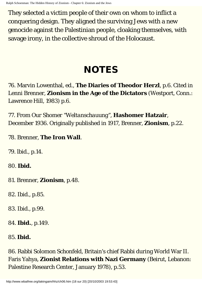They selected a victim people of their own on whom to inflict a conquering design. They aligned the surviving Jews with a new genocide against the Palestinian people, cloaking themselves, with savage irony, in the collective shroud of the Holocaust.

### **NOTES**

76. Marvin Lowenthal, ed., **The Diaries of Theodor Herzl**, p.6. Cited in Lenni Brenner, **Zionism in the Age of the Dictators** (Westport, Conn.: Lawrence Hill, 1983) p.6.

77. From *Our Shomer "Weltanschauung"*, **Hashomer Hatzair**, December 1936. Originally published in 1917, Brenner, **Zionism**, p.22.

78. Brenner, **The Iron Wall**.

79. lbid., p.14.

80. **Ibid.**

81. Brenner, **Zionism**, p.48.

82. Ibid., p.85.

83. Ibid., p.99.

84. **Ibid.**, p.149.

85. **Ibid.**

86. Rabbi Solomon Schonfeld, Britain's chief Rabbi during World War II. Faris Yahya, **Zionist Relations with Nazi Germany** (Beirut, Lebanon: Palestine Research Center, January 1978), p.53.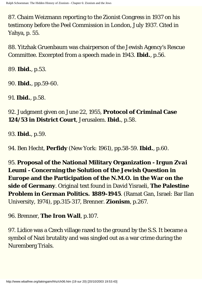87. Chaim Weizmann reporting to the Zionist Congress in 1937 on his testimony before the Peel Commission in London, July 1937. Cited in Yahya, p. 55.

88. Yitzhak Gruenbaum was chairperson of the Jewish Agency's Rescue Committee. Excerpted from a speech made in 1943. **Ibid.**, p.56.

89. **Ibid.**, p.53.

90. **Ibid.**, pp.59-60.

91. **Ibid.**, p.58.

92. Judgment given on June 22, 1955, **Protocol of Criminal Case 124/53 in District Court**, Jerusalem. **Ibid.**, p.58.

93. **Ibid.**, p.59.

94. Ben Hecht, **Perfidy** (New York: 1961), pp.58-59. **Ibid.**, p.60.

95. **Proposal of the National Military Organization -** *Irgun Zvai Leumi* **- Concerning the Solution of the Jewish Question in Europe and the Participation of the N.M.O. in the War on the side of Germany**. Original text found in David Yisraeli, **The Palestine Problem in German Politics. 1889-1945**. (Ramat Gan, Israel: Bar Ilan University, 1974), pp.315-317, Brenner. **Zionism**, p.267.

96. Brenner, **The Iron Wall**, p.107.

97. Lidice was a Czech village razed to the ground by the S.S. It became a symbol of Nazi brutality and was singled out as a war crime during the Nuremberg Trials.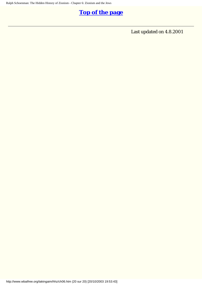Ralph Schoenman: The Hidden History of Zionism - Chapter 6: Zionism and the Jews



Last updated on 4.8.2001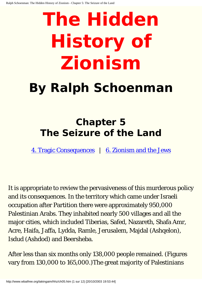# <span id="page-161-0"></span>**The Hidden History of Zionism**

# **By Ralph Schoenman**

### **Chapter 5 The Seizure of the Land**

[4. Tragic Consequences](#page-173-0) | [6. Zionism and the Jews](#page-141-0)

It is appropriate to review the pervasiveness of this murderous policy and its consequences. In the territory which came under Israeli occupation after Partition there were approximately 950,000 Palestinian Arabs. They inhabited nearly 500 villages and all the major cities, which included Tiberias, Safed, Nazareth, Shafa Amr, Acre, Haifa, Jaffa, Lydda, Ramle, Jerusalem, Majdal (Ashqelon), Isdud (Ashdod) and Beersheba.

After less than six months only 138,000 people remained. (Figures vary from 130,000 to 165,000.)The great majority of Palestinians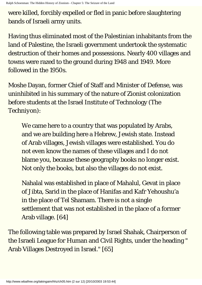were killed, forcibly expelled or fled in panic before slaughtering bands of Israeli army units.

Having thus eliminated most of the Palestinian inhabitants from the land of Palestine, the Israeli government undertook the systematic destruction of their homes and possessions. Nearly 400 villages and towns were razed to the ground during 1948 and 1949. More followed in the 1950s.

Moshe Dayan, former Chief of Staff and Minister of Defense, was uninhibited in his summary of the nature of Zionist colonization before students at the Israel Institute of Technology (The *Techniyon*):

We came here to a country that was populated by Arabs, and we are building here a Hebrew, Jewish state. Instead of Arab villages, Jewish villages were established. You do not even know the names of these villages and I do not blame you, because these geography books no longer exist. Not only the books, but also the villages do not exist.

Nahalal was established in place of Mahalul, Gevat in place of Jibta, Sarid in the place of Hanifas and Kafr Yehoushu'a in the place of Tel Shamam. There is not a single settlement that was not established in the place of a former Arab village. [64]

The following table was prepared by Israel Shahak, Chairperson of the Israeli League for Human and Civil Rights, under the heading " Arab Villages Destroyed in Israel." [65]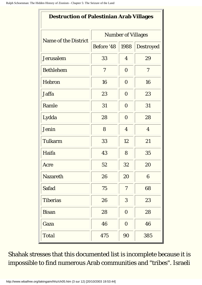| <b>Destruction of Palestinian Arab Villages</b> |                           |                         |                         |
|-------------------------------------------------|---------------------------|-------------------------|-------------------------|
| <b>Name of the District</b>                     | <b>Number of Villages</b> |                         |                         |
|                                                 | Before '48                | 1988                    | <b>Destroyed</b>        |
| <b>Jerusalem</b>                                | 33                        | $\overline{\mathbf{4}}$ | 29                      |
| <b>Bethlehem</b>                                | $\overline{\mathcal{U}}$  | $\bf{0}$                | $\mathbf 7$             |
| Hebron                                          | 16                        | $\bf{0}$                | 16                      |
| <b>Jaffa</b>                                    | 23                        | $\bf{0}$                | 23                      |
| Ramle                                           | 31                        | $\bf{0}$                | 31                      |
| Lydda                                           | 28                        | $\bf{0}$                | 28                      |
| Jenin                                           | 8                         | $\overline{\mathbf{4}}$ | $\overline{\mathbf{4}}$ |
| <b>Tulkarm</b>                                  | 33                        | 12                      | 21                      |
| Haifa                                           | 43                        | 8                       | 35                      |
| <b>Acre</b>                                     | 52                        | 32                      | <b>20</b>               |
| <b>Nazareth</b>                                 | 26                        | 20                      | $\boldsymbol{6}$        |
| <b>Safad</b>                                    | 75                        | $\boldsymbol{7}$        | 68                      |
| <b>Tiberias</b>                                 | 26                        | 3                       | 23                      |
| <b>Bisan</b>                                    | 28                        | $\boldsymbol{0}$        | 28                      |
| Gaza                                            | 46                        | $\boldsymbol{0}$        | 46                      |
| <b>Total</b>                                    | 475                       | 90                      | 385                     |

Shahak stresses that this documented list is incomplete because it is impossible to find numerous Arab communities and "tribes". Israeli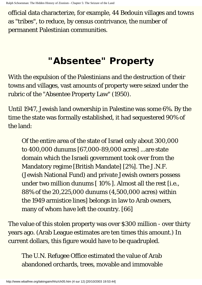official data characterize, for example, 44 Bedouin villages and towns as "tribes", to reduce, by census contrivance, the number of permanent Palestinian communities.

### **"Absentee" Property**

With the expulsion of the Palestinians and the destruction of their towns and villages, vast amounts of property were seized under the rubric of the "Absentee Property Law" (1950).

Until 1947, Jewish land ownership in Palestine was some 6%. By the time the state was formally established, it had sequestered 90% of the land:

Of the entire area of the state of Israel only about 300,000 to 400,000 dunums [67,000-89,000 acres] ...are state domain which the Israeli government took over from the Mandatory regime [British Mandate] [2%]. The J.N.F. (Jewish National Fund) and private Jewish owners possess under two million dunums [ 10% ]. Almost all the rest [i.e., 88% of the 20,225,000 dunums (4,500,000 acres) within the 1949 armistice lines] belongs in law to Arab owners, many of whom have left the country. [66]

The value of this stolen property was over \$300 million - over thirty years ago. (Arab League estimates are ten times this amount.) In current dollars, this figure would have to be quadrupled.

The U.N. Refugee Office estimated the value of Arab abandoned orchards, trees, movable and immovable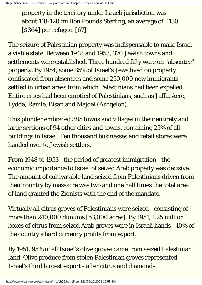property in the territory under Israeli jurisdiction was about 118-120 million Pounds Sterling, an average of £130 [\$364] per refugee. [67]

The seizure of Palestinian property was indispensable to make Israel a viable state. Between 1948 and 1953, 370 Jewish towns and settlements were established. Three hundred fifty were on "absentee" property. By 1954, some 35% of Israel's Jews lived on property confiscated from absentees and some 250,000 new immigrants settled in urban areas from which Palestinians had been expelled. Entire cities had been emptied of Palestinians, such as Jaffa, Acre, Lydda, Ramle, Bisan and Majdal (Ashqelon).

This plunder embraced 385 towns and villages in their entirety and large sections of 94 other cities and towns, containing 25% of all buildings in Israel. Ten thousand businesses and retail stores were handed over to Jewish settlers.

From 1948 to 1953 - the period of greatest immigration - the economic importance to Israel of seized Arab property was decisive. The amount of cultivatable land seized from Palestinians driven from their country by massacre was two and one half times the total area of land granted the Zionists with the end of the mandate.

Virtually all citrus groves of Palestinians were seized - consisting of more than 240,000 dunums [53,000 acres]. By 1951, 1.25 million boxes of citrus from seized Arab groves were in Israeli hands - 10% of the country's hard currency profits from export.

By 1951, 95% of all Israel's olive groves came from seized Palestinian land. Olive produce from stolen Palestinian groves represented Israel's third largest export - after citrus and diamonds.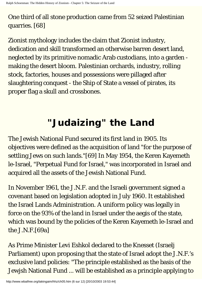#### One third of all stone production came from 52 seized Palestinian quarries. [68]

Zionist mythology includes the claim that Zionist industry, dedication and skill transformed an otherwise barren desert land, neglected by its primitive nomadic Arab custodians, into a garden making the desert bloom. Palestinian orchards, industry, rolling stock, factories, houses and possessions were pillaged after slaughtering conquest - the Ship of State a vessel of pirates, its proper flag a skull and crossbones.

# **"Judaizing" the Land**

The Jewish National Fund secured its first land in 1905. Its objectives were defined as the acquisition of land "for the purpose of settling Jews on such lands."[69] In May 1954, the Keren Kayemeth le-Israel, "Perpetual Fund for Israel," was incorporated in Israel and acquired all the assets of the Jewish National Fund.

In November 1961, the J.N.F. and the Israeli government signed a covenant based on legislation adopted in July 1960. It established the Israel Lands Administration. A uniform policy was legally in force on the 93% of the land in Israel under the aegis of the state, which was bound by the policies of the Keren Kayemeth le-Israel and the J.N.F.[69a]

As Prime Minister Levi Eshkol declared to the Knesset (Israelj Parliament) upon proposing that the state of Israel adopt the J.N.F.'s exclusive land policies: "The principle established as the basis of the Jewjsh National Fund ... will be established as a principle applying to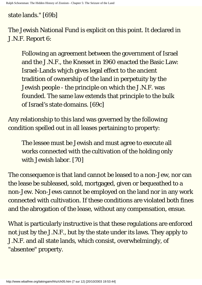#### state lands." [69b]

The Jewish National Fund is explicit on this point. It declared in J.N.F. Report 6:

Following an agreement between the government of Israel and the J.N.F., the Knesset in 1960 enacted the Basic Law: Israel-Lands whjch gives legal effect to the ancient tradition of ownership of the land in perpetuity by the Jewish people - the principle on which the J.N.F. was founded. The same law extends that principle to the bulk of Israel's state domains. [69c]

Any relationship to this land was governed by the following condition spelled out in all leases pertaining to property:

The lessee must be Jewish and must agree to execute all works connected with the cultivation of the holding only with Jewish labor. [70]

The consequence is that land cannot be leased to a non-Jew, nor can the lease be subleased, sold, mortgaged, given or bequeathed to a non-Jew. Non-Jews cannot be employed on the land nor in any work connected with cultivation. If these conditions are violated both fines and the abrogation of the lease, without any compensation, ensue.

What is particularly instructive is that these regulations are enforced not just by the J.N.F., but by the state under its laws. They apply to J.N.F. and all state lands, which consist, overwhelmingly, of "absentee" property.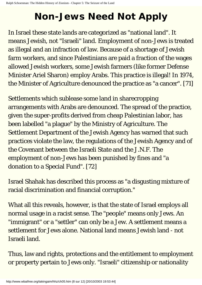# **Non-Jews Need Not Apply**

In Israel these state lands are categorized as "national land". It means Jewish, not "Israeli" land. Employment of non-Jews is treated as illegal and an infraction of law. Because of a shortage of Jewish farm workers, and since Palestinians are paid a fraction of the wages allowed Jewish workers, some Jewish farmers (like former Defense Minister Ariel Sharon) employ Arabs. This practice is illegal! In 1974, the Minister of Agriculture denounced the practice as "a cancer". [71]

Settlements which sublease some land in sharecropping arrangements with Arabs are denounced. The spread of the practice, given the super-profits derived from cheap Palestinian labor, has been labelled "a plague" by the Ministry of Agriculture. The Settlement Department of the Jewish Agency has warned that such practices violate the law, the regulations of the Jewish Agency and of the Covenant between the Israeli State and the J.N.F. The employment of non-Jews has been punished by fines and "a donation to a Special Fund". [72]

Israel Shahak has described this process as "a disgusting mixture of racial discrimination and financial corruption."

What all this reveals, however, is that the state of Israel employs all normal usage in a racist sense. The "people" means only Jews. An "immigrant" or a "settler" can only be a Jew. A settlement means a settlement for Jews alone. National land means Jewish land - not Israeli land.

Thus, law and rights, protections and the entitlement to employment or property pertain to Jews only. "Israeli" citizenship or nationality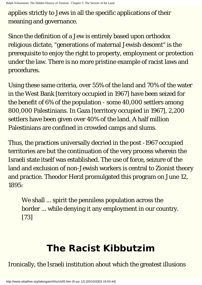applies strictly to Jews in all the specific applications of their meaning and governance.

Since the definition of a Jew is entirely based upon orthodox religious dictate, "generations of maternal Jewish descent" is the prerequisite to enjoy the right to property, employment or protection under the law. There is no more pristine example of racist laws and procedures.

Using these same criteria, over 55% of the land and 70% of the water in the West Bank [territory occupied in 1967] have been seized for the benefit of 6% of the population - some 40,000 settlers among 800,000 Palestinians. In Gaza [territory occupied in 1967], 2,200 settlers have been given over 40% of the land. A half million Palestinians are confined in crowded camps and slums.

Thus, the practices universally decried in the post -1967 occupied territories are but the continuation of the very process wherein the Israeli state itself was established. The use of force, seizure of the land and exclusion of non-Jewish workers is central to Zionist theory and practice. Theodor Herzl promulgated this program on June 12, 1895:

We shall ... spirit the penniless population across the border ... while denying it any employment in our country. [73]

### **The Racist Kibbutzim**

Ironically, the Israeli institution about which the greatest illusions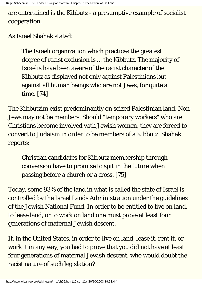are entertained is the Kibbutz - a presumptive example of socialist cooperation.

As Israel Shahak stated:

The Israeli organization which practices the greatest degree of racist exclusion is ... the Kibbutz. The majority of Israelis have been aware of the racist character of the Kibbutz as displayed not only against Palestinians but against all human beings who are not Jews, for quite a time. [74]

The Kibbutzim exist predominantly on seized Palestinian land. Non-Jews may not be members. Should "temporary workers" who are Christians become involved with Jewish women, they are forced to convert to Judaism in order to be members of a Kibbutz. Shahak reports:

Christian candidates for Kibbutz membership through conversion have to promise to spit in the future when passing before a church or a cross. [75]

Today, some 93% of the land in what is called the state of Israel is controlled by the Israel Lands Administration under the guidelines of the Jewish National Fund. In order to be entitled to live on land, to lease land, or to work on land one must prove at least four generations of maternal Jewish descent.

If, in the United States, in order to live on land, lease it, rent it, or work it in any way, you had to prove that you did not have at least four generations of maternal Jewish descent, who would doubt the racist nature of such legislation?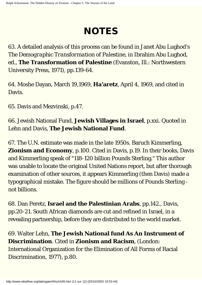### **NOTES**

63. A detailed analysis of this process can be found in Janet Abu Lughod's *The Demographic Transformation of Palestine*, in Ibrahim Abu Lughod, ed., **The Transformation of Palestine** (Evanston, Ill.: Northwestern University Press, 1971), pp.139-64.

64. Moshe Dayan, March 19,1969, **Ha'aretz**, April 4, 1969, and cited in Davis.

65. Davis and Mezvinski, p.47.

66. Jewish National Fund, **Jewish Villages in Israel**, p.xxi. Quoted in Lehn and Davis, **The Jewish National Fund**.

67. The U.N. estimate was made in the late 1950s. Baruch Kimmerling, **Zionism and Economy**, p.100. Cited in Davis, p.19. In their books, Davis and Kimmerling speak of "118-120 billion Pounds Sterling." This author was unable to locate the original United Nations report, but after thorough examination of other sources, it appears Kimmerling (then Davis) made a typographical mistake. The figure should be millions of Pounds Sterling not billions.

68. Dan Peretz, **Israel and the Palestinian Arabs**, pp.142., Davis, pp.20-21. South African diamonds are cut and refined in Israel, in a revealing partnership, before they are distributed to the world market.

69. Walter Lehn, **The Jewish National fund As An Instrument of Discrimination**. Cited in **Zionism and Racism**, (London: International Organization for the Elimination of All Forms of Racial Discrimination, 1977), p.80.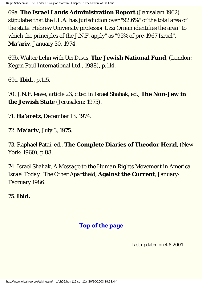69a. **The Israel Lands Administration Report** (Jerusalem 1962) stipulates that the I.L.A. has jurisdiction over "92.6%" of the total area of the state. Hebrew University professor Uzzi Ornan identifies the area "to which the principles of the J.N.F. apply" as "95% of pre-1967 Israel". **Ma'ariv**, January 30, 1974.

69b. Walter Lehn with Uri Davis, **The Jewish National Fund**, (London: Kegan Paul International Ltd., 1988), p.114.

69c. **Ibid.**, p.115.

70. J.N.F. lease, article 23, cited in Israel Shahak, ed., **The Non-Jew in the Jewish State** (Jerusalem: 1975).

71. **Ha'aretz**, December 13, 1974.

72. **Ma'ariv**, July 3, 1975.

73. Raphael Patai, ed., **The Complete Diaries of Theodor Herzl**, (New York: 1960), p.88.

74. Israel Shahak, *A Message to the Human Rights Movement in America - Israel Today: The Other Apartheid*, **Against the Current**, January-February 1986.

75. **Ibid.**

#### **[Top of the page](#page-161-0)**

Last updated on 4.8.2001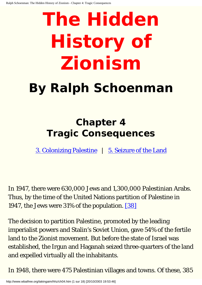# <span id="page-173-0"></span>**The Hidden History of Zionism**

# **By Ralph Schoenman**

## **Chapter 4 Tragic Consequences**

[3. Colonizing Palestine](#page-191-0) | [5. Seizure of the Land](#page-161-0)

In 1947, there were 630,000 Jews and 1,300,000 Palestinian Arabs. Thus, by the time of the United Nations partition of Palestine in 1947, the Jews were 31% of the population. [\[38\]](#page-188-0)

The decision to partition Palestine, promoted by the leading imperialist powers and Stalin's Soviet Union, gave 54% of the fertile land to the Zionist movement. But before the state of Israel was established, the Irgun and Haganah seized three-quarters of the land and expelled virtually all the inhabitants.

In 1948, there were 475 Palestinian villages and towns. Of these, 385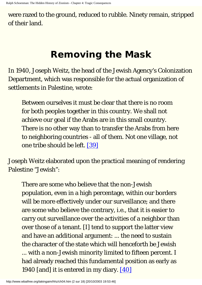were razed to the ground, reduced to rubble. Ninety remain, stripped of their land.

### **Removing the Mask**

In 1940, Joseph Weitz, the head of the Jewish Agency's Colonization Department, which was responsible for the actual organization of settlements in Palestine, wrote:

Between ourselves it must be clear that there is no room for both peoples together in this country. We shall not achieve our goal if the Arabs are in this small country. There is no other way than to transfer the Arabs from here to neighboring countries - all of them. Not one village, not one tribe should be left. [\[39\]](#page-188-1)

Joseph Weitz elaborated upon the practical meaning of rendering Palestine "Jewish":

There are some who believe that the non-Jewish population, even in a high percentage, within our borders will be more effectively under our surveillance; and there are some who believe the contrary, i.e., that it is easier to carry out surveillance over the activities of a neighbor than over those of a tenant. [I] tend to support the latter view and have an additional argument: ... the need to sustain the character of the state which will henceforth be Jewish ... with a non-Jewish minority limited to fifteen percent. I had already reached this fundamental position as early as 1940 [and] it is entered in my diary. [\[40\]](#page-188-2)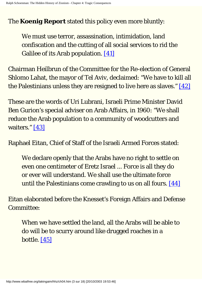#### The **Koenig Report** stated this policy even more bluntly:

We must use terror, assassination, intimidation, land confiscation and the cutting of all social services to rid the Galilee of its Arab population. [\[41\]](#page-188-3)

Chairman Heilbrun of the Committee for the Re-election of General Shlomo Lahat, the mayor of Tel Aviv, declaimed: "We have to kill all the Palestinians unless they are resigned to live here as slaves." [\[42\]](#page-188-4)

These are the words of Uri Lubrani, Israeli Prime Minister David Ben Gurion's special adviser on Arab Affairs, in 1960: "We shall reduce the Arab population to a community of woodcutters and waiters." [\[43\]](#page-188-5)

Raphael Eitan, Chief of Staff of the Israeli Armed Forces stated:

We declare openly that the Arabs have no right to settle on even one centimeter of Eretz Israel ... Force is all they do or ever will understand. We shall use the ultimate force until the Palestinians come crawling to us on all fours. [\[44\]](#page-188-6)

Eitan elaborated before the Knesset's Foreign Affairs and Defense Committee:

When we have settled the land, all the Arabs will be able to do will be to scurry around like drugged roaches in a bottle. [\[45\]](#page-188-7)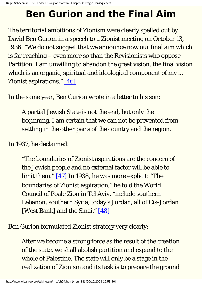# **Ben Gurion and the Final Aim**

The territorial ambitions of Zionism were clearly spelled out by David Ben Gurion in a speech to a Zionist meeting on October 13, 1936: "We do not suggest that we announce now our final aim which is far reaching – even more so than the Revisionists who oppose Partition. I am unwilling to abandon the great vision, the final vision which is an organic, spiritual and ideological component of my... Zionist aspirations." [\[46\]](#page-188-8)

In the same year, Ben Gurion wrote in a letter to his son:

A partial Jewish State is not the end, but only the beginning. I am certain that we can not be prevented from settling in the other parts of the country and the region.

#### In 1937, he declaimed:

"The boundaries of Zionist aspirations are the concern of the Jewish people and no external factor will be able to limit them." [\[47\]](#page-173-0) In 1938, he was more explicit: "The boundaries of Zionist aspiration," he told the World Council of Poale Zion in Tel Aviv, "include southern Lebanon, southern Syria, today's Jordan, all of Cis-Jordan [West Bank] and the Sinai." [\[48\]](#page-188-9)

Ben Gurion formulated Zionist strategy very clearly:

After we become a strong force as the result of the creation of the state, we shall abolish partition and expand to the whole of Palestine. The state will only be a stage in the realization of Zionism and its task is to prepare the ground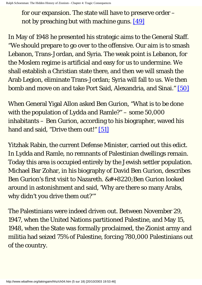for our expansion. The state will have to preserve order – not by preaching but with machine guns. [\[49\]](#page-188-10)

In May of 1948 he presented his strategic aims to the General Staff. "We should prepare to go over to the offensive. Our aim is to smash Lebanon, Trans-Jordan, and Syria. The weak point is Lebanon, for the Moslem regime is artificial and easy for us to undermine. We shall establish a Christian state there, and then we will smash the Arab Legion, eliminate Trans-Jordan; Syria will fall to us. We then bomb and move on and take Port Said, Alexandria, and Sinai." [\[50\]](#page-188-11)

When General Yigal Allon asked Ben Gurion, "What is to be done with the population of Lydda and Ramle?" – some 50,000 inhabitants – Ben Gurion, according to his biographer, waved his hand and said, "Drive them out!" [\[51\]](#page-189-0)

Yitzhak Rabin, the current Defense Minister, carried out this edict. In Lydda and Ramle, no remnants of Palestinian dwellings remain. Today this area is occupied entirely by the Jewish settler population. Michael Bar Zohar, in his biography of David Ben Gurion, describes Ben Gurion's first visit to Nazareth. &#+8220;Ben Gurion looked around in astonishment and said, 'Why are there so many Arabs, why didn't you drive them out?'"

The Palestinians were indeed driven out. Between November 29, 1947, when the United Nations partitioned Palestine, and May 15, 1948, when the State was formally proclaimed, the Zionist army and militia had seized 75% of Palestine, forcing 780,000 Palestinians out of the country.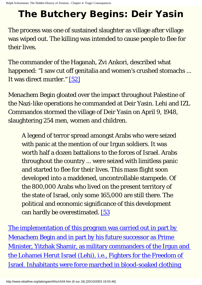# **The Butchery Begins: Deir Yasin**

The process was one of sustained slaughter as village after village was wiped out. The killing was intended to cause people to flee for their lives.

The commander of the Haganah, Zvi Ankori, described what happened: "I saw cut off genitalia and women's crushed stomachs ... It was direct murder." [\[52\]](#page-173-0)

Menachem Begin gloated over the impact throughout Palestine of the Nazi-like operations he commanded at Deir Yasin. Lehi and IZL Commandos stormed the village of Deir Yasin on April 9, 1948, slaughtering 254 men, women and children.

A legend of terror spread amongst Arabs who were seized with panic at the mention of our Irgun soldiers. It was worth half a dozen battalions to the forces of Israel. Arabs throughout the country ... were seized with limitless panic and started to flee for their lives. This mass flight soon developed into a maddened, uncontrollable stampede. Of the 800,000 Arabs who lived on the present territory of the state of Israel, only some 165,000 are still there. The political and economic significance of this development can hardly be overestimated. [\[53](#page-189-1)

[The implementation of this program was carried out in part by](#page-189-1)  [Menachem Begin and in part by his future successor as Prime](#page-189-1) [Minister, Yitzhak Shamir, as military commanders of the Irgun and](#page-189-1) [the Lohamei Herut Israel \(Lehi\), i.e., Fighters for the Freedom of](#page-189-1) [Israel. Inhabitants were force marched in blood-soaked clothing](#page-189-1)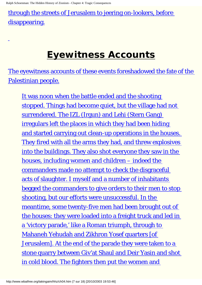[through the streets of Jerusalem to jeering on-lookers, before](#page-189-1)  [disappearing.](#page-189-1)

### **[Eyewitness Accounts](#page-189-1)**

[The eyewitness accounts of these events foreshadowed the fate of the](#page-189-1) [Palestinian people.](#page-189-1)

[It was noon when the battle ended and the shooting](#page-189-1)  [stopped. Things had become quiet, but the village had not](#page-189-1)  [surrendered. The IZL \(Irgun\) and Lehi \(Stern Gang\)](#page-189-1)  [irregulars left the places in which they had been hiding](#page-189-1)  [and started carrying out clean-up operations in the houses.](#page-189-1) [They fired with all the arms they had, and threw explosives](#page-189-1) [into the buildings. They also shot everyone they saw in the](#page-189-1)  [houses, including women and children – indeed the](#page-189-1) [commanders made no attempt to check the disgraceful](#page-189-1) [acts of slaughter. I myself and a number of inhabitants](#page-189-1) [begged the commanders to give orders to their men to stop](#page-189-1) [shooting, but our efforts were unsuccessful. In the](#page-189-1) [meantime, some twenty-five men had been brought out of](#page-189-1) [the houses: they were loaded into a freight truck and led in](#page-189-1)  [a 'victory parade,' like a Roman triumph, through to](#page-189-1) [Mahaneh Yehudah and Zikhron Yosef quarters \[of](#page-189-1)  [Jerusalem\]. At the end of the parade they were taken to a](#page-189-1) [stone quarry between Giv'at Shaul and Deir Yasin and shot](#page-189-1)  [in cold blood. The fighters then put the women and](#page-189-1)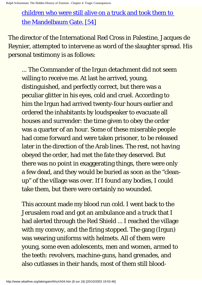[children who were still alive on a truck and took them to](#page-189-0) [the Mandelbaum Gate.](#page-189-0) [\[54\]](#page-189-1)

<span id="page-180-0"></span>The director of the International Red Cross in Palestine, Jacques de Reynier, attempted to intervene as word of the slaughter spread. His personal testimony is as follows:

... The Commander of the Irgun detachment did not seem willing to receive me. At last he arrived, young, distinguished, and perfectly correct, but there was a peculiar glitter in his eyes, cold and cruel. According to him the Irgun had arrived twenty-four hours earlier and ordered the inhabitants by loudspeaker to evacuate all houses and surrender: the time given to obey the order was a quarter of an hour. Some of these miserable people had come forward and were taken prisoner, to be released later in the direction of the Arab lines. The rest, not having obeyed the order, had met the fate they deserved. But there was no point in exaggerating things, there were only a few dead, and they would be buried as soon as the "cleanup" of the village was over. If I found any bodies, I could take them, but there were certainly no wounded.

This account made my blood run cold. I went back to the Jerusalem road and got an ambulance and a truck that I had alerted through the Red Shield ... I reached the village with my convoy, and the firing stopped. The gang (Irgun) was wearing uniforms with helmets. All of them were young, some even adolescents, men and women, armed to the teeth: revolvers, machine-guns, hand grenades, and also cutlasses in their hands, most of them still blood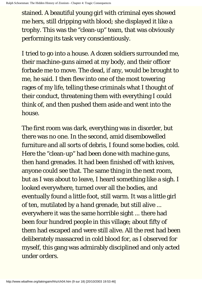stained. A beautiful young girl with criminal eyes showed me hers, still dripping with blood; she displayed it like a trophy. This was the "clean-up" team, that was obviously performing its task very conscientiously.

I tried to go into a house. A dozen soldiers surrounded me, their machine-guns aimed at my body, and their officer forbade me to move. The dead, if any, would be brought to me, he said. I then flew into one of the most towering rages of my life, telling these criminals what I thought of their conduct, threatening them with everything I could think of, and then pushed them aside and went into the house.

The first room was dark, everything was in disorder, but there was no one. In the second, amid disembowelled furniture and all sorts of debris, I found some bodies, cold. Here the "clean-up" had been done with machine guns, then hand grenades. It had been finished off with knives, anyone could see that. The same thing in the next room, but as I was about to leave, I heard something like a sigh. I looked everywhere, turned over all the bodies, and eventually found a little foot, still warm. It was a little girl of ten, mutilated by a hand grenade, but still alive ... everywhere it was the same horrible sight ... there had been four hundred people in this village; about fifty of them had escaped and were still alive. All the rest had been deliberately massacred in cold blood for, as I observed for myself, this gang was admirably disciplined and only acted under orders.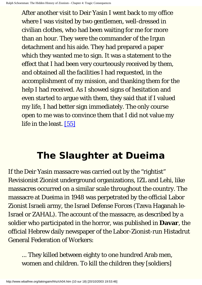After another visit to Deir Yasin I went back to my office where I was visited by two gentlemen, well-dressed in civilian clothes, who had been waiting for me for more than an hour. They were the commander of the Irgun detachment and his aide. They had prepared a paper which they wanted me to sign. It was a statement to the effect that I had been very courteously received by them, and obtained all the facilities I had requested, in the accomplishment of my mission, and thanking them for the help I had received. As I showed signs of hesitation and even started to argue with them, they said that if I valued my life, I had better sign immediately. The only course open to me was to convince them that I did not value my life in the least. [\[55\]](#page-189-2)

### **The Slaughter at Dueima**

<span id="page-182-0"></span>If the Deir Yasin massacre was carried out by the "rightist" Revisionist Zionist underground organizations, IZL and Lehi, like massacres occurred on a similar scale throughout the country. The massacre at Dueima in 1948 was perpetrated by the official Labor Zionist Israeli army, the Israel Defense Forces (Tzeva Haganah le-Israel or ZAHAL). The account of the massacre, as described by a soldier who participated in the horror, was published in **Davar**, the official Hebrew daily newspaper of the Labor-Zionist-run Histadrut General Federation of Workers:

... They killed between eighty to one hundred Arab men, women and children. To kill the children they [soldiers]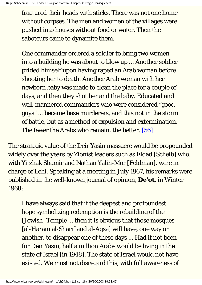fractured their heads with sticks. There was not one home without corpses. The men and women of the villages were pushed into houses without food or water. Then the saboteurs came to dynamite them.

One commander ordered a soldier to bring two women into a building he was about to blow up ... Another soldier prided himself upon having raped an Arab woman before shooting her to death. Another Arab woman with her newborn baby was made to clean the place for a couple of days, and then they shot her and the baby. Educated and well-mannered commanders who were considered "good guys" ... became base murderers, and this not in the storm of battle, but as a method of expulsion and extermination. The fewer the Arabs who remain, the better. [\[56\]](#page-189-3)

<span id="page-183-0"></span>The strategic value of the Deir Yasin massacre would be propounded widely over the years by Zionist leaders such as Eldad [Scheib] who, with Yitzhak Shamir and Nathan Yalin-Mor [Feldman], were in charge of Lehi. Speaking at a meeting in July 1967, his remarks were published in the well-known journal of opinion, **De'ot**, in Winter 1968:

I have always said that if the deepest and profoundest hope symbolizing redemption is the rebuilding of the [Jewish] Temple ... then it is obvious that those mosques [al-Haram al-Sharif and al-Aqsa] will have, one way or another, to disappear one of these days ... Had it not been for Deir Yasin, half a million Arabs would be living in the state of Israel [in 1948]. The state of Israel would not have existed. We must not disregard this, with full awareness of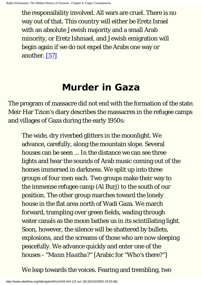the responsibility involved. All wars are cruel. There is no way out of that. This country will either be Eretz Israel with an absolute Jewish majority and a small Arab minority, or Eretz Ishmael, and Jewish emigration will begin again if we do not expel the Arabs one way or another. [\[57\]](#page-189-4)

### **Murder in Gaza**

<span id="page-184-0"></span>The program of massacre did not end with the formation of the state. Meir Har Tzion's diary describes the massacres in the refugee camps and villages of Gaza during the early 1950s:

The wide, dry riverbed glitters in the moonlight. We advance, carefully, along the mountain slope. Several houses can be seen ... In the distance we can see three lights and hear the sounds of Arab music coming out of the homes immersed in darkness. We split up into three groups of four men each. Two groups make their way to the immense refugee camp (Al Burj) to the south of our position. The other group marches toward the lonely house in the flat area north of Wadi Gaza. We march forward, trampling over green fields, wading through water canals as the moon bathes us in its scintillating light. Soon, however, the silence will be shattered by bullets, explosions, and the screams of those who are now sleeping peacefully. We advance quickly and enter one of the houses - "*Mann Haatha*?" [Arabic for "Who's there?"]

We leap towards the voices. Fearing and trembling, two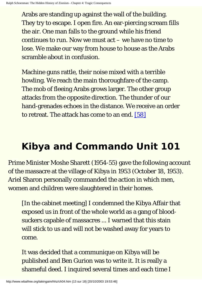Arabs are standing up against the wall of the building. They try to escape. I open fire. An ear-piercing scream fills the air. One man falls to the ground while his friend continues to run. Now we must act – we have no time to lose. We make our way from house to house as the Arabs scramble about in confusion.

Machine guns rattle, their noise mixed with a terrible howling. We reach the main thoroughfare of the camp. The mob of fleeing Arabs grows larger. The other group attacks from the opposite direction. The thunder of our hand-grenades echoes in the distance. We receive an order to retreat. The attack has come to an end. [\[58\]](#page-189-5)

### <span id="page-185-0"></span>**Kibya and Commando Unit 101**

Prime Minister Moshe Sharett (1954-55) gave the following account of the massacre at the village of Kibya in 1953 (October 18, 1953). Ariel Sharon personally commanded the action in which men, women and children were slaughtered in their homes.

[In the cabinet meeting] I condemned the Kibya Affair that exposed us in front of the whole world as a gang of bloodsuckers capable of massacres ... I warned that this stain will stick to us and will not be washed away for years to come.

It was decided that a communique on Kibya will be published and Ben Gurion was to write it. It is really a shameful deed. I inquired several times and each time I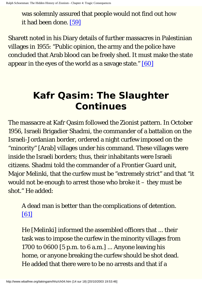was solemnly assured that people would not find out how it had been done. [\[59\]](#page-189-6)

<span id="page-186-1"></span><span id="page-186-0"></span>Sharett noted in his Diary details of further massacres in Palestinian villages in 1955: "Public opinion, the army and the police have concluded that Arab blood can be freely shed. It must make the state appear in the eyes of the world as a savage state." [\[60\]](#page-189-7)

### **Kafr Qasim: The Slaughter Continues**

The massacre at Kafr Qasim followed the Zionist pattern. In October 1956, Israeli Brigadier Shadmi, the commander of a battalion on the Israeli-Jordanian border, ordered a night curfew imposed on the "minority" [Arab] villages under his command. These villages were inside the Israeli borders; thus, their inhabitants were Israeli citizens. Shadmi told the commander of a Frontier Guard unit, Major Melinki, that the curfew must be "extremely strict" and that "it would not be enough to arrest those who broke it – they must be shot." He added:

<span id="page-186-2"></span>A dead man is better than the complications of detention. [\[61\]](#page-189-8)

He [Melinki] informed the assembled officers that ... their task was to impose the curfew in the minority villages from 1700 to 0600 [5 p.m. to 6 a.m.] ... Anyone leaving his home, or anyone breaking the curfew should be shot dead. He added that there were to be no arrests and that if a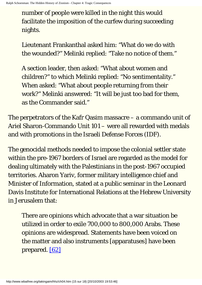number of people were killed in the night this would facilitate the imposition of the curfew during succeeding nights.

Lieutenant Frankanthal asked him: "What do we do with the wounded?" Melinki replied: "Take no notice of them."

A section leader, then asked: "What about women and children?" to which Melinki replied: "No sentimentality." When asked: "What about people returning from their work?" Melinki answered: "It will be just too bad for them, as the Commander said."

The perpetrators of the Kafr Qasim massacre – a commando unit of Ariel Sharon-Commando Unit 101 – were all rewarded with medals and with promotions in the Israeli Defense Forces (IDF).

The genocidal methods needed to impose the colonial settler state within the pre-1967 borders of Israel are regarded as the model for dealing ultimately with the Palestinians in the post-1967 occupied territories. Aharon Yariv, former military intelligence chief and Minister of Information, stated at a public seminar in the Leonard Davis Institute for International Relations at the Hebrew University in Jerusalem that:

<span id="page-187-0"></span>There are opinions which advocate that a war situation be utilized in order to exile 700,000 to 800,000 Arabs. These opinions are widespread. Statements have been voiced on the matter and also instruments [apparatuses] have been prepared. [\[62\]](#page-189-9)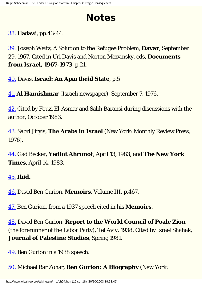### **Notes**

[38.](#page-173-0) Hadawi, pp.43-44.

[39.](#page-174-0) Joseph Weitz, *A Solution to the Refugee Problem*, **Davar**, September 29, 1967. Cited in Uri Davis and Norton Mezvinsky, eds, **Documents from Israel, 1967-1973**, p.21.

[40.](#page-174-1) Davis, **Israel: An Apartheid State**, p.5

[41.](#page-175-0) **Al Hamishmar** (Israeli newspaper), September 7, 1976.

[42.](#page-175-1) Cited by Fouzi El-Asmar and Salih Baransi during discussions with the author, October 1983.

[43.](#page-175-2) Sabri Jiryis, **The Arabs in Israel** (New York: Monthly Review Press, 1976).

[44.](#page-175-3) Gad Becker, **Yediot Ahronot**, April 13, 1983, and **The New York Times**, April 14, 1983.

#### [45.](#page-173-1) **Ibid.**

[46.](#page-176-0) David Ben Gurion, **Memoirs**, Volume III, p.467.

[47.](#page-173-1) Ben Gurion, from a 1937 speech cited in his **Memoirs**.

[48.](#page-176-1) David Ben Gurion, **Report to the World Council of Poale Zion** (the forerunner of the Labor Party), Tel Aviv, 1938. Cited by Israel Shahak, **Journal of Palestine Studies**, Spring 1981.

[49.](#page-177-0) Ben Gurion in a 1938 speech.

[50.](#page-177-1) Michael Bar Zohar, **Ben Gurion: A Biography** (New York: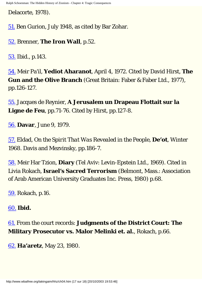Delacorte, 1978).

[51.](#page-177-2) Ben Gurion, July 1948, as cited by Bar Zohar.

<span id="page-189-0"></span>[52.](#page-173-1) Brenner, **The Iron Wall**, p.52.

<span id="page-189-1"></span>[53.](#page-179-0) Ibid., p.143.

[54.](#page-180-0) Meir Pa'il, **Yediot Aharanot**, April 4, 1972. Cited by David Hirst, **The Gun and the Olive Branch** (Great Britain: Faber & Faber Ltd., 1977), pp.126-127.

<span id="page-189-2"></span>[55.](#page-182-0) Jacques de Reynier, **A Jerusalem un Drapeau Flottait sur la Ligne de Feu**, pp.71-76. Cited by Hirst, pp.127-8.

<span id="page-189-4"></span><span id="page-189-3"></span>[56.](#page-183-0) **Davar**, June 9, 1979.

[57.](#page-184-0) Eldad, *On the Spirit That Was Revealed in the People*, **De'ot**, Winter 1968. Davis and Mezvinsky, pp.186-7.

<span id="page-189-5"></span>[58.](#page-185-0) Meir Har Tzion, **Diary** (Tel Aviv: Levin-Epstein Ltd., 1969). Cited in Livia Rokach, **Israel's Sacred Terrorism** (Belmont, Mass.: Association of Arab American University Graduates Inc. Press, 1980) p.68.

<span id="page-189-7"></span><span id="page-189-6"></span>[59.](#page-186-0) Rokach, p.16.

#### <span id="page-189-8"></span>[60.](#page-186-1) **Ibid.**

[61.](#page-186-2) From the court records: **Judgments of the District Court: The Military Prosecutor vs. Malor Melinki et. al.**, Rokach, p.66.

<span id="page-189-9"></span>[62.](#page-187-0) **Ha'aretz**, May 23, 1980.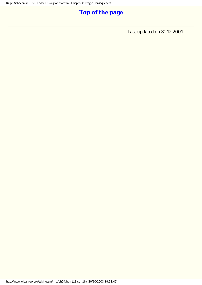

Last updated on 31.12.2001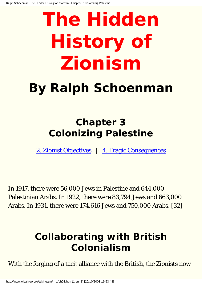# <span id="page-191-0"></span>**The Hidden History of Zionism**

## **By Ralph Schoenman**

## **Chapter 3 Colonizing Palestine**

[2. Zionist Objectives](#page-199-0) | [4. Tragic Consequences](#page-173-1)

In 1917, there were 56,000 Jews in Palestine and 644,000 Palestinian Arabs. In 1922, there were 83,794 Jews and 663,000 Arabs. In 1931, there were 174,616 Jews and 750,000 Arabs. [32]

### **Collaborating with British Colonialism**

With the forging of a tacit alliance with the British, the Zionists now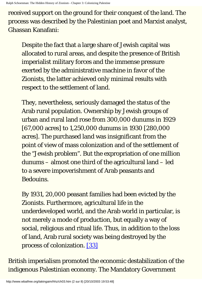received support on the ground for their conquest of the land. The process was described by the Palestinian poet and Marxist analyst, Ghassan Kanafani:

Despite the fact that a large share of Jewish capital was allocated to rural areas, and despite the presence of British imperialist military forces and the immense pressure exerted by the administrative machine in favor of the Zionists, the latter achieved only minimal results with respect to the settlement of land.

They, nevertheless, seriously damaged the status of the Arab rural population. Ownership by Jewish groups of urban and rural land rose from 300,000 dunums in 1929 [67,000 acres] to 1,250,000 dunums in 1930 [280,000 acres]. The purchased land was insignificant from the point of view of mass colonization and of the settlement of the "Jewish problem". But the expropriation of one million dunums – almost one third of the agricultural land – led to a severe impoverishment of Arab peasants and Bedouins.

By 1931, 20,000 peasant families had been evicted by the Zionists. Furthermore, agricultural life in the underdeveloped world, and the Arab world in particular, is not merely a mode of production, but equally a way of social, religious and ritual life. Thus, in addition to the loss of land, Arab rural society was being destroyed by the process of colonization. [\[33\]](#page-197-0)

<span id="page-192-0"></span>British imperialism promoted the economic destabilization of the indigenous Palestinian economy. The Mandatory Government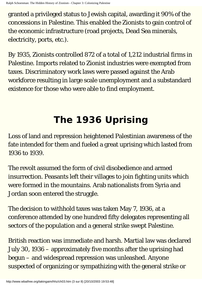granted a privileged status to Jewish capital, awarding it 90% of the concessions in Palestine. This enabled the Zionists to gain control of the economic infrastructure (road projects, Dead Sea minerals, electricity, ports, etc.).

By 1935, Zionists controlled 872 of a total of 1,212 industrial firms in Palestine. Imports related to Zionist industries were exempted from taxes. Discriminatory work laws were passed against the Arab workforce resulting in large scale unemployment and a substandard existence for those who were able to find employment.

## **The 1936 Uprising**

Loss of land and repression heightened Palestinian awareness of the fate intended for them and fueled a great uprising which lasted from 1936 to 1939.

The revolt assumed the form of civil disobedience and armed insurrection. Peasants left their villages to join fighting units which were formed in the mountains. Arab nationalists from Syria and Jordan soon entered the struggle.

The decision to withhold taxes was taken May 7, 1936, at a conference attended by one hundred fifty delegates representing all sectors of the population and a general strike swept Palestine.

British reaction was immediate and harsh. Martial law was declared July 30, 1936 – approximately five months after the uprising had begun – and widespread repression was unleashed. Anyone suspected of organizing or sympathizing with the general strike or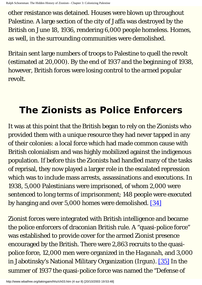other resistance was detained. Houses were blown up throughout Palestine. A large section of the city of Jaffa was destroyed by the British on June 18, 1936, rendering 6,000 people homeless. Homes, as well, in the surrounding communities were demolished.

Britain sent large numbers of troops to Palestine to quell the revolt (estimated at 20,000). By the end of 1937 and the beginning of 1938, however, British forces were losing control to the armed popular revolt.

### **The Zionists as Police Enforcers**

It was at this point that the British began to rely on the Zionists who provided them with a unique resource they had never tapped in any of their colonies: a local force which had made common cause with British colonialism and was highly mobilized against the indigenous population. If before this the Zionists had handled many of the tasks of reprisal, they now played a larger role in the escalated repression which was to include mass arrests, assassinations and executions. In 1938, 5,000 Palestinians were imprisoned, of whom 2,000 were sentenced to long terms of imprisonment; 148 people were executed by hanging and over 5,000 homes were demolished. [\[34\]](#page-197-1)

<span id="page-194-0"></span>Zionist forces were integrated with British intelligence and became the police enforcers of draconian British rule. A "quasi-police force" was established to provide cover for the armed Zionist presence encouraged by the British. There were 2,863 recruits to the quasipolice force, 12,000 men were organized in the *Haganah*, and 3,000 in Jabotinsky's National Military Organization (*Irgun*). [\[35\]](#page-197-2) In the summer of 1937 the quasi-police force was named the "Defense of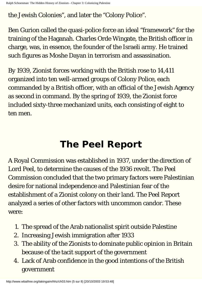### the Jewish Colonies", and later the "Colony Police".

Ben Gurion called the quasi-police force an ideal "framework" for the training of the Haganah. Charles Orde Wingate, the British officer in charge, was, in essence, the founder of the Israeli army. He trained such figures as Moshe Dayan in terrorism and assassination.

By 1939, Zionist forces working with the British rose to 14,411 organized into ten well-armed groups of Colony Police, each commanded by a British officer, with an official of the Jewish Agency as second in command. By the spring of 1939, the Zionist force included sixty-three mechanized units, each consisting of eight to ten men.

### **The Peel Report**

A Royal Commission was established in 1937, under the direction of Lord Peel, to determine the causes of the 1936 revolt. The Peel Commission concluded that the two primary factors were Palestinian desire for national independence and Palestinian fear of the establishment of a Zionist colony on their land. The Peel Report analyzed a series of other factors with uncommon candor. These were:

- 1. The spread of the Arab nationalist spirit outside Palestine
- 2. Increasing Jewish immigration after 1933
- 3. The ability of the Zionists to dominate public opinion in Britain because of the tacit support of the government
- 4. Lack of Arab confidence in the good intentions of the British government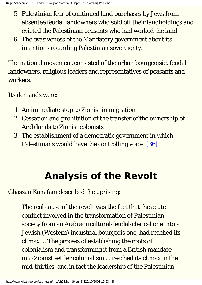- 5. Palestinian fear of continued land purchases by Jews from absentee feudal landowners who sold off their landholdings and evicted the Palestinian peasants who had worked the land
- 6. The evasiveness of the Mandatory government about its intentions regarding Palestinian sovereignty.

The national movement consisted of the urban bourgeoisie, feudal landowners, religious leaders and representatives of peasants and workers.

Its demands were:

- 1. An immediate stop to Zionist immigration
- 2. Cessation and prohibition of the transfer of the ownership of Arab lands to Zionist colonists
- 3. The establishment of a democratic government in which Palestinians would have the controlling voice. [\[36\]](#page-197-3)

## **Analysis of the Revolt**

Ghassan Kanafani described the uprising:

The real cause of the revolt was the fact that the acute conflict involved in the transformation of Palestinian society from an Arab agricultural-feudal-clerical one into a Jewish (Western) industrial bourgeois one, had reached its climax ... The process of establishing the roots of colonialism and transforming it from a British mandate into Zionist settler colonialism ... reached its climax in the mid-thirties, and in fact the leadership of the Palestinian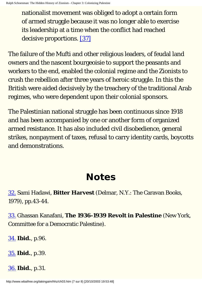nationalist movement was obliged to adopt a certain form of armed struggle because it was no longer able to exercise its leadership at a time when the conflict had reached decisive proportions. [\[37\]](#page-197-4)

The failure of the Mufti and other religious leaders, of feudal land owners and the nascent bourgeoisie to support the peasants and workers to the end, enabled the colonial regime and the Zionists to crush the rebellion after three years of heroic struggle. In this the British were aided decisively by the treachery of the traditional Arab regimes, who were dependent upon their colonial sponsors.

The Palestinian national struggle has been continuous since 1918 and has been accompanied by one or another form of organized armed resistance. It has also included civil disobedience, general strikes, nonpayment of taxes, refusal to carry identity cards, boycotts and demonstrations.

### **Notes**

[32.](#page-191-0) Sami Hadawi, **Bitter Harvest** (Delmar, N.Y.: The Caravan Books, 1979), pp.43-44.

<span id="page-197-0"></span>[33.](#page-192-0) Ghassan Kanafani, **The 1936-1939 Revolt in Palestine** (New York, Committee for a Democratic Palestine).

<span id="page-197-2"></span><span id="page-197-1"></span>[34.](#page-194-0) **Ibid.**, p.96.

<span id="page-197-3"></span>[35.](#page-191-0) **Ibid.**, p.39.

<span id="page-197-4"></span>[36.](#page-191-0) **Ibid.**, p.31.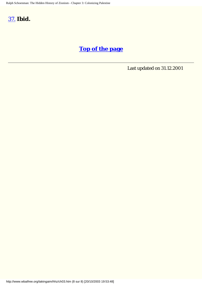

### **[Top of the page](#page-191-0)**

Last updated on 31.12.2001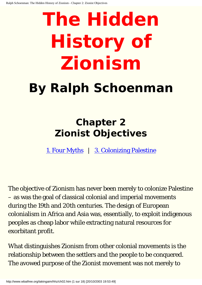# <span id="page-199-0"></span>**The Hidden History of Zionism**

## **By Ralph Schoenman**

## **Chapter 2 Zionist Objectives**

[1. Four Myths](#page-217-0) | [3. Colonizing Palestine](#page-191-0)

The objective of Zionism has never been merely to colonize Palestine – as was the goal of classical colonial and imperial movements during the 19th and 20th centuries. The design of European colonialism in Africa and Asia was, essentially, to exploit indigenous peoples as cheap labor while extracting natural resources for exorbitant profit.

What distinguishes Zionism from other colonial movements is the relationship between the settlers and the people to be conquered. The avowed purpose of the Zionist movement was not merely to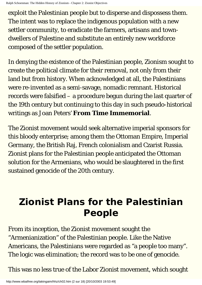exploit the Palestinian people but to disperse and dispossess them. The intent was to replace the indigenous population with a new settler community, to eradicate the farmers, artisans and towndwellers of Palestine and substitute an entirely new workforce composed of the settler population.

In denying the existence of the Palestinian people, Zionism sought to create the political climate for their removal, not only from their land but from history. When acknowledged at all, the Palestinians were re-invented as a semi-savage, nomadic remnant. Historical records were falsified – a procedure begun during the last quarter of the 19th century but continuing to this day in such pseudo-historical writings as Joan Peters' **From Time Immemorial**.

The Zionist movement would seek alternative imperial sponsors for this bloody enterprise; among them the Ottoman Empire, Imperial Germany, the British Raj, French colonialism and Czarist Russia. Zionist plans for the Palestinian people anticipated the Ottoman solution for the Armenians, who would be slaughtered in the first sustained genocide of the 20th century.

## **Zionist Plans for the Palestinian People**

From its inception, the Zionist movement sought the "Armenianization" of the Palestinian people. Like the Native Americans, the Palestinians were regarded as "a people too many". The logic was elimination; the record was to be one of genocide.

This was no less true of the Labor Zionist movement, which sought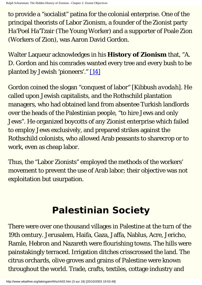to provide a "socialist" patina for the colonial enterprise. One of the principal theorists of Labor Zionism, a founder of the Zionist party Ha'Poel Ha'Tzair (The Young Worker) and a supporter of Poale Zion (Workers of Zion), was Aaron David Gordon.

Walter Laqueur acknowledges in his **History of Zionism** that, "A. D. Gordon and his comrades wanted every tree and every bush to be planted by Jewish 'pioneers'." [\[14\]](#page-215-0)

<span id="page-201-0"></span>Gordon coined the slogan "conquest of labor" [*Kibbush avodah*]. He called upon Jewish capitalists, and the Rothschild plantation managers, who had obtained land from absentee Turkish landlords over the heads of the Palestinian people, "to hire Jews and only Jews". He organized boycotts of any Zionist enterprise which failed to employ Jews exclusively, and prepared strikes against the Rothschild colonists, who allowed Arab peasants to sharecrop or to work, even as cheap labor.

Thus, the "Labor Zionists" employed the methods of the workers' movement to prevent the use of Arab labor; their objective was not exploitation but usurpation.

## **Palestinian Society**

There were over one thousand villages in Palestine at the turn of the 19th century. Jerusalem, Haifa, Gaza, Jaffa, Nablus, Acre, Jericho, Ramle, Hebron and Nazareth were flourishing towns. The hills were painstakingly terraced. Irrigation ditches crisscrossed the land. The citrus orchards, olive groves and grains of Palestine were known throughout the world. Trade, crafts, textiles, cottage industry and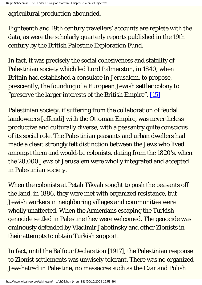### agricultural production abounded.

Eighteenth and 19th century travellers' accounts are replete with the data, as were the scholarly quarterly reports published in the 19th century by the British Palestine Exploration Fund.

In fact, it was precisely the social cohesiveness and stability of Palestinian society which led Lord Palmerston, in 1840, when Britain had established a consulate in Jerusalem, to propose, presciently, the founding of a European Jewish settler colony to "preserve the larger interests of the British Empire". [\[15\]](#page-215-1)

<span id="page-202-0"></span>Palestinian society, if suffering from the collaboration of feudal landowners [effendi] with the Ottoman Empire, was nevertheless productive and culturally diverse, with a peasantry quite conscious of its social role. The Palestinian peasants and urban dwellers had made a clear, strongly felt distinction between the Jews who lived amongst them and would-be colonists, dating from the 1820's, when the 20,000 Jews of Jerusalem were wholly integrated and accepted in Palestinian society.

When the colonists at Petah Tikvah sought to push the peasants off the land, in 1886, they were met with organized resistance, but Jewish workers in neighboring villages and communities were wholly unaffected. When the Armenians escaping the Turkish genocide settled in Palestine they were welcomed. The genocide was ominously defended by Vladimir Jabotinsky and other Zionists in their attempts to obtain Turkish support.

In fact, until the Balfour Declaration [1917], the Palestinian response to Zionist settlements was unwisely tolerant. There was no organized Jew-hatred in Palestine, no massacres such as the Czar and Polish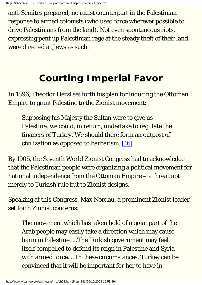anti-Semites prepared, no racist counterpart in the Palestinian response to armed colonists (who used force wherever possible to drive Palestinians from the land). Not even spontaneous riots, expressing pent up Palestinian rage at the steady theft of their land, were directed at Jews as such.

## **Courting Imperial Favor**

In 1896, Theodor Herzl set forth his plan for inducing the Ottoman Empire to grant Palestine to the Zionist movement:

Supposing his Majesty the Sultan were to give us Palestine; we could, in return, undertake to regulate the finances of Turkey. We should there form an outpost of civilization as opposed to barbarism. [\[16\]](#page-215-2)

<span id="page-203-0"></span>By 1905, the Seventh World Zionist Congress had to acknowledge that the Palestinian people were organizing a political movement for national independence from the Ottoman Empire – a threat not merely to Turkish rule but to Zionist designs.

Speaking at this Congress, Max Nordau, a prominent Zionist leader, set forth Zionist concerns:

The movement which has taken hold of a great part of the Arab people may easily take a direction which may cause harm in Palestine. ...The Turkish government may feel itself compelled to defend its reign in Palestine and Syria with armed force. ...In these circumstances, Turkey can be convinced that it will be important for her to have in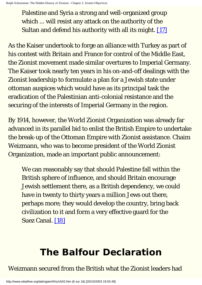Palestine and Syria a strong and well-organized group which ... will resist any attack on the authority of the Sultan and defend his authority with all its might. [\[17\]](#page-215-3)

<span id="page-204-0"></span>As the Kaiser undertook to forge an alliance with Turkey as part of his contest with Britain and France for control of the Middle East, the Zionist movement made similar overtures to Imperial Germany. The Kaiser took nearly ten years in his on-and-off dealings with the Zionist leadership to formulate a plan for a Jewish state under ottoman auspices which would have as its principal task the eradication of the Palestinian anti-colonial resistance and the securing of the interests of Imperial Germany in the region.

By 1914, however, the World Zionist Organization was already far advanced in its parallel bid to enlist the British Empire to undertake the break-up of the Ottoman Empire with Zionist assistance. Chaim Weizmann, who was to become president of the World Zionist Organization, made an important public announcement:

We can reasonably say that should Palestine fall within the British sphere of influence, and should Britain encourage Jewish settlement there, as a British dependency, we could have in twenty to thirty years a million Jews out there, perhaps more; they would develop the country, bring back civilization to it and form a very effective guard for the Suez Canal. [\[18\]](#page-215-4)

## **The Balfour Declaration**

### <span id="page-204-1"></span>Weizmann secured from the British what the Zionist leaders had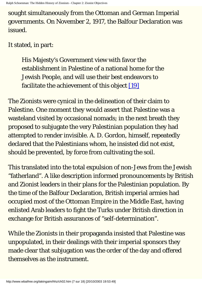sought simultaneously from the Ottoman and German Imperial governments. On November 2, 1917, the Balfour Declaration was issued.

It stated, in part:

His Majesty's Government view with favor the establishment in Palestine of a national home for the Jewish People, and will use their best endeavors to facilitate the achievement of this object [\[19\]](#page-215-5)

<span id="page-205-0"></span>The Zionists were cynical in the delineation of their claim to Palestine. One moment they would assert that Palestine was a wasteland visited by occasional nomads; in the next breath they proposed to subjugate the very Palestinian population they had attempted to render invisible. A. D. Gordon, himself, repeatedly declared that the Palestinians whom, he insisted did not exist, should be prevented, by force from cultivating the soil.

This translated into the total expulsion of non-Jews from the Jewish "fatherland". A like description informed pronouncements by British and Zionist leaders in their plans for the Palestinian population. By the time of the Balfour Declaration, British imperial armies had occupied most of the Ottoman Empire in the Middle East, having enlisted Arab leaders to fight the Turks under British direction in exchange for British assurances of "self-determination".

While the Zionists in their propaganda insisted that Palestine was unpopulated, in their dealings with their imperial sponsors they made clear that subjugation was the order of the day and offered themselves as the instrument.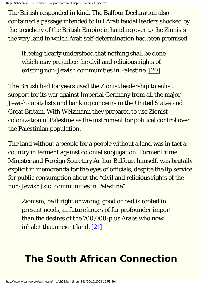The British responded in kind. The Balfour Declaration also contained a passage intended to lull Arab feudal leaders shocked by the treachery of the British Empire in handing over to the Zionists the very land in which Arab self-determination had been promised:

it being clearly understood that nothing shall be done which may prejudice the civil and religious rights of existing non-Jewish communities in Palestine. [\[20\]](#page-215-6)

<span id="page-206-0"></span>The British had for years used the Zionist leadership to enlist support for its war against Imperial Germany from all the major Jewish capitalists and banking concerns in the United States and Great Britain. With Weizmann they prepared to use Zionist colonization of Palestine as the instrument for political control over the Palestinian population.

The land without a people for a people without a land was in fact a country in ferment against colonial subjugation. Former Prime Minister and Foreign Secretary Arthur Balfour, himself, was brutally explicit in memoranda for the eyes of officials, despite the lip service for public consumption about the "civil and religious rights of the non-Jewish [sic] communities in Palestine".

Zionism, be it right or wrong, good or bad is rooted in present needs, in future hopes of far profounder import than the desires of the 700,000-plus Arabs who now inhabit that ancient land. [\[21\]](#page-215-7)

## <span id="page-206-1"></span>**The South African Connection**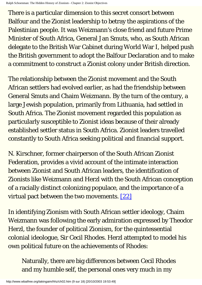There is a particular dimension to this secret consort between Balfour and the Zionist leadership to betray the aspirations of the Palestinian people. It was Weizmann's close friend and future Prime Minister of South Africa, General Jan Smuts, who, as South African delegate to the British War Cabinet during World War I, helped push the British government to adopt the Balfour Declaration and to make a commitment to construct a Zionist colony under British direction.

The relationship between the Zionist movement and the South African settlers had evolved earlier, as had the friendship between General Smuts and Chaim Weizmann. By the turn of the century, a large Jewish population, primarily from Lithuania, had settled in South Africa. The Zionist movement regarded this population as particularly susceptible to Zionist ideas because of their already established settler status in South Africa. Zionist leaders travelled constantly to South Africa seeking political and financial support.

N. Kirschner, former chairperson of the South African Zionist Federation, provides a vivid account of the intimate interaction between Zionist and South African leaders, the identification of Zionists like Weizmann and Herzl with the South African conception of a racially distinct colonizing populace, and the importance of a virtual pact between the two movements. [\[22\]](#page-215-8)

In identifying Zionism with South African settler ideology, Chaim Weizmann was following the early admiration expressed by Theodor Herzl, the founder of political Zionism, for the quintessential colonial ideologue, Sir Cecil Rhodes. Herzl attempted to model his own political future on the achievements of Rhodes:

Naturally, there are big differences between Cecil Rhodes and my humble self, the personal ones very much in my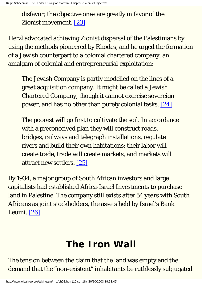### disfavor; the objective ones are greatly in favor of the Zionist movement. [\[23\]](#page-216-0)

Herzl advocated achieving Zionist dispersal of the Palestinians by using the methods pioneered by Rhodes, and he urged the formation of a Jewish counterpart to a colonial chartered company, an amalgam of colonial and entrepreneurial exploitation:

The Jewish Company is partly modelled on the lines of a great acquisition company. It might be called a Jewish Chartered Company, though it cannot exercise sovereign power, and has no other than purely colonial tasks. [\[24\]](#page-216-1)

The poorest will go first to cultivate the soil. In accordance with a preconceived plan they will construct roads, bridges, railways and telegraph installations, regulate rivers and build their own habitations; their labor will create trade, trade will create markets, and markets will attract new settlers. [\[25\]](#page-216-2)

By 1934, a major group of South African investors and large capitalists had established Africa-Israel Investments to purchase land in Palestine. The company still exists after 54 years with South Africans as joint stockholders, the assets held by Israel's Bank Leumi. [\[26\]](#page-216-3)

## **The Iron Wall**

The tension between the claim that the land was empty and the demand that the "non-existent" inhabitants be ruthlessly subjugated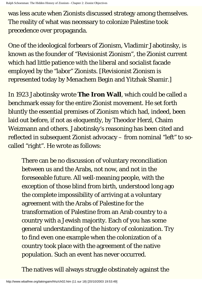was less acute when Zionists discussed strategy among themselves. The reality of what was necessary to colonize Palestine took precedence over propaganda.

One of the ideological forbears of Zionism, Vladimir Jabotinsky, is known as the founder of "Revisionist Zionism", the Zionist current which had little patience with the liberal and socialist facade employed by the "labor" Zionists. [Revisionist Zionism is represented today by Menachem Begin and Yitzhak Shamir.]

In 1923 Jabotinsky wrote **The Iron Wall**, which could be called a benchmark essay for the entire Zionist movement. He set forth bluntly the essential premises of Zionism which had, indeed, been laid out before, if not as eloquently, by Theodor Herzl, Chaim Weizmann and others. Jabotinsky's reasoning has been cited and reflected in subsequent Zionist advocacy – from nominal "left" to socalled "right". He wrote as follows:

There can be no discussion of voluntary reconciliation between us and the Arabs, not now, and not in the foreseeable future. All well-meaning people, with the exception of those blind from birth, understood long ago the complete impossibility of arriving at a voluntary agreement with the Arabs of Palestine for the transformation of Palestine from an Arab country to a country with a Jewish majority. Each of you has some general understanding of the history of colonization. Try to find even one example when the colonization of a country took place with the agreement of the native population. Such an event has never occurred.

The natives will always struggle obstinately against the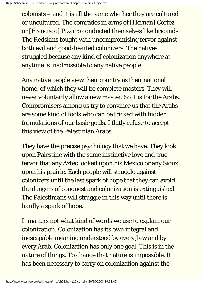colonists – and it is all the same whether they are cultured or uncultured. The comrades in arms of [Hernan] Cortez or [Francisco] Pizarro conducted themselves like brigands. The Redskins fought with uncompromising fervor against both evil and good-hearted colonizers. The natives struggled because any kind of colonization anywhere at anytime is inadmissible to any native people.

Any native people view their country as their national home, of which they will be complete masters. They will never voluntarily allow a new master. So it is for the Arabs. Compromisers among us try to convince us that the Arabs are some kind of fools who can be tricked with hidden formulations of our basic goals. I flatly refuse to accept this view of the Palestinian Arabs.

They have the precise psychology that we have. They look upon Palestine with the same instinctive love and true fervor that any Aztec looked upon his Mexico or any Sioux upon his prairie. Each people will struggle against colonizers until the last spark of hope that they can avoid the dangers of conquest and colonization is extinguished. The Palestinians will struggle in this way until there is hardly a spark of hope.

It matters not what kind of words we use to explain our colonization. Colonization has its own integral and inescapable meaning understood by every Jew and by every Arab. Colonization has only one goal. This is in the nature of things. To change that nature is impossible. It has been necessary to carry on colonization against the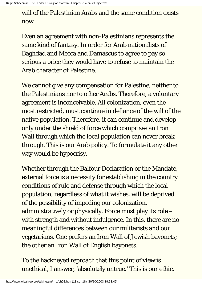will of the Palestinian Arabs and the same condition exists now.

Even an agreement with non-Palestinians represents the same kind of fantasy. In order for Arab nationalists of Baghdad and Mecca and Damascus to agree to pay so serious a price they would have to refuse to maintain the Arab character of Palestine.

We cannot give any compensation for Palestine, neither to the Palestinians nor to other Arabs. Therefore, a voluntary agreement is inconceivable. All colonization, even the most restricted, must continue in defiance of the will of the native population. Therefore, it can continue and develop only under the shield of force which comprises an Iron Wall through which the local population can never break through. This is our Arab policy. To formulate it any other way would be hypocrisy.

Whether through the Balfour Declaration or the Mandate, external force is a necessity for establishing in the country conditions of rule and defense through which the local population, regardless of what it wishes, will be deprived of the possibility of impeding our colonization, administratively or physically. Force must play its role – with strength and without indulgence. In this, there are no meaningful differences between our militarists and our vegetarians. One prefers an Iron Wall of Jewish bayonets; the other an Iron Wall of English bayonets.

To the hackneyed reproach that this point of view is unethical, I answer, 'absolutely untrue.' This is our ethic.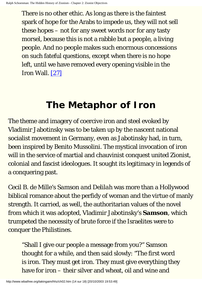There is no other ethic. As long as there is the faintest spark of hope for the Arabs to impede us, they will not sell these hopes – not for any sweet words nor for any tasty morsel, because this is not a rabble but a people, a living people. And no people makes such enormous concessions on such fateful questions, except when there is no hope left, until we have removed every opening visible in the Iron Wall. [\[27\]](#page-216-4)

### **The Metaphor of Iron**

The theme and imagery of coercive iron and steel evoked by Vladimir Jabotinsky was to be taken up by the nascent national socialist movement in Germany, even as Jabotinsky had, in turn, been inspired by Benito Mussolini. The mystical invocation of iron will in the service of martial and chauvinist conquest united Zionist, colonial and fascist ideologues. It sought its legitimacy in legends of a conquering past.

Cecil B. de Mille's *Samson and Delilah* was more than a Hollywood biblical romance about the perfidy of woman and the virtue of manly strength. It carried, as well, the authoritarian values of the novel from which it was adopted, Vladimir Jabotinsky's **Samson**, which trumpeted the necessity of brute force if the Israelites were to conquer the Philistines.

"Shall I give our people a message from you?" Samson thought for a while, and then said slowly: "The first word is iron. They must get iron. They must give everything they have for iron – their silver and wheat, oil and wine and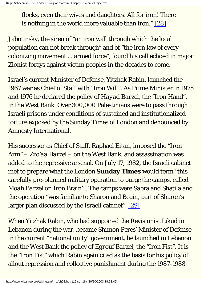flocks, even their wives and daughters. All for iron! There is nothing in the world more valuable than iron." [\[28\]](#page-216-5)

Jabotinsky, the siren of "an iron wall through which the local population can not break through" and of "the iron law of every colonizing movement ... armed force", found his call echoed in major Zionist forays against victim peoples in the decades to come.

Israel's current Minister of Defense, Yitzhak Rabin, launched the 1967 war as Chief of Staff with "Iron Will". As Prime Minister in 1975 and 1976 he declared the policy of *Hayad Barzel*, the "Iron Hand", in the West Bank. Over 300,000 Palestinians were to pass through Israeli prisons under conditions of sustained and institutionalized torture exposed by the Sunday Times of London and denounced by Amnesty International.

His successor as Chief of Staff, Raphael Eitan, imposed the "Iron Arm" – *Zro'aa Barzel* – on the West Bank, and assassination was added to the repressive arsenal. On July 17, 1982, the Israeli cabinet met to prepare what the London **Sunday Times** would term "this carefully pre-planned military operation to purge the camps, called *Moah Barzel* or 'Iron Brain'". The camps were Sabra and Shatila and the operation "was familiar to Sharon and Begin, part of Sharon's larger plan discussed by the Israeli cabinet". [\[29\]](#page-216-6)

When Yitzhak Rabin, who had supported the Revisionist Likud in Lebanon during the war, became Shimon Peres' Minister of Defense in the current "national unity" government, he launched in Lebanon and the West Bank the policy of *Egrouf Barzel*, the "Iron Fist". It is the "Iron Fist" which Rabin again cited as the basis for his policy of allout repression and collective punishment during the 1987-1988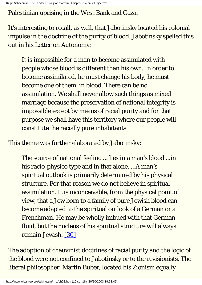### Palestinian uprising in the West Bank and Gaza.

It's interesting to recall, as well, that Jabotinsky located his colonial impulse in the doctrine of the purity of blood. Jabotinsky spelled this out in his *Letter on Autonomy*:

It is impossible for a man to become assimilated with people whose blood is different than his own. In order to become assimilated, he must change his body, he must become one of them, in blood. There can be no assimilation. We shall never allow such things as mixed marriage because the preservation of national integrity is impossible except by means of racial purity and for that purpose we shall have this territory where our people will constitute the racially pure inhabitants.

This theme was further elaborated by Jabotinsky:

The source of national feeling ... lies in a man's blood ...in his racio-physico type and in that alone. ...A man's spiritual outlook is primarily determined by his physical structure. For that reason we do not believe in spiritual assimilation. It is inconceivable, from the physical point of view, that a Jew born to a family of pure Jewish blood can become adapted to the spiritual outlook of a German or a Frenchman. He may be wholly imbued with that German fluid, but the nucleus of his spiritual structure will always remain Jewish. [\[30\]](#page-216-7)

The adoption of chauvinist doctrines of racial purity and the logic of the blood were not confined to Jabotinsky or to the revisionists. The liberal philosopher, Martin Buber, located his Zionism equally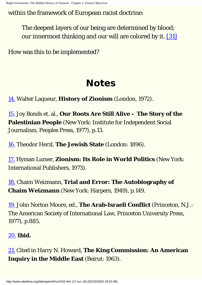### within the framework of European racist doctrine:

The deepest layers of our being are determined by blood; our innermost thinking and our will are colored by it. [\[31\]](#page-216-8)

How was this to be implemented?

### **Notes**

<span id="page-215-1"></span><span id="page-215-0"></span>[14.](#page-201-0) Walter Laqueur, **History of Zionism** (London, 1972).

[15.](#page-202-0) Joy Bonds et. al., **Our Roots Are Still Alive – The Story of the Palestinian People** (New York: Institute for Independent Social Journalism, Peoples Press, 1977), p.13.

<span id="page-215-3"></span><span id="page-215-2"></span>[16.](#page-203-0) Theodor Herzl, **The Jewish State** (London: 1896).

[17.](#page-204-0) Hyman Lumer, **Zionism: Its Role in World Politics** (New York: International Publishers, 1973).

<span id="page-215-4"></span>[18.](#page-204-1) Chaim Weizmann, **Trial and Error: The Autobiography of Chaim Weizmann** (New York: Harpers, 1949), p.149.

<span id="page-215-5"></span>[19.](#page-205-0) John Norton Moore, ed., **The Arab-Israeli Conflict** (Princeton, N.J.: The American Society of International Law, Princeton University Press, 1977), p.885.

<span id="page-215-7"></span><span id="page-215-6"></span>[20.](#page-206-0) **Ibid.**

<span id="page-215-8"></span>[21.](#page-206-1) Cited in Harry N. Howard, **The King Commission: An American Inquiry in the Middle East** (Beirut: 1963).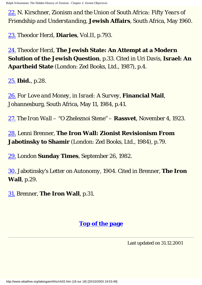[22.](#page-207-0) N. Kirschner, *Zionism and the Union of South Africa: Fifty Years of Friendship and Understanding*, **Jewish Affairs**, South Africa, May 1960.

[23.](#page-208-0) Theodor Herzl, **Diaries**, Vol.II, p.793.

[24.](#page-208-1) Theodor Herzl, **The Jewish State: An Attempt at a Modern Solution of the Jewish Question**, p.33. Cited in Uri Davis, **Israel: An Apartheid State** (London: Zed Books, Ltd., 1987), p.4.

[25.](#page-208-2) **Ibid.**, p.28.

[26.](#page-208-3) *For Love and Money*, in *Israel: A Survey*, **Financial Mail**, Johannesburg, South Africa, May 11, 1984, p.41.

[27.](#page-212-0) *The Iron Wall* – "O Zheleznoi Stene" – **Rassvet**, November 4, 1923.

[28.](#page-213-0) Lenni Brenner, **The Iron Wall: Zionist Revisionism From Jabotinsky to Shamir** (London: Zed Books, Ltd., 1984), p.79.

[29.](#page-213-1) London **Sunday Times**, September 26, 1982.

[30.](#page-214-0) Jabotinsky's *Letter on Autonomy*, 1904. Cited in Brenner, **The Iron Wall**, p.29.

[31.](#page-215-0) Brenner, **The Iron Wall**, p.31.

#### **[Top of the page](#page-199-0)**

Last updated on 31.12.2001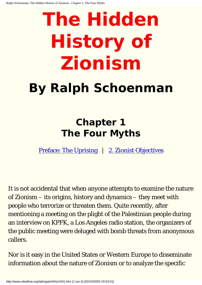# <span id="page-217-0"></span>**The Hidden History of Zionism**

## **By Ralph Schoenman**

### **Chapter 1 The Four Myths**

[Preface: The Uprising](#page-221-0) | [2. Zionist Objectives](#page-199-0)

It is not accidental that when anyone attempts to examine the nature of Zionism – its origins, history and dynamics – they meet with people who terrorize or threaten them. Quite recently, after mentioning a meeting on the plight of the Palestinian people during an interview on KPFK, a Los Angeles radio station, the organizers of the public meeting were deluged with bomb threats from anonymous callers.

Nor is it easy in the United States or Western Europe to disseminate information about the nature of Zionism or to analyze the specific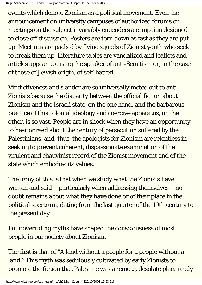events which denote Zionism as a political movement. Even the announcement on university campuses of authorized forums or meetings on the subject invariably engenders a campaign designed to close off discussion. Posters are torn down as fast as they are put up. Meetings are packed by flying squads of Zionist youth who seek to break them up. Literature tables are vandalized and leaflets and articles appear accusing the speaker of anti-Semitism or, in the case of those of Jewish origin, of self-hatred.

Vindictiveness and slander are so universally meted out to anti-Zionists because the disparity between the official fiction about Zionism and the Israeli state, on the one hand, and the barbarous practice of this colonial ideology and coercive apparatus, on the other, is so vast. People are in shock when they have an opportunity to hear or read about the century of persecution suffered by the Palestinians, and, thus, the apologists for Zionism are relentless in seeking to prevent coherent, dispassionate examination of the virulent and chauvinist record of the Zionist movement and of the state which embodies its values.

The irony of this is that when we study what the Zionists have written and said – particularly when addressing themselves – no doubt remains about what they have done or of their place in the political spectrum, dating from the last quarter of the 19th century to the present day.

Four overriding myths have shaped the consciousness of most people in our society about Zionism.

The first is that of "A land without a people for a people without a land." This myth was sedulously cultivated by early Zionists to promote the fiction that Palestine was a remote, desolate place ready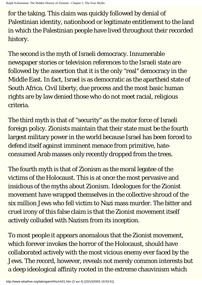for the taking. This claim was quickly followed by denial of Palestinian identity, nationhood or legitimate entitlement to the land in which the Palestinian people have lived throughout their recorded history.

The second is the myth of Israeli democracy. Innumerable newspaper stories or television references to the Israeli state are followed by the assertion that it is the only "real" democracy in the Middle East. In fact, Israel is as democratic as the apartheid state of South Africa. Civil liberty, due process and the most basic human rights are by law denied those who do not meet racial, religious criteria.

The third myth is that of "security" as the motor force of Israeli foreign policy. Zionists maintain that their state must be the fourth largest military power in the world because Israel has been forced to defend itself against imminent menace from primitive, hateconsumed Arab masses only recently dropped from the trees.

The fourth myth is that of Zionism as the moral legatee of the victims of the Holocaust. This is at once the most pervasive and insidious of the myths about Zionism. Ideologues for the Zionist movement have wrapped themselves in the collective shroud of the six million Jews who fell victim to Nazi mass murder. The bitter and cruel irony of this false claim is that the Zionist movement itself actively colluded with Nazism from its inception.

To most people it appears anomalous that the Zionist movement, which forever invokes the horror of the Holocaust, should have collaborated actively with the most vicious enemy ever faced by the Jews. The record, however, reveals not merely common interests but a deep ideological affinity rooted in the extreme chauvinism which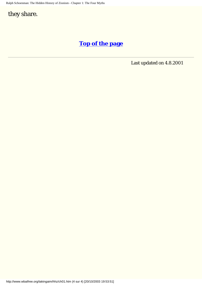Ralph Schoenman: The Hidden History of Zionism - Chapter 1: The Four Myths

they share.

### **[Top of the page](#page-217-0)**

Last updated on 4.8.2001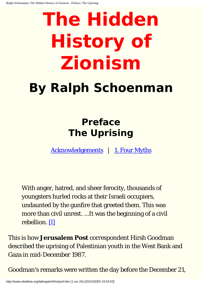# <span id="page-221-0"></span>**The Hidden History of Zionism**

## **By Ralph Schoenman**

### **Preface The Uprising**

[Acknowledgements](#page-245-0) | [1. Four Myths](#page-217-0)

With anger, hatred, and sheer ferocity, thousands of youngsters hurled rocks at their Israeli occupiers, undaunted by the gunfire that greeted them. This was more than civil unrest. ...It was the beginning of a civil rebellion. [\[l\]](#page-242-0)

<span id="page-221-1"></span>This is how **Jerusalem Post** correspondent Hirsh Goodman described the uprising of Palestinian youth in the West Bank and Gaza in mid-December 1987.

Goodman's remarks were written the day before the December 21,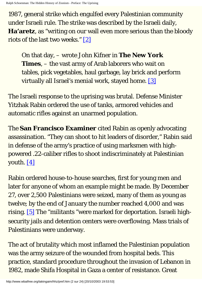1987, general strike which engulfed every Palestinian community under Israeli rule. The strike was described by the Israeli daily, **Ha'aretz**, as "writing on our wall even more serious than the bloody riots of the last two weeks." [\[2\]](#page-242-1)

<span id="page-222-0"></span>On that day, – wrote John Kifner in **The New York Times**, – the vast army of Arab laborers who wait on tables, pick vegetables, haul garbage, lay brick and perform virtually all Israel's menial work, stayed home. [\[3\]](#page-242-2)

<span id="page-222-1"></span>The Israeli response to the uprising was brutal. Defense Minister Yitzhak Rabin ordered the use of tanks, armored vehicles and automatic rifles against an unarmed population.

The **San Francisco Examiner** cited Rabin as openly advocating assassination. "They can shoot to hit leaders of disorder," Rabin said in defense of the army's practice of using marksmen with highpowered .22-caliber rifles to shoot indiscriminately at Palestinian youth. [\[4\]](#page-242-3)

<span id="page-222-2"></span>Rabin ordered house-to-house searches, first for young men and later for anyone of whom an example might be made. By December 27, over 2,500 Palestinians were seized, many of them as young as twelve; by the end of January the number reached 4,000 and was rising. [\[5\]](#page-242-4) The "militants "were marked for deportation. Israeli highsecurity jails and detention centers were overflowing. Mass trials of Palestinians were underway.

<span id="page-222-3"></span>The act of brutality which most inflamed the Palestinian population was the army seizure of the wounded from hospital beds. This practice, standard procedure throughout the invasion of Lebanon in 1982, made Shifa Hospital in Gaza a center of resistance. Great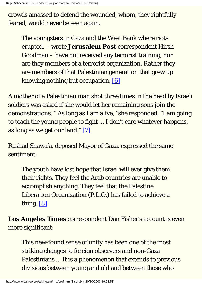crowds amassed to defend the wounded, whom, they rightfully feared, would never be seen again.

The youngsters in Gaza and the West Bank where riots erupted, – wrote **Jerusalem Post** correspondent Hirsh Goodman – have not received any terrorist training, nor are they members of a terrorist organization. Rather they are members of that Palestinian generation that grew up knowing nothing but occupation. [\[6\]](#page-242-5)

<span id="page-223-0"></span>A mother of a Palestinian man shot three times in the head by Israeli soldiers was asked if she would let her remaining sons join the demonstrations. " As long as I am alive, "she responded, "I am going to teach the young people to fight ... I don't care whatever happens, as long as we get our land." [\[7\]](#page-242-6)

<span id="page-223-1"></span>Rashad Shawa'a, deposed Mayor of Gaza, expressed the same sentiment:

The youth have lost hope that Israel will ever give them their rights. They feel the Arab countries are unable to accomplish anything. They feel that the Palestine Liberation Organization (P.L.O.) has failed to achieve a thing. [\[8\]](#page-243-0)

<span id="page-223-2"></span>**Los Angeles Times** correspondent Dan Fisher's account is even more significant:

This new-found sense of unity has been one of the most striking changes to foreign observers and non-Gaza Palestinians ... It is a phenomenon that extends to previous divisions between young and old and between those who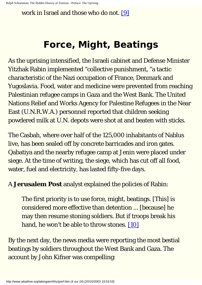<span id="page-224-0"></span>work in Israel and those who do not. [\[9\]](#page-243-1)

### **Force, Might, Beatings**

As the uprising intensified, the Israeli cabinet and Defense Minister Yitzhak Rabin implemented "collective punishment, "a tactic characteristic of the Nazi occupation of France, Denmark and Yugoslavia. Food, water and medicine were prevented from reaching Palestinian refugee camps in Gaza and the West Bank. The United Nations Relief and Works Agency for Palestine Refugees in the Near East (U.N.R.W.A.) personnel reported that children seeking powdered milk at U.N. depots were shot at and beaten with sticks.

The Casbah, where over half of the 125,000 inhabitants of Nablus live, has been sealed off by concrete barricades and iron gates. Qabatiya and the nearby refugee camp at Jenin were placed under siege. At the time of writing, the siege, which has cut off all food, water, fuel and electricity, has lasted fifty-five days.

A **Jerusalem Post** analyst explained the policies of Rabin:

The first priority is to use force, might, beatings. [This] is considered more effective than detention ... [because] he may then resume stoning soldiers. But if troops break his hand, he won't be able to throw stones. [\[10\]](#page-243-2)

<span id="page-224-1"></span>By the next day, the news media were reporting the most bestial beatings by soldiers throughout the West Bank and Gaza. The account by John Kifner was compelling: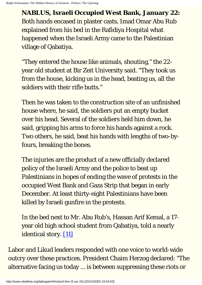**NABLUS, Israeli Occupied West Bank, January 22:** Both hands encased in plaster casts, Imad Omar Abu Rub explained from his bed in the Rafidiya Hospital what happened when the Israeli Army came to the Palestinian village of Qabatiya.

"They entered the house like animals, shouting," the 22 year old student at Bir Zeit University said. "They took us from the house, kicking us in the head, beating us, all the soldiers with their rifle butts."

Then he was taken to the construction site of an unfinished house where, he said, the soldiers put an empty bucket over his head. Several of the soldiers held him down, he said, gripping his arms to force his hands against a rock. Two others, he said, beat his hands with lengths of two-byfours, breaking the bones.

The injuries are the product of a new officially declared policy of the Israeli Army and the police to beat up Palestinians in hopes of ending the wave of protests in the occupied West Bank and Gaza Strip that began in early December. At least thirty-eight Palestinians have been killed by Israeli gunfire in the protests.

In the bed next to Mr. Abu Rub's, Hassan Arif Kemal, a 17 year old high school student from Qabatiya, told a nearly identical story. [\[11\]](#page-243-3)

<span id="page-225-0"></span>Labor and Likud leaders responded with one voice to world-wide outcry over these practices. President Chaim Herzog declared: "The alternative facing us today ... is between suppressing these riots or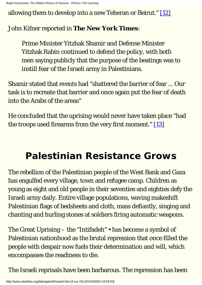<span id="page-226-0"></span>allowing them to develop into a new Teheran or Beirut." [\[12\]](#page-243-4)

### John Kifner reported in **The New York Times**:

Prime Minister Yitzhak Shamir and Defense Minister Yitzhak Rabin continued to defend the policy, with both men saying publicly that the purpose of the beatings was to instill fear of the Israeli army in Palestinians.

Shamir stated that events had "shattered the barrier of fear ... Our task is to recreate that barrier and once again put the fear of death into the Arabs of the areas"

<span id="page-226-1"></span>He concluded that the uprising would never have taken place "had the troops used firearms from the very first moment." [\[13\]](#page-243-5)

### **Palestinian Resistance Grows**

The rebellion of the Palestinian people of the West Bank and Gaza has engulfed every village, town and refugee camp. Children as young as eight and old people in their seventies and eighties defy the Israeli army daily. Entire village populations, waving makeshift Palestinian flags of bedsheets and cloth, mass defiantly, singing and chanting and hurling stones at soldiers firing automatic weapons.

The Great Uprising – the "Intifadeh" • has become a symbol of Palestinian nationhood as the brutal repression that once filled the people with despair now fuels their determination and will, which encompasses the readiness to die.

The Israeli reprisals have been barbarous. The repression has been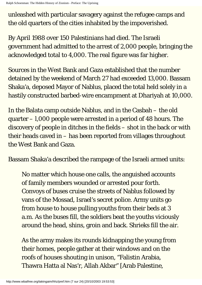unleashed with particular savagery against the refugee camps and the old quarters of the cities inhabited by the impoverished.

By April 1988 over 150 Palestinians had died. The Israeli government had admitted to the arrest of 2,000 people, bringing the acknowledged total to 4,000. The real figure was far higher.

Sources in the West Bank and Gaza established that the number detained by the weekend of March 27 had exceeded 13,000. Bassam Shaka'a, deposed Mayor of Nablus, placed the total held solely in a hastily constructed barbed-wire encampment at Dhariyah at 10,000.

In the Balata camp outside Nablus, and in the Casbah – the old quarter – l,000 people were arrested in a period of 48 hours. The discovery of people in ditches in the fields – shot in the back or with their heads caved in – has been reported from villages throughout the West Bank and Gaza.

Bassam Shaka'a described the rampage of the Israeli armed units:

No matter which house one calls, the anguished accounts of family members wounded or arrested pour forth. Convoys of buses cruise the streets of Nablus followed by vans of the Mossad, Israel's secret police. Army units go from house to house pulling youths from their beds at 3 a.m. As the buses fill, the soldiers beat the youths viciously around the head, shins, groin and back. Shrieks fill the air.

As the army makes its rounds kidnapping the young from their homes, people gather at their windows and on the roofs of houses shouting in unison, "Falistin Arabia, Thawra Hatta al Nas'r, Allah Akbar" [Arab Palestine,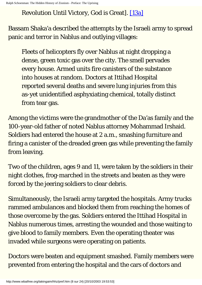### Revolution Until Victory, God is Great]. [\[13a\]](#page-243-6)

<span id="page-228-0"></span>Bassam Shaka'a described the attempts by the Israeli army to spread panic and terror in Nablus and outlying villages:

Fleets of helicopters fly over Nablus at night dropping a dense, green toxic gas over the city. The smell pervades every house. Armed units fire canisters of the substance into houses at random. Doctors at Ittihad Hospital reported several deaths and severe lung injuries from this as-yet unidentified asphyxiating chemical, totally distinct from tear gas.

Among the victims were the grandmother of the Da'as family and the 100-year-old father of noted Nablus attorney Mohammad Irshaid. Soldiers had entered the house at 2 a.m., smashing furniture and firing a canister of the dreaded green gas while preventing the family from leaving.

Two of the children, ages 9 and 11, were taken by the soldiers in their night clothes, frog-marched in the streets and beaten as they were forced by the jeering soldiers to clear debris.

Simultaneously, the Israeli army targeted the hospitals. Army trucks rammed ambulances and blocked them from reaching the homes of those overcome by the gas. Soldiers entered the Ittihad Hospital in Nablus numerous times, arresting the wounded and those waiting to give blood to family members. Even the operating theater was invaded while surgeons were operating on patients.

Doctors were beaten and equipment smashed. Family members were prevented from entering the hospital and the cars of doctors and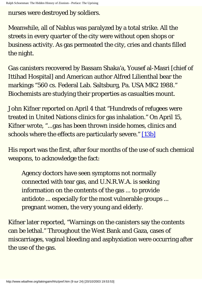### nurses were destroyed by soldiers.

Meanwhile, all of Nablus was paralyzed by a total strike. All the streets in every quarter of the city were without open shops or business activity. As gas permeated the city, cries and chants filled the night.

Gas canisters recovered by Bassam Shaka'a, Yousef al-Masri [chief of Ittihad Hospital] and American author Alfred Lilienthal bear the markings "560 cs. Federal Lab. Saltsburg, Pa. USA MK2 1988." Biochemists are studying their properties as casualties mount.

John Kifner reported on April 4 that "Hundreds of refugees were treated in United Nations clinics for gas inhalation." On April 15, Kifner wrote, "...gas has been thrown inside homes, clinics and schools where the effects are particularly severe." [\[13b\]](#page-243-7)

<span id="page-229-0"></span>His report was the first, after four months of the use of such chemical weapons, to acknowledge the fact:

Agency doctors have seen symptoms not normally connected with tear gas, and U.N.R.W.A. is seeking information on the contents of the gas ... to provide antidote ... especially for the most vulnerable groups ... pregnant women, the very young and elderly.

Kifner later reported, "Warnings on the canisters say the contents can be lethal." Throughout the West Bank and Gaza, cases of miscarriages, vaginal bleeding and asphyxiation were occurring after the use of the gas.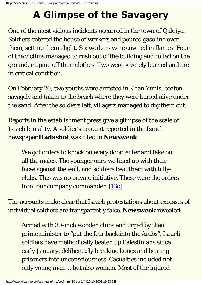### **A Glimpse of the Savagery**

One of the most vicious incidents occurred in the town of Qalqiya. Soldiers entered the house of workers and poured gasoline over them, setting them alight. Six workers were covered in flames. Four of the victims managed to rush out of the building and rolled on the ground, ripping off their clothes. Two were severely burned and are in critical condition.

On February 20, two youths were arrested in Khan Yunis, beaten savagely and taken to the beach where they were buried alive under the sand. After the soldiers left, villagers managed to dig them out.

Reports in the establishment press give a glimpse of the scale of Israeli brutality. A soldier's account reported in the Israeli newspaper **Hadashot** was cited in **Newsweek**:

We got orders to knock on every door, enter and take out all the males. The younger ones we lined up with their faces against the wall, and soldiers beat them with billyclubs. This was no private initiative. These were the orders from our company commander. [\[13c\]](#page-243-8)

<span id="page-230-0"></span>The accounts make clear that Israeli protestations about excesses of individual soldiers are transparently false. **Newsweek** revealed:

Armed with 30-inch wooden clubs and urged by their prime minister to "put the fear back into the Arabs", Israeli soldiers have methodically beaten up Palestinians since early January, deliberately breaking bones and beating prisoners into unconsciousness. Casualties included not only young men ... but also women. Most of the injured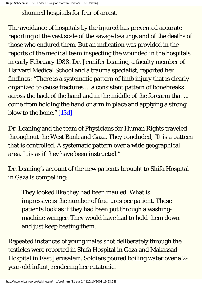### shunned hospitals for fear of arrest.

The avoidance of hospitals by the injured has prevented accurate reporting of the vast scale of the savage beatings and of the deaths of those who endured them. But an indication was provided in the reports of the medical team inspecting the wounded in the hospitals in early February 1988. Dr. Jennifer Leaning, a faculty member of Harvard Medical School and a trauma specialist, reported her findings: "There is a systematic pattern of limb injury that is clearly organized to cause fractures ... a consistent pattern of bonebreaks across the back of the hand and in the middle of the forearm that ... come from holding the hand or arm in place and applying a strong blow to the bone." [\[13d\]](#page-243-9)

<span id="page-231-0"></span>Dr. Leaning and the team of Physicians for Human Rights traveled throughout the West Bank and Gaza. They concluded, "It is a pattern that is controlled. A systematic pattern over a wide geographical area. It is as if they have been instructed."

Dr. Leaning's account of the new patients brought to Shifa Hospital in Gaza is compelling:

They looked like they had been mauled. What is impressive is the number of fractures per patient. These patients look as if they had been put through a washingmachine wringer. They would have had to hold them down and just keep beating them.

Repeated instances of young males shot deliberately through the testicles were reported in Shifa Hospital in Gaza and Makassad Hospital in East Jerusalem. Soldiers poured boiling water over a 2 year-old infant, rendering her catatonic.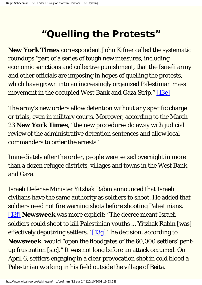### **"Quelling the Protests"**

**New York Times** correspondent John Kifner called the systematic roundups "part of a series of tough new measures, including economic sanctions and collective punishment, that the Israeli army and other officials are imposing in hopes of quelling the protests, which have grown into an increasingly organized Palestinian mass movement in the occupied West Bank and Gaza Strip." [\[13e\]](#page-243-10)

<span id="page-232-0"></span>The army's new orders allow detention without any specific charge or trials, even in military courts. Moreover, according to the March 23 **New York Times**, "the new procedures do away with judicial review of the administrative detention sentences and allow local commanders to order the arrests."

Immediately after the order, people were seized overnight in more than a dozen refugee districts, villages and towns in the West Bank and Gaza.

<span id="page-232-2"></span><span id="page-232-1"></span>Israeli Defense Minister Yitzhak Rabin announced that Israeli civilians have the same authority as soldiers to shoot. He added that soldiers need not fire warning shots before shooting Palestinians. [\[13f\]](#page-243-11) **Newsweek** was more explicit: "The decree meant Israeli soldiers could shoot to kill Palestinian youths ... Yitzhak Rabin [was] effectively deputizing settlers." [\[13g\]](#page-243-12) The decision, according to **Newsweek**, would "open the floodgates of the 60,000 settlers' pentup frustration [sic]." It was not long before an attack occurred. On April 6, settlers engaging in a clear provocation shot in cold blood a Palestinian working in his field outside the village of Beita.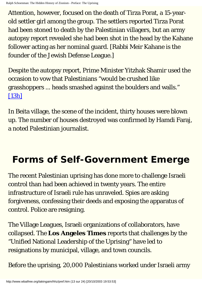Ralph Schoenman: The Hidden History of Zionism - Preface: The Uprising

Attention, however, focused on the death of Tirza Porat, a 15-yearold settler girl among the group. The settlers reported Tirza Porat had been stoned to death by the Palestinian villagers, but an army autopsy report revealed she had been shot in the head by the Kahane follower acting as her nominal guard. [Rabbi Meir Kahane is the founder of the Jewish Defense League.]

Despite the autopsy report, Prime Minister Yitzhak Shamir used the occasion to vow that Palestinians "would be crushed like grasshoppers ... heads smashed against the boulders and walls." [\[13h\]](#page-243-13)

<span id="page-233-0"></span>In Beita village, the scene of the incident, thirty houses were blown up. The number of houses destroyed was confirmed by Hamdi Faraj, a noted Palestinian journalist.

### **Forms of Self-Government Emerge**

The recent Palestinian uprising has done more to challenge Israeli control than had been achieved in twenty years. The entire infrastructure of Israeli rule has unraveled. Spies are asking forgiveness, confessing their deeds and exposing the apparatus of control. Police are resigning.

The Village Leagues, Israeli organizations of collaborators, have collapsed. The **Los Angeles Times** reports that challenges by the "Unified National Leadership of the Uprising" have led to resignations by municipal, village, and town councils.

Before the uprising, 20,000 Palestinians worked under Israeli army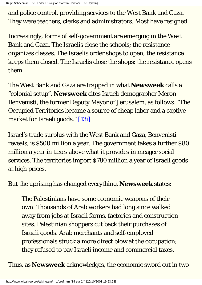and police control, providing services to the West Bank and Gaza. They were teachers, clerks and administrators. Most have resigned.

Increasingly, forms of self-government are emerging in the West Bank and Gaza. The Israelis close the schools; the resistance organizes classes. The Israelis order shops to open; the resistance keeps them closed. The Israelis close the shops; the resistance opens them.

The West Bank and Gaza are trapped in what **Newsweek** calls a "colonial setup". **Newsweek** cites Israeli demographer Meron Benvenisti, the former Deputy Mayor of Jerusalem, as follows: "The Occupied Territories became a source of cheap labor and a captive market for Israeli goods." [\[13i\]](#page-243-14)

<span id="page-234-0"></span>Israel's trade surplus with the West Bank and Gaza, Benvenisti reveals, is \$500 million a year. The government takes a further \$80 million a year in taxes above what it provides in meager social services. The territories import \$780 million a year of Israeli goods at high prices.

But the uprising has changed everything. **Newsweek** states:

The Palestinians have some economic weapons of their own. Thousands of Arab workers had long since walked away from jobs at Israeli farms, factories and construction sites. Palestinian shoppers cut back their purchases of Israeli goods. Arab merchants and self-employed professionals struck a more direct blow at the occupation; they refused to pay Israeli income and commercial taxes.

Thus, as **Newsweek** acknowledges, the economic sword cut in two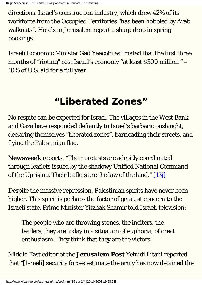directions. Israel's construction industry, which drew 42% of its workforce from the Occupied Territories "has been hobbled by Arab walkouts". Hotels in Jerusalem report a sharp drop in spring bookings.

Israeli Economic Minister Gad Yaacobi estimated that the first three months of "rioting" cost Israel's economy "at least \$300 million " – 10% of U.S. aid for a full year.

### **"Liberated Zones"**

No respite can be expected for Israel. The villages in the West Bank and Gaza have responded defiantly to Israel's barbaric onslaught, declaring themselves "liberated zones", barricading their streets, and flying the Palestinian flag.

**Newsweek** reports: "Their protests are adroitly coordinated through leaflets issued by the shadowy Unified National Command of the Uprising. Their leaflets are the law of the land." [\[13j\]](#page-243-15)

<span id="page-235-0"></span>Despite the massive repression, Palestinian spirits have never been higher. This spirit is perhaps the factor of greatest concern to the Israeli state. Prime Minister Yitzhak Shamir told Israeli television:

The people who are throwing stones, the inciters, the leaders, they are today in a situation of euphoria, of great enthusiasm. They think that they are the victors.

Middle East editor of the **Jerusalem Post** Yehudi Litani reported that "[Israeli] security forces estimate the army has now detained the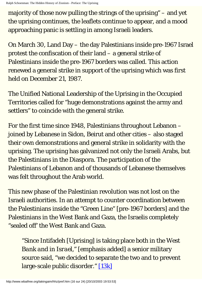majority of those now pulling the strings of the uprising" – and yet the uprising continues, the leaflets continue to appear, and a mood approaching panic is settling in among Israeli leaders.

On March 30, Land Day – the day Palestinians inside pre-1967 Israel protest the confiscation of their land – a general strike of Palestinians inside the pre-1967 borders was called. This action renewed a general strike in support of the uprising which was first held on December 21, 1987.

The Unified National Leadership of the Uprising in the Occupied Territories called for "huge demonstrations against the army and settlers" to coincide with the general strike.

For the first time since 1948, Palestinians throughout Lebanon – joined by Lebanese in Sidon, Beirut and other cities – also staged their own demonstrations and general strike in solidarity with the uprising. The uprising has galvanized not only the Israeli Arabs, but the Palestinians in the Diaspora. The participation of the Palestinians of Lebanon and of thousands of Lebanese themselves was felt throughout the Arab world.

This new phase of the Palestinian revolution was not lost on the Israeli authorities. In an attempt to counter coordination between the Palestinians inside the "Green Line" [pre-1967 borders] and the Palestinians in the West Bank and Gaza, the Israelis completely "sealed off' the West Bank and Gaza.

<span id="page-236-0"></span>"Since Intifadeh [Uprising] is taking place *both in the West Bank and in Israel*," [emphasis added] a senior military source said, "we decided to separate the two and to prevent large-scale public disorder." [\[13k\]](#page-243-16)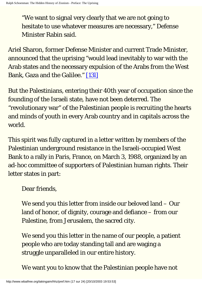"We want to signal very clearly that we are not going to hesitate to use whatever measures are necessary," Defense Minister Rabin said.

Ariel Sharon, former Defense Minister and current Trade Minister, announced that the uprising "would lead inevitably to war with the Arab states and the necessary expulsion of the Arabs from the West Bank, Gaza and the Galilee." [\[13l\]](#page-244-0)

<span id="page-237-0"></span>But the Palestinians, entering their 40th year of occupation since the founding of the Israeli state, have not been deterred. The "revolutionary war" of the Palestinian people is recruiting the hearts and minds of youth in every Arab country and in capitals across the world.

This spirit was fully captured in a letter written by members of the Palestinian underground resistance in the Israeli-occupied West Bank to a rally in Paris, France, on March 3, 1988, organized by an ad-hoc committee of supporters of Palestinian human rights. Their letter states in part:

Dear friends,

We send you this letter from inside our beloved land – Our land of honor, of dignity, courage and defiance – from our Palestine, from Jerusalem, the sacred city.

We send you this letter in the name of our people, a patient people who are today standing tall and are waging a struggle unparalleled in our entire history.

We want you to know that the Palestinian people have not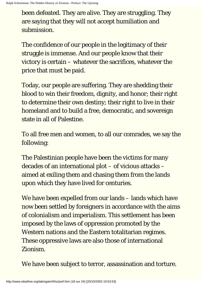been defeated. They are alive. They are struggling. They are saying that they will not accept humiliation and submission.

The confidence of our people in the legitimacy of their struggle is immense. And our people know that their victory is certain – whatever the sacrifices, whatever the price that must be paid.

Today, our people are suffering. They are shedding their blood to win their freedom, dignity, and honor; their right to determine their own destiny; their right to live in their homeland and to build a free, democratic, and sovereign state in all of Palestine.

To all free men and women, to all our comrades, we say the following:

The Palestinian people have been the victims for many decades of an international plot – of vicious attacks – aimed at exiling them and chasing them from the lands upon which they have lived for centuries.

We have been expelled from our lands – lands which have now been settled by foreigners in accordance with the aims of colonialism and imperialism. This settlement has been imposed by the laws of oppression promoted by the Western nations and the Eastern totalitarian regimes. These oppressive laws are also those of international Zionism.

We have been subject to terror, assassination and torture.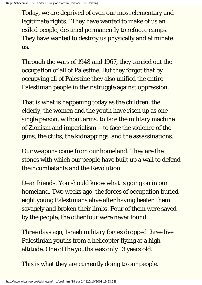Today, we are deprived of even our most elementary and legitimate rights. "They have wanted to make of us an exiled people, destined permanently to refugee camps. They have wanted to destroy us physically and eliminate us.

Through the wars of 1948 and 1967, they carried out the occupation of all of Palestine. But they forgot that by occupying all of Palestine they also unified the entire Palestinian people in their struggle against oppression.

That is what is happening today as the children, the elderly, the women and the youth have risen up as one single person, without arms, to face the military machine of Zionism and imperialism – to face the violence of the guns, the clubs, the kidnappings, and the assassinations.

Our weapons come from our homeland. They are the stones with which our people have built up a wall to defend their combatants and the Revolution.

Dear friends: You should know what is going on in our homeland. Two weeks ago, the forces of occupation buried eight young Palestinians alive after having beaten them savagely and broken their limbs. Four of them were saved by the people; the other four were never found.

Three days ago, Israeli military forces dropped three live Palestinian youths from a helicopter flying at a high altitude. One of the youths was only 13 years old.

This is what they are currently doing to our people.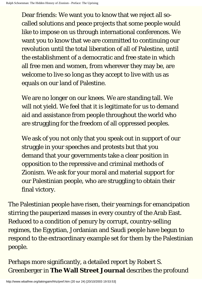Dear friends: We want you to know that we reject all socalled solutions and peace projects that some people would like to impose on us through international conferences. We want you to know that we are committed to continuing our revolution until the total liberation of all of Palestine, until the establishment of a democratic and free state in which all free men and women, from wherever they may be, are welcome to live so long as they accept to live with us as equals on our land of Palestine.

We are no longer on our knees. We are standing tall. We will not yield. We feel that it is legitimate for us to demand aid and assistance from people throughout the world who are struggling for the freedom of all oppressed peoples.

We ask of you not only that you speak out in support of our struggle in your speeches and protests but that you demand that your governments take a clear position in opposition to the repressive and criminal methods of Zionism. We ask for your moral and material support for our Palestinian people, who are struggling to obtain their final victory.

The Palestinian people have risen, their yearnings for emancipation stirring the pauperized masses in every country of the Arab East. Reduced to a condition of penury by corrupt, country-selling regimes, the Egyptian, Jordanian and Saudi people have begun to respond to the extraordinary example set for them by the Palestinian people.

Perhaps more significantly, a detailed report by Robert S. Greenberger in **The Wall Street Journal** describes the profound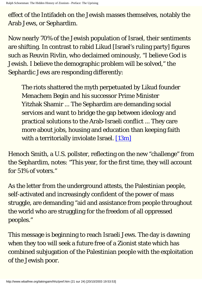effect of the Intifadeh on the Jewish masses themselves, notably the Arab Jews, or Sephardim.

Now nearly 70% of the Jewish population of Israel, their sentiments are shifting. In contrast to rabid Likud [Israel's ruling party] figures such as Reuvin Rivlin, who declaimed ominously, "I believe God is Jewish. I believe the demographic problem will be solved," the Sephardic Jews are responding differently:

The riots shattered the myth perpetuated by Likud founder Menachem Begin and his successor Prime Minister Yitzhak Shamir ... The Sephardim are demanding social services and want to bridge the gap between ideology and practical solutions to the Arab-Israeli conflict ... They care more about jobs, housing and education than keeping faith with a territorially inviolate Israel. [\[13m\]](#page-244-1)

<span id="page-241-0"></span>Henoch Smith, a U.S. pollster, reflecting on the new "challenge" from the Sephardim, notes: "This year, for the first time, they will account for 51% of voters."

As the letter from the underground attests, the Palestinian people, self-activated and increasingly confident of the power of mass struggle, are demanding "aid and assistance from people throughout the world who are struggling for the freedom of all oppressed peoples."

This message is beginning to reach Israeli Jews. The day is dawning when they too will seek a future free of a Zionist state which has combined subjugation of the Palestinian people with the exploitation of the Jewish poor.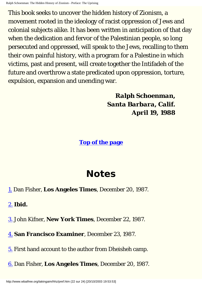This book seeks to uncover the hidden history of Zionism, a movement rooted in the ideology of racist oppression of Jews and colonial subjects alike. It has been written in anticipation of that day when the dedication and fervor of the Palestinian people, so long persecuted and oppressed, will speak to the Jews, recalling to them their own painful history, with a program for a Palestine in which victims, past and present, will create together the Intifadeh of the future and overthrow a state predicated upon oppression, torture, expulsion, expansion and unending war.

> *Ralph Schoenman, Santa Barbara, Calif. April 19, 1988*

**[Top of the page](#page-221-0)**

### **Notes**

- <span id="page-242-1"></span><span id="page-242-0"></span>[1.](#page-221-1) Dan Fisher, **Los Angeles Times**, December 20, 1987.
- <span id="page-242-2"></span>[2.](#page-222-0) **Ibid.**
- <span id="page-242-3"></span>[3.](#page-222-1) John Kifner, **New York Times**, December 22, 1987.
- <span id="page-242-4"></span>[4.](#page-222-2) **San Francisco Examiner**, December 23, 1987.
- <span id="page-242-5"></span>[5.](#page-222-3) First hand account to the author from Dheisheh camp.
- <span id="page-242-6"></span>[6.](#page-223-0) Dan Fisher, **Los Angeles Times**, December 20, 1987.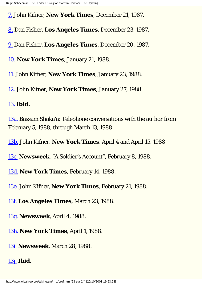<span id="page-243-0"></span>[7.](#page-223-1) John Kifner, **New York Times**, December 21, 1987.

<span id="page-243-1"></span>[8.](#page-223-2) Dan Fisher, **Los Angeles Times**, December 23, 1987.

<span id="page-243-2"></span>[9.](#page-224-0) Dan Fisher, **Los Angeles Times**, December 20, 1987.

<span id="page-243-3"></span>[10.](#page-224-1) **New York Times**, January 21, 1988.

<span id="page-243-4"></span>[11.](#page-225-0) John Kifner, **New York Times**, January 23, 1988.

<span id="page-243-5"></span>[12.](#page-226-0) John Kifner, **New York Times**, January 27, 1988.

#### <span id="page-243-6"></span>[13.](#page-226-1) **Ibid.**

[13a.](#page-228-0) Bassam Shaka'a: Telephone conversations with the author from February 5, 1988, through March 13, 1988.

<span id="page-243-8"></span><span id="page-243-7"></span>[13b.](#page-229-0) John Kifner, **New York Times**, April 4 and April 15, 1988.

<span id="page-243-9"></span>[13c.](#page-230-0) **Newsweek**, "A Soldier's Account", February 8, 1988.

<span id="page-243-10"></span>[13d.](#page-231-0) **New York Times**, February 14, 1988.

<span id="page-243-11"></span>[13e.](#page-232-0) John Kifner, **New York Times**, February 21, 1988.

<span id="page-243-12"></span>[13f.](#page-232-1) **Los Angeles Times**, March 23, 1988.

<span id="page-243-13"></span>[13g.](#page-232-2) **Newsweek**, April 4, 1988.

<span id="page-243-14"></span>[13h.](#page-233-0) **New York Times**, April 1, 1988.

<span id="page-243-15"></span>[13i.](#page-234-0) **Newsweek**, March 28, 1988.

#### <span id="page-243-16"></span>[13j.](#page-235-0) **Ibid.**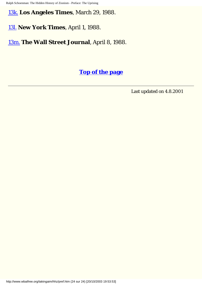#### <span id="page-244-0"></span>[13k.](#page-236-0) **Los Angeles Times**, March 29, 1988.

#### <span id="page-244-1"></span>[13l.](#page-237-0) **New York Times**, April 1, 1988.

#### [13m.](#page-241-0) **The Wall Street Journal**, April 8, 1988.

#### **[Top of the page](#page-221-0)**

Last updated on 4.8.2001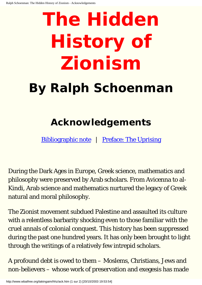# <span id="page-245-0"></span>**The Hidden History of Zionism**

## **By Ralph Schoenman**

### **Acknowledgements**

[Bibliographic note](#page-5-0) | [Preface: The Uprising](#page-221-0)

During the Dark Ages in Europe, Greek science, mathematics and philosophy were preserved by Arab scholars. From Avicenna to al-Kindi, Arab science and mathematics nurtured the legacy of Greek natural and moral philosophy.

The Zionist movement subdued Palestine and assaulted its culture with a relentless barbarity shocking even to those familiar with the cruel annals of colonial conquest. This history has been suppressed during the past one hundred years. It has only been brought to light through the writings of a relatively few intrepid scholars.

A profound debt is owed to them – Moslems, Christians, Jews and non-believers – whose work of preservation and exegesis has made